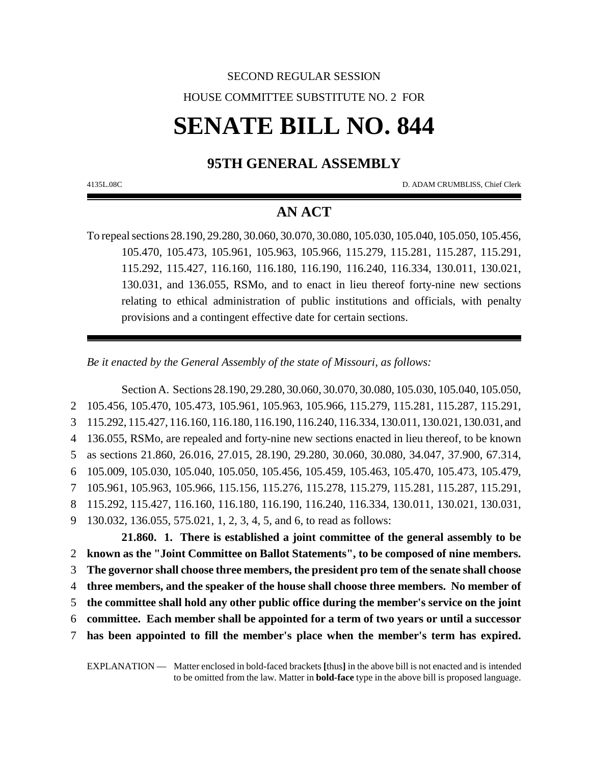## SECOND REGULAR SESSION HOUSE COMMITTEE SUBSTITUTE NO. 2 FOR

# **SENATE BILL NO. 844**

## **95TH GENERAL ASSEMBLY**

4135L.08C D. ADAM CRUMBLISS, Chief Clerk

## **AN ACT**

To repeal sections 28.190, 29.280, 30.060, 30.070, 30.080, 105.030, 105.040, 105.050, 105.456, 105.470, 105.473, 105.961, 105.963, 105.966, 115.279, 115.281, 115.287, 115.291, 115.292, 115.427, 116.160, 116.180, 116.190, 116.240, 116.334, 130.011, 130.021, 130.031, and 136.055, RSMo, and to enact in lieu thereof forty-nine new sections relating to ethical administration of public institutions and officials, with penalty provisions and a contingent effective date for certain sections.

*Be it enacted by the General Assembly of the state of Missouri, as follows:*

Section A. Sections 28.190, 29.280, 30.060, 30.070, 30.080, 105.030, 105.040, 105.050, 105.456, 105.470, 105.473, 105.961, 105.963, 105.966, 115.279, 115.281, 115.287, 115.291, 115.292, 115.427, 116.160, 116.180, 116.190, 116.240, 116.334, 130.011, 130.021, 130.031, and 136.055, RSMo, are repealed and forty-nine new sections enacted in lieu thereof, to be known as sections 21.860, 26.016, 27.015, 28.190, 29.280, 30.060, 30.080, 34.047, 37.900, 67.314, 105.009, 105.030, 105.040, 105.050, 105.456, 105.459, 105.463, 105.470, 105.473, 105.479, 105.961, 105.963, 105.966, 115.156, 115.276, 115.278, 115.279, 115.281, 115.287, 115.291, 115.292, 115.427, 116.160, 116.180, 116.190, 116.240, 116.334, 130.011, 130.021, 130.031, 130.032, 136.055, 575.021, 1, 2, 3, 4, 5, and 6, to read as follows:

**21.860. 1. There is established a joint committee of the general assembly to be known as the "Joint Committee on Ballot Statements", to be composed of nine members. The governor shall choose three members, the president pro tem of the senate shall choose three members, and the speaker of the house shall choose three members. No member of the committee shall hold any other public office during the member's service on the joint committee. Each member shall be appointed for a term of two years or until a successor has been appointed to fill the member's place when the member's term has expired.**

EXPLANATION — Matter enclosed in bold-faced brackets **[**thus**]** in the above bill is not enacted and is intended to be omitted from the law. Matter in **bold-face** type in the above bill is proposed language.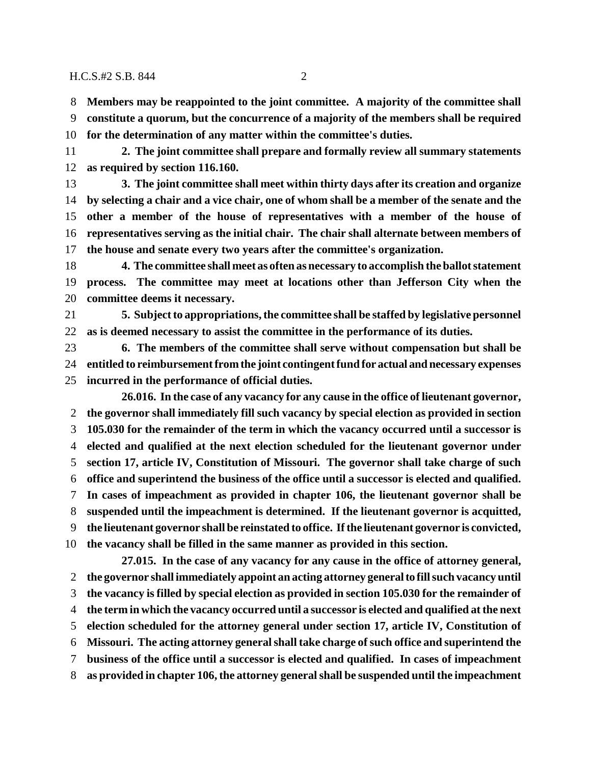**Members may be reappointed to the joint committee. A majority of the committee shall**

**constitute a quorum, but the concurrence of a majority of the members shall be required**

**for the determination of any matter within the committee's duties.**

 **2. The joint committee shall prepare and formally review all summary statements as required by section 116.160.**

 **3. The joint committee shall meet within thirty days after its creation and organize by selecting a chair and a vice chair, one of whom shall be a member of the senate and the other a member of the house of representatives with a member of the house of representatives serving as the initial chair. The chair shall alternate between members of the house and senate every two years after the committee's organization.**

 **4. The committee shall meet as often as necessary to accomplish the ballot statement process. The committee may meet at locations other than Jefferson City when the committee deems it necessary.**

 **5. Subject to appropriations, the committee shall be staffed by legislative personnel as is deemed necessary to assist the committee in the performance of its duties.**

 **6. The members of the committee shall serve without compensation but shall be entitled to reimbursement from the joint contingent fund for actual and necessary expenses incurred in the performance of official duties.**

**26.016. In the case of any vacancy for any cause in the office of lieutenant governor, the governor shall immediately fill such vacancy by special election as provided in section 105.030 for the remainder of the term in which the vacancy occurred until a successor is elected and qualified at the next election scheduled for the lieutenant governor under section 17, article IV, Constitution of Missouri. The governor shall take charge of such office and superintend the business of the office until a successor is elected and qualified. In cases of impeachment as provided in chapter 106, the lieutenant governor shall be suspended until the impeachment is determined. If the lieutenant governor is acquitted, the lieutenant governor shall be reinstated to office. If the lieutenant governor is convicted, the vacancy shall be filled in the same manner as provided in this section.**

**27.015. In the case of any vacancy for any cause in the office of attorney general, the governor shall immediately appoint an acting attorney general to fill such vacancy until the vacancy is filled by special election as provided in section 105.030 for the remainder of the term in which the vacancy occurred until a successor is elected and qualified at the next election scheduled for the attorney general under section 17, article IV, Constitution of Missouri. The acting attorney general shall take charge of such office and superintend the business of the office until a successor is elected and qualified. In cases of impeachment as provided in chapter 106, the attorney general shall be suspended until the impeachment**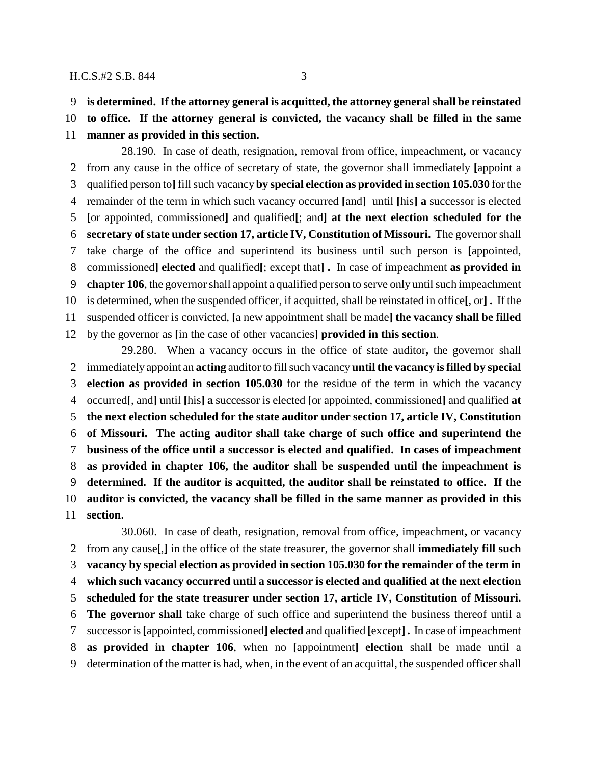**is determined. If the attorney general is acquitted, the attorney general shall be reinstated**

 **to office. If the attorney general is convicted, the vacancy shall be filled in the same manner as provided in this section.**

28.190. In case of death, resignation, removal from office, impeachment**,** or vacancy from any cause in the office of secretary of state, the governor shall immediately **[**appoint a qualified person to**]** fill such vacancy **by special election as provided in section 105.030** for the remainder of the term in which such vacancy occurred **[**and**]** until **[**his**] a** successor is elected **[**or appointed, commissioned**]** and qualified**[**; and**] at the next election scheduled for the secretary of state under section 17, article IV, Constitution of Missouri.** The governor shall take charge of the office and superintend its business until such person is **[**appointed, commissioned**] elected** and qualified**[**; except that**] .** In case of impeachment **as provided in chapter 106**, the governor shall appoint a qualified person to serve only until such impeachment is determined, when the suspended officer, if acquitted, shall be reinstated in office**[**, or**] .** If the suspended officer is convicted, **[**a new appointment shall be made**] the vacancy shall be filled** by the governor as **[**in the case of other vacancies**] provided in this section**.

29.280. When a vacancy occurs in the office of state auditor**,** the governor shall immediately appoint an **acting** auditor to fill such vacancy **until the vacancy is filled by special election as provided in section 105.030** for the residue of the term in which the vacancy occurred**[**, and**]** until **[**his**] a** successor is elected **[**or appointed, commissioned**]** and qualified **at the next election scheduled for the state auditor under section 17, article IV, Constitution of Missouri. The acting auditor shall take charge of such office and superintend the business of the office until a successor is elected and qualified. In cases of impeachment as provided in chapter 106, the auditor shall be suspended until the impeachment is determined. If the auditor is acquitted, the auditor shall be reinstated to office. If the auditor is convicted, the vacancy shall be filled in the same manner as provided in this section**.

30.060. In case of death, resignation, removal from office, impeachment**,** or vacancy from any cause**[**,**]** in the office of the state treasurer, the governor shall **immediately fill such vacancy by special election as provided in section 105.030 for the remainder of the term in which such vacancy occurred until a successor is elected and qualified at the next election scheduled for the state treasurer under section 17, article IV, Constitution of Missouri. The governor shall** take charge of such office and superintend the business thereof until a successor is **[**appointed, commissioned**] elected** and qualified **[**except**] .** In case of impeachment **as provided in chapter 106**, when no **[**appointment**] election** shall be made until a determination of the matter is had, when, in the event of an acquittal, the suspended officer shall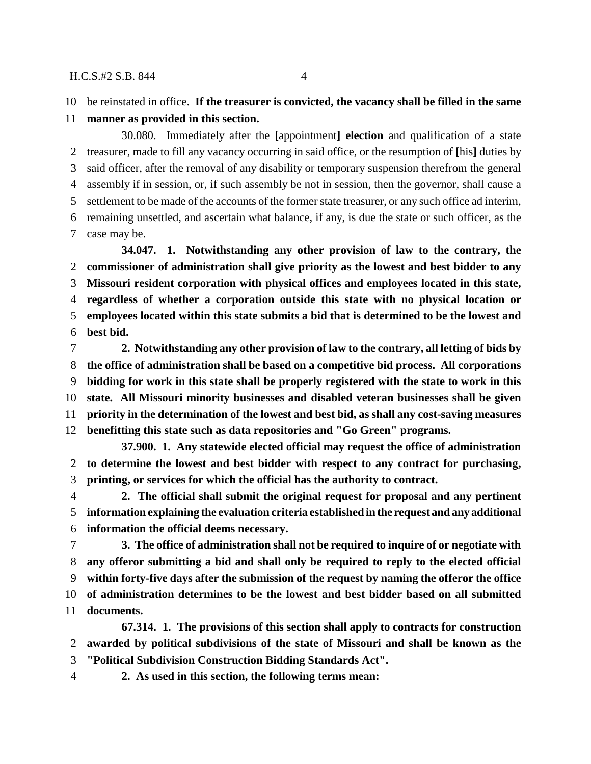be reinstated in office. **If the treasurer is convicted, the vacancy shall be filled in the same manner as provided in this section.**

30.080. Immediately after the **[**appointment**] election** and qualification of a state treasurer, made to fill any vacancy occurring in said office, or the resumption of **[**his**]** duties by said officer, after the removal of any disability or temporary suspension therefrom the general assembly if in session, or, if such assembly be not in session, then the governor, shall cause a settlement to be made of the accounts of the former state treasurer, or any such office ad interim, remaining unsettled, and ascertain what balance, if any, is due the state or such officer, as the case may be.

**34.047. 1. Notwithstanding any other provision of law to the contrary, the commissioner of administration shall give priority as the lowest and best bidder to any Missouri resident corporation with physical offices and employees located in this state, regardless of whether a corporation outside this state with no physical location or employees located within this state submits a bid that is determined to be the lowest and best bid.**

 **2. Notwithstanding any other provision of law to the contrary, all letting of bids by the office of administration shall be based on a competitive bid process. All corporations bidding for work in this state shall be properly registered with the state to work in this state. All Missouri minority businesses and disabled veteran businesses shall be given priority in the determination of the lowest and best bid, as shall any cost-saving measures benefitting this state such as data repositories and "Go Green" programs.**

**37.900. 1. Any statewide elected official may request the office of administration to determine the lowest and best bidder with respect to any contract for purchasing, printing, or services for which the official has the authority to contract.**

 **2. The official shall submit the original request for proposal and any pertinent information explaining the evaluation criteria established in the request and any additional information the official deems necessary.**

 **3. The office of administration shall not be required to inquire of or negotiate with any offeror submitting a bid and shall only be required to reply to the elected official within forty-five days after the submission of the request by naming the offeror the office of administration determines to be the lowest and best bidder based on all submitted documents.**

**67.314. 1. The provisions of this section shall apply to contracts for construction awarded by political subdivisions of the state of Missouri and shall be known as the "Political Subdivision Construction Bidding Standards Act".**

**2. As used in this section, the following terms mean:**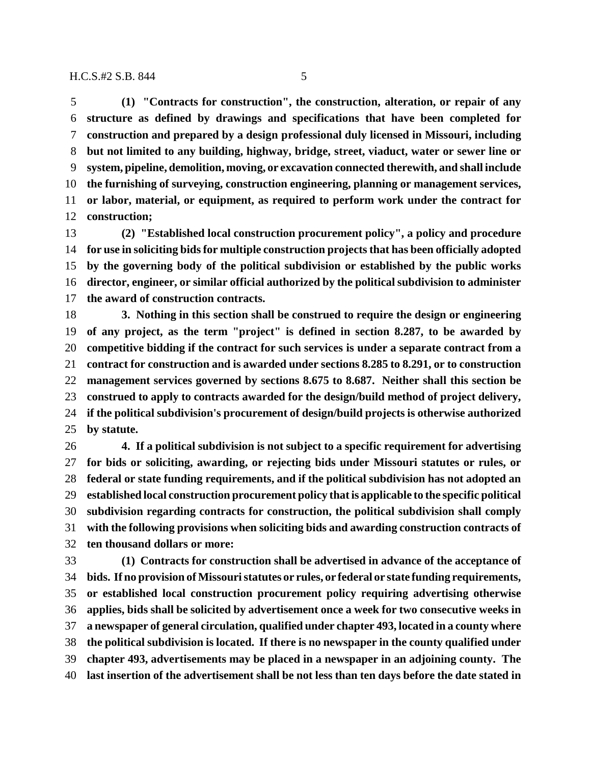**(1) "Contracts for construction", the construction, alteration, or repair of any structure as defined by drawings and specifications that have been completed for construction and prepared by a design professional duly licensed in Missouri, including but not limited to any building, highway, bridge, street, viaduct, water or sewer line or system, pipeline, demolition, moving, or excavation connected therewith, and shall include the furnishing of surveying, construction engineering, planning or management services, or labor, material, or equipment, as required to perform work under the contract for construction;**

 **(2) "Established local construction procurement policy", a policy and procedure for use in soliciting bids for multiple construction projects that has been officially adopted by the governing body of the political subdivision or established by the public works director, engineer, or similar official authorized by the political subdivision to administer the award of construction contracts.**

 **3. Nothing in this section shall be construed to require the design or engineering of any project, as the term "project" is defined in section 8.287, to be awarded by competitive bidding if the contract for such services is under a separate contract from a contract for construction and is awarded under sections 8.285 to 8.291, or to construction management services governed by sections 8.675 to 8.687. Neither shall this section be construed to apply to contracts awarded for the design/build method of project delivery, if the political subdivision's procurement of design/build projects is otherwise authorized by statute.**

 **4. If a political subdivision is not subject to a specific requirement for advertising for bids or soliciting, awarding, or rejecting bids under Missouri statutes or rules, or federal or state funding requirements, and if the political subdivision has not adopted an established local construction procurement policy that is applicable to the specific political subdivision regarding contracts for construction, the political subdivision shall comply with the following provisions when soliciting bids and awarding construction contracts of ten thousand dollars or more:**

 **(1) Contracts for construction shall be advertised in advance of the acceptance of bids. If no provision of Missouri statutes or rules, or federal or state funding requirements, or established local construction procurement policy requiring advertising otherwise applies, bids shall be solicited by advertisement once a week for two consecutive weeks in a newspaper of general circulation, qualified under chapter 493, located in a county where the political subdivision is located. If there is no newspaper in the county qualified under chapter 493, advertisements may be placed in a newspaper in an adjoining county. The last insertion of the advertisement shall be not less than ten days before the date stated in**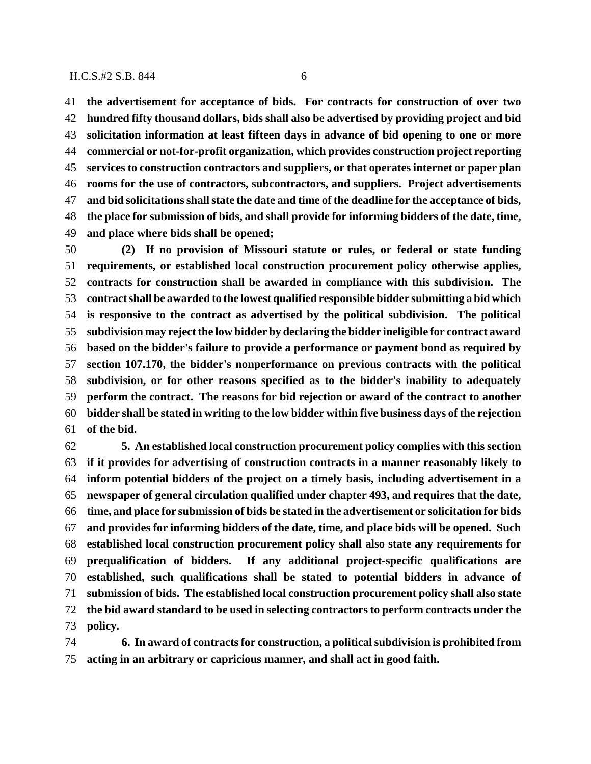**the advertisement for acceptance of bids. For contracts for construction of over two hundred fifty thousand dollars, bids shall also be advertised by providing project and bid solicitation information at least fifteen days in advance of bid opening to one or more commercial or not-for-profit organization, which provides construction project reporting services to construction contractors and suppliers, or that operates internet or paper plan rooms for the use of contractors, subcontractors, and suppliers. Project advertisements and bid solicitations shall state the date and time of the deadline for the acceptance of bids, the place for submission of bids, and shall provide for informing bidders of the date, time, and place where bids shall be opened;**

 **(2) If no provision of Missouri statute or rules, or federal or state funding requirements, or established local construction procurement policy otherwise applies, contracts for construction shall be awarded in compliance with this subdivision. The contract shall be awarded to the lowest qualified responsible bidder submitting a bid which is responsive to the contract as advertised by the political subdivision. The political subdivision may reject the low bidder by declaring the bidder ineligible for contract award based on the bidder's failure to provide a performance or payment bond as required by section 107.170, the bidder's nonperformance on previous contracts with the political subdivision, or for other reasons specified as to the bidder's inability to adequately perform the contract. The reasons for bid rejection or award of the contract to another bidder shall be stated in writing to the low bidder within five business days of the rejection of the bid.**

 **5. An established local construction procurement policy complies with this section if it provides for advertising of construction contracts in a manner reasonably likely to inform potential bidders of the project on a timely basis, including advertisement in a newspaper of general circulation qualified under chapter 493, and requires that the date, time, and place for submission of bids be stated in the advertisement or solicitation for bids and provides for informing bidders of the date, time, and place bids will be opened. Such established local construction procurement policy shall also state any requirements for prequalification of bidders. If any additional project-specific qualifications are established, such qualifications shall be stated to potential bidders in advance of submission of bids. The established local construction procurement policy shall also state the bid award standard to be used in selecting contractors to perform contracts under the policy.**

 **6. In award of contracts for construction, a political subdivision is prohibited from acting in an arbitrary or capricious manner, and shall act in good faith.**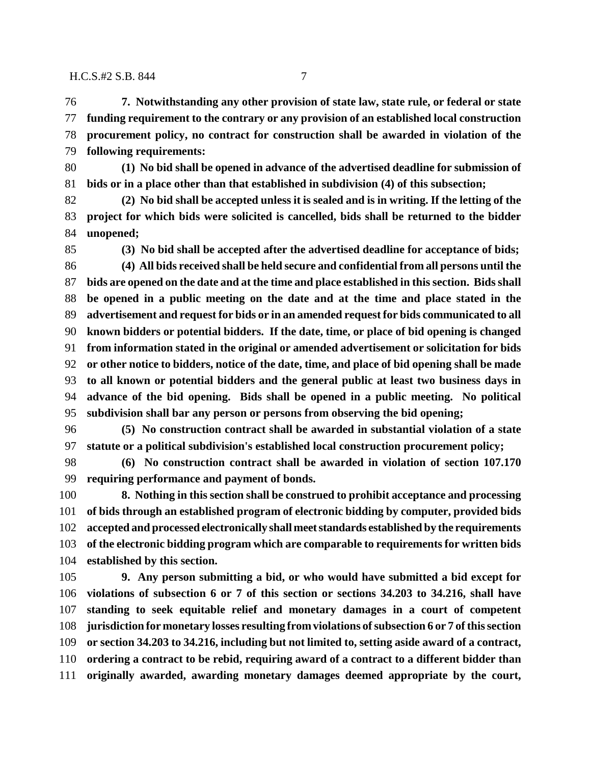**7. Notwithstanding any other provision of state law, state rule, or federal or state funding requirement to the contrary or any provision of an established local construction procurement policy, no contract for construction shall be awarded in violation of the following requirements:**

 **(1) No bid shall be opened in advance of the advertised deadline for submission of bids or in a place other than that established in subdivision (4) of this subsection;**

 **(2) No bid shall be accepted unless it is sealed and is in writing. If the letting of the project for which bids were solicited is cancelled, bids shall be returned to the bidder unopened;**

**(3) No bid shall be accepted after the advertised deadline for acceptance of bids;**

 **(4) All bids received shall be held secure and confidential from all persons until the bids are opened on the date and at the time and place established in this section. Bids shall be opened in a public meeting on the date and at the time and place stated in the advertisement and request for bids or in an amended request for bids communicated to all known bidders or potential bidders. If the date, time, or place of bid opening is changed from information stated in the original or amended advertisement or solicitation for bids or other notice to bidders, notice of the date, time, and place of bid opening shall be made to all known or potential bidders and the general public at least two business days in advance of the bid opening. Bids shall be opened in a public meeting. No political subdivision shall bar any person or persons from observing the bid opening;**

 **(5) No construction contract shall be awarded in substantial violation of a state statute or a political subdivision's established local construction procurement policy;**

 **(6) No construction contract shall be awarded in violation of section 107.170 requiring performance and payment of bonds.**

 **8. Nothing in this section shall be construed to prohibit acceptance and processing of bids through an established program of electronic bidding by computer, provided bids accepted and processed electronically shall meet standards established by the requirements of the electronic bidding program which are comparable to requirements for written bids established by this section.**

 **9. Any person submitting a bid, or who would have submitted a bid except for violations of subsection 6 or 7 of this section or sections 34.203 to 34.216, shall have standing to seek equitable relief and monetary damages in a court of competent jurisdiction for monetary losses resulting from violations of subsection 6 or 7 of this section or section 34.203 to 34.216, including but not limited to, setting aside award of a contract, ordering a contract to be rebid, requiring award of a contract to a different bidder than originally awarded, awarding monetary damages deemed appropriate by the court,**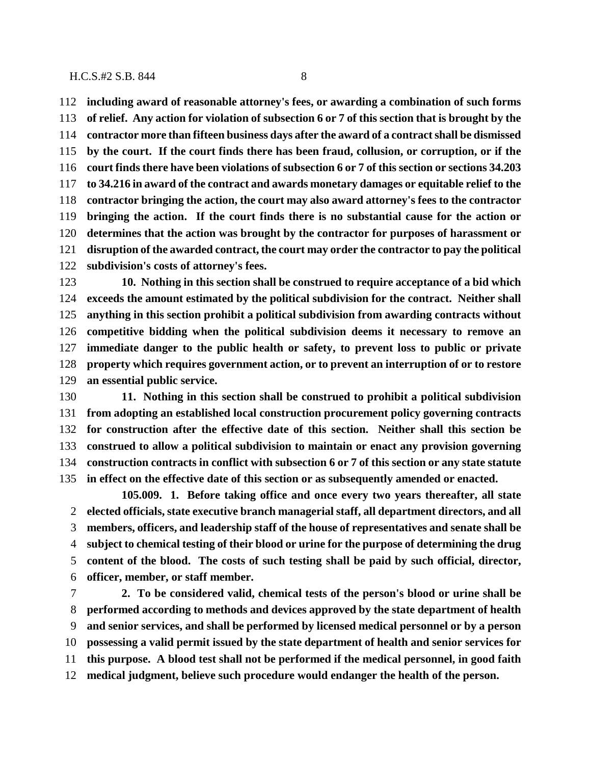**including award of reasonable attorney's fees, or awarding a combination of such forms of relief. Any action for violation of subsection 6 or 7 of this section that is brought by the contractor more than fifteen business days after the award of a contract shall be dismissed by the court. If the court finds there has been fraud, collusion, or corruption, or if the court finds there have been violations of subsection 6 or 7 of this section or sections 34.203 to 34.216 in award of the contract and awards monetary damages or equitable relief to the contractor bringing the action, the court may also award attorney's fees to the contractor bringing the action. If the court finds there is no substantial cause for the action or determines that the action was brought by the contractor for purposes of harassment or disruption of the awarded contract, the court may order the contractor to pay the political subdivision's costs of attorney's fees.**

 **10. Nothing in this section shall be construed to require acceptance of a bid which exceeds the amount estimated by the political subdivision for the contract. Neither shall anything in this section prohibit a political subdivision from awarding contracts without competitive bidding when the political subdivision deems it necessary to remove an immediate danger to the public health or safety, to prevent loss to public or private property which requires government action, or to prevent an interruption of or to restore an essential public service.**

 **11. Nothing in this section shall be construed to prohibit a political subdivision from adopting an established local construction procurement policy governing contracts for construction after the effective date of this section. Neither shall this section be construed to allow a political subdivision to maintain or enact any provision governing construction contracts in conflict with subsection 6 or 7 of this section or any state statute in effect on the effective date of this section or as subsequently amended or enacted.**

**105.009. 1. Before taking office and once every two years thereafter, all state elected officials, state executive branch managerial staff, all department directors, and all members, officers, and leadership staff of the house of representatives and senate shall be subject to chemical testing of their blood or urine for the purpose of determining the drug content of the blood. The costs of such testing shall be paid by such official, director, officer, member, or staff member.**

 **2. To be considered valid, chemical tests of the person's blood or urine shall be performed according to methods and devices approved by the state department of health and senior services, and shall be performed by licensed medical personnel or by a person possessing a valid permit issued by the state department of health and senior services for this purpose. A blood test shall not be performed if the medical personnel, in good faith medical judgment, believe such procedure would endanger the health of the person.**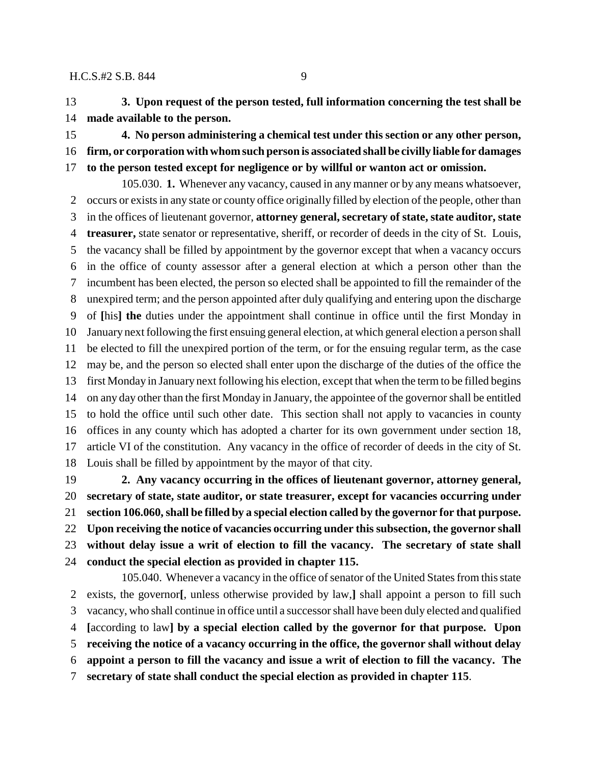**3. Upon request of the person tested, full information concerning the test shall be made available to the person.**

 **4. No person administering a chemical test under this section or any other person, firm, or corporation with whom such person is associated shall be civilly liable for damages to the person tested except for negligence or by willful or wanton act or omission.**

105.030. **1.** Whenever any vacancy, caused in any manner or by any means whatsoever, occurs or exists in any state or county office originally filled by election of the people, other than in the offices of lieutenant governor, **attorney general, secretary of state, state auditor, state treasurer,** state senator or representative, sheriff, or recorder of deeds in the city of St. Louis, the vacancy shall be filled by appointment by the governor except that when a vacancy occurs in the office of county assessor after a general election at which a person other than the incumbent has been elected, the person so elected shall be appointed to fill the remainder of the unexpired term; and the person appointed after duly qualifying and entering upon the discharge of **[**his**] the** duties under the appointment shall continue in office until the first Monday in January next following the first ensuing general election, at which general election a person shall be elected to fill the unexpired portion of the term, or for the ensuing regular term, as the case may be, and the person so elected shall enter upon the discharge of the duties of the office the first Monday in January next following his election, except that when the term to be filled begins on any day other than the first Monday in January, the appointee of the governor shall be entitled to hold the office until such other date. This section shall not apply to vacancies in county offices in any county which has adopted a charter for its own government under section 18, article VI of the constitution. Any vacancy in the office of recorder of deeds in the city of St. Louis shall be filled by appointment by the mayor of that city.

 **2. Any vacancy occurring in the offices of lieutenant governor, attorney general, secretary of state, state auditor, or state treasurer, except for vacancies occurring under section 106.060, shall be filled by a special election called by the governor for that purpose. Upon receiving the notice of vacancies occurring under this subsection, the governor shall without delay issue a writ of election to fill the vacancy. The secretary of state shall conduct the special election as provided in chapter 115.**

105.040. Whenever a vacancy in the office of senator of the United States from this state exists, the governor**[**, unless otherwise provided by law,**]** shall appoint a person to fill such vacancy, who shall continue in office until a successor shall have been duly elected and qualified **[**according to law**] by a special election called by the governor for that purpose. Upon receiving the notice of a vacancy occurring in the office, the governor shall without delay appoint a person to fill the vacancy and issue a writ of election to fill the vacancy. The secretary of state shall conduct the special election as provided in chapter 115**.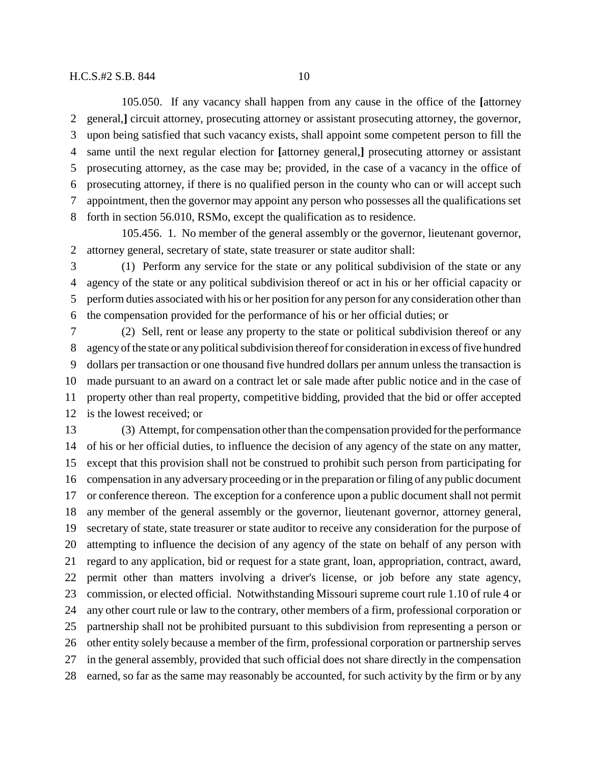105.050. If any vacancy shall happen from any cause in the office of the **[**attorney general,**]** circuit attorney, prosecuting attorney or assistant prosecuting attorney, the governor, upon being satisfied that such vacancy exists, shall appoint some competent person to fill the same until the next regular election for **[**attorney general,**]** prosecuting attorney or assistant prosecuting attorney, as the case may be; provided, in the case of a vacancy in the office of prosecuting attorney, if there is no qualified person in the county who can or will accept such appointment, then the governor may appoint any person who possesses all the qualifications set forth in section 56.010, RSMo, except the qualification as to residence.

105.456. 1. No member of the general assembly or the governor, lieutenant governor, attorney general, secretary of state, state treasurer or state auditor shall:

 (1) Perform any service for the state or any political subdivision of the state or any agency of the state or any political subdivision thereof or act in his or her official capacity or perform duties associated with his or her position for any person for any consideration other than the compensation provided for the performance of his or her official duties; or

 (2) Sell, rent or lease any property to the state or political subdivision thereof or any agency of the state or any political subdivision thereof for consideration in excess of five hundred dollars per transaction or one thousand five hundred dollars per annum unless the transaction is made pursuant to an award on a contract let or sale made after public notice and in the case of property other than real property, competitive bidding, provided that the bid or offer accepted is the lowest received; or

 (3) Attempt, for compensation other than the compensation provided for the performance of his or her official duties, to influence the decision of any agency of the state on any matter, except that this provision shall not be construed to prohibit such person from participating for compensation in any adversary proceeding or in the preparation or filing of any public document or conference thereon. The exception for a conference upon a public document shall not permit any member of the general assembly or the governor, lieutenant governor, attorney general, secretary of state, state treasurer or state auditor to receive any consideration for the purpose of attempting to influence the decision of any agency of the state on behalf of any person with regard to any application, bid or request for a state grant, loan, appropriation, contract, award, permit other than matters involving a driver's license, or job before any state agency, commission, or elected official. Notwithstanding Missouri supreme court rule 1.10 of rule 4 or any other court rule or law to the contrary, other members of a firm, professional corporation or partnership shall not be prohibited pursuant to this subdivision from representing a person or other entity solely because a member of the firm, professional corporation or partnership serves in the general assembly, provided that such official does not share directly in the compensation earned, so far as the same may reasonably be accounted, for such activity by the firm or by any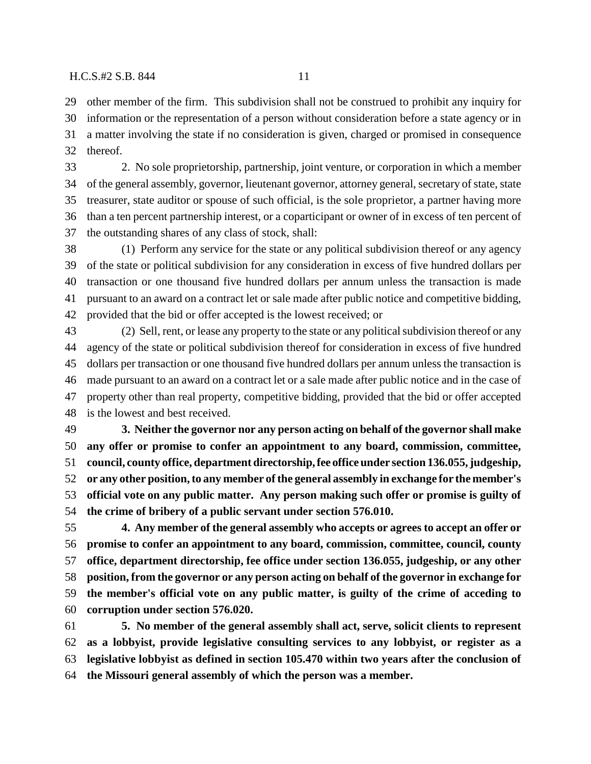other member of the firm. This subdivision shall not be construed to prohibit any inquiry for information or the representation of a person without consideration before a state agency or in a matter involving the state if no consideration is given, charged or promised in consequence thereof.

 2. No sole proprietorship, partnership, joint venture, or corporation in which a member of the general assembly, governor, lieutenant governor, attorney general, secretary of state, state treasurer, state auditor or spouse of such official, is the sole proprietor, a partner having more than a ten percent partnership interest, or a coparticipant or owner of in excess of ten percent of the outstanding shares of any class of stock, shall:

 (1) Perform any service for the state or any political subdivision thereof or any agency of the state or political subdivision for any consideration in excess of five hundred dollars per transaction or one thousand five hundred dollars per annum unless the transaction is made pursuant to an award on a contract let or sale made after public notice and competitive bidding, provided that the bid or offer accepted is the lowest received; or

 (2) Sell, rent, or lease any property to the state or any political subdivision thereof or any agency of the state or political subdivision thereof for consideration in excess of five hundred dollars per transaction or one thousand five hundred dollars per annum unless the transaction is made pursuant to an award on a contract let or a sale made after public notice and in the case of property other than real property, competitive bidding, provided that the bid or offer accepted is the lowest and best received.

 **3. Neither the governor nor any person acting on behalf of the governor shall make any offer or promise to confer an appointment to any board, commission, committee, council, county office, department directorship, fee office under section 136.055, judgeship, or any other position, to any member of the general assembly in exchange for the member's official vote on any public matter. Any person making such offer or promise is guilty of the crime of bribery of a public servant under section 576.010.**

 **4. Any member of the general assembly who accepts or agrees to accept an offer or promise to confer an appointment to any board, commission, committee, council, county office, department directorship, fee office under section 136.055, judgeship, or any other position, from the governor or any person acting on behalf of the governor in exchange for the member's official vote on any public matter, is guilty of the crime of acceding to corruption under section 576.020.**

 **5. No member of the general assembly shall act, serve, solicit clients to represent as a lobbyist, provide legislative consulting services to any lobbyist, or register as a legislative lobbyist as defined in section 105.470 within two years after the conclusion of the Missouri general assembly of which the person was a member.**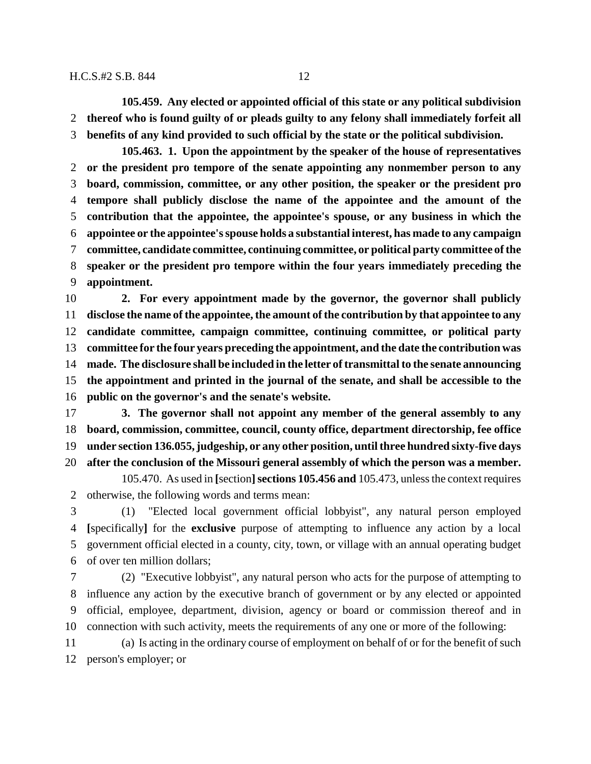**105.459. Any elected or appointed official of this state or any political subdivision thereof who is found guilty of or pleads guilty to any felony shall immediately forfeit all benefits of any kind provided to such official by the state or the political subdivision.**

**105.463. 1. Upon the appointment by the speaker of the house of representatives or the president pro tempore of the senate appointing any nonmember person to any board, commission, committee, or any other position, the speaker or the president pro tempore shall publicly disclose the name of the appointee and the amount of the contribution that the appointee, the appointee's spouse, or any business in which the appointee or the appointee's spouse holds a substantial interest, has made to any campaign committee, candidate committee, continuing committee, or political party committee of the speaker or the president pro tempore within the four years immediately preceding the appointment.**

 **2. For every appointment made by the governor, the governor shall publicly disclose the name of the appointee, the amount of the contribution by that appointee to any candidate committee, campaign committee, continuing committee, or political party committee for the four years preceding the appointment, and the date the contribution was made. The disclosure shall be included in the letter of transmittal to the senate announcing the appointment and printed in the journal of the senate, and shall be accessible to the public on the governor's and the senate's website.**

 **3. The governor shall not appoint any member of the general assembly to any board, commission, committee, council, county office, department directorship, fee office under section 136.055, judgeship, or any other position, until three hundred sixty-five days after the conclusion of the Missouri general assembly of which the person was a member.**

105.470. As used in **[**section**]sections 105.456 and** 105.473, unless the context requires otherwise, the following words and terms mean:

 (1) "Elected local government official lobbyist", any natural person employed **[**specifically**]** for the **exclusive** purpose of attempting to influence any action by a local government official elected in a county, city, town, or village with an annual operating budget of over ten million dollars;

 (2) "Executive lobbyist", any natural person who acts for the purpose of attempting to influence any action by the executive branch of government or by any elected or appointed official, employee, department, division, agency or board or commission thereof and in connection with such activity, meets the requirements of any one or more of the following:

 (a) Is acting in the ordinary course of employment on behalf of or for the benefit of such person's employer; or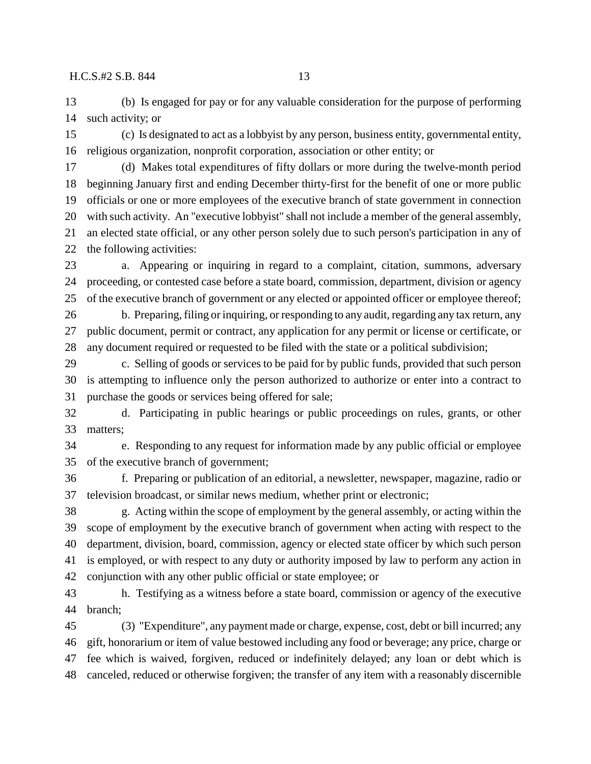(b) Is engaged for pay or for any valuable consideration for the purpose of performing such activity; or

 (c) Is designated to act as a lobbyist by any person, business entity, governmental entity, religious organization, nonprofit corporation, association or other entity; or

 (d) Makes total expenditures of fifty dollars or more during the twelve-month period beginning January first and ending December thirty-first for the benefit of one or more public officials or one or more employees of the executive branch of state government in connection with such activity. An "executive lobbyist" shall not include a member of the general assembly, an elected state official, or any other person solely due to such person's participation in any of the following activities:

 a. Appearing or inquiring in regard to a complaint, citation, summons, adversary proceeding, or contested case before a state board, commission, department, division or agency of the executive branch of government or any elected or appointed officer or employee thereof;

 b. Preparing, filing or inquiring, or responding to any audit, regarding any tax return, any public document, permit or contract, any application for any permit or license or certificate, or any document required or requested to be filed with the state or a political subdivision;

 c. Selling of goods or services to be paid for by public funds, provided that such person is attempting to influence only the person authorized to authorize or enter into a contract to purchase the goods or services being offered for sale;

 d. Participating in public hearings or public proceedings on rules, grants, or other matters;

 e. Responding to any request for information made by any public official or employee of the executive branch of government;

 f. Preparing or publication of an editorial, a newsletter, newspaper, magazine, radio or television broadcast, or similar news medium, whether print or electronic;

 g. Acting within the scope of employment by the general assembly, or acting within the scope of employment by the executive branch of government when acting with respect to the department, division, board, commission, agency or elected state officer by which such person is employed, or with respect to any duty or authority imposed by law to perform any action in conjunction with any other public official or state employee; or

 h. Testifying as a witness before a state board, commission or agency of the executive branch;

 (3) "Expenditure", any payment made or charge, expense, cost, debt or bill incurred; any gift, honorarium or item of value bestowed including any food or beverage; any price, charge or fee which is waived, forgiven, reduced or indefinitely delayed; any loan or debt which is canceled, reduced or otherwise forgiven; the transfer of any item with a reasonably discernible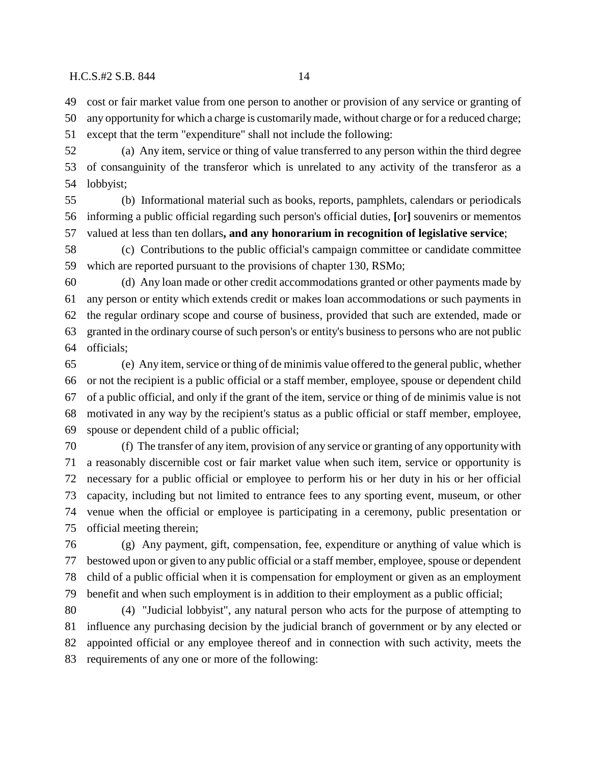cost or fair market value from one person to another or provision of any service or granting of

any opportunity for which a charge is customarily made, without charge or for a reduced charge;

except that the term "expenditure" shall not include the following:

 (a) Any item, service or thing of value transferred to any person within the third degree of consanguinity of the transferor which is unrelated to any activity of the transferor as a lobbyist;

 (b) Informational material such as books, reports, pamphlets, calendars or periodicals informing a public official regarding such person's official duties, **[**or**]** souvenirs or mementos valued at less than ten dollars**, and any honorarium in recognition of legislative service**;

 (c) Contributions to the public official's campaign committee or candidate committee which are reported pursuant to the provisions of chapter 130, RSMo;

 (d) Any loan made or other credit accommodations granted or other payments made by any person or entity which extends credit or makes loan accommodations or such payments in the regular ordinary scope and course of business, provided that such are extended, made or granted in the ordinary course of such person's or entity's business to persons who are not public officials;

 (e) Any item, service or thing of de minimis value offered to the general public, whether or not the recipient is a public official or a staff member, employee, spouse or dependent child of a public official, and only if the grant of the item, service or thing of de minimis value is not motivated in any way by the recipient's status as a public official or staff member, employee, spouse or dependent child of a public official;

 (f) The transfer of any item, provision of any service or granting of any opportunity with a reasonably discernible cost or fair market value when such item, service or opportunity is necessary for a public official or employee to perform his or her duty in his or her official capacity, including but not limited to entrance fees to any sporting event, museum, or other venue when the official or employee is participating in a ceremony, public presentation or official meeting therein;

 (g) Any payment, gift, compensation, fee, expenditure or anything of value which is bestowed upon or given to any public official or a staff member, employee, spouse or dependent child of a public official when it is compensation for employment or given as an employment benefit and when such employment is in addition to their employment as a public official;

 (4) "Judicial lobbyist", any natural person who acts for the purpose of attempting to influence any purchasing decision by the judicial branch of government or by any elected or appointed official or any employee thereof and in connection with such activity, meets the requirements of any one or more of the following: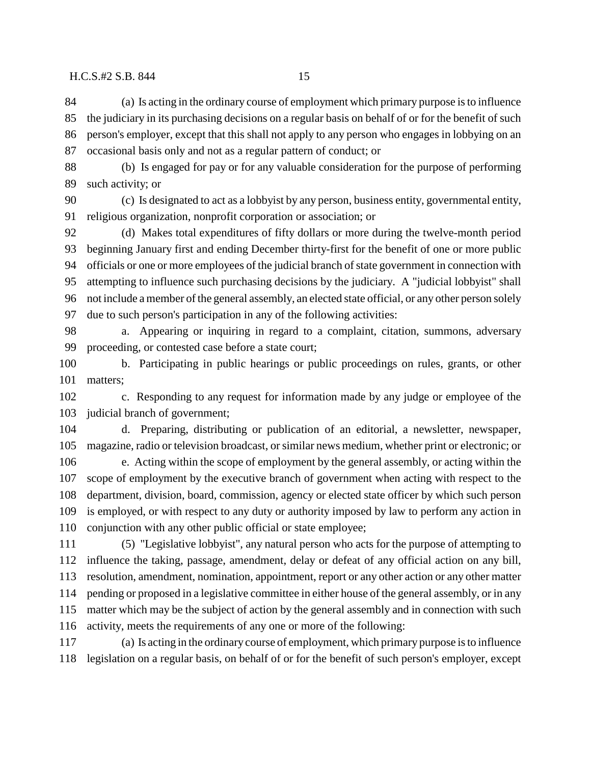(a) Is acting in the ordinary course of employment which primary purpose is to influence the judiciary in its purchasing decisions on a regular basis on behalf of or for the benefit of such person's employer, except that this shall not apply to any person who engages in lobbying on an occasional basis only and not as a regular pattern of conduct; or

 (b) Is engaged for pay or for any valuable consideration for the purpose of performing such activity; or

 (c) Is designated to act as a lobbyist by any person, business entity, governmental entity, religious organization, nonprofit corporation or association; or

 (d) Makes total expenditures of fifty dollars or more during the twelve-month period beginning January first and ending December thirty-first for the benefit of one or more public officials or one or more employees of the judicial branch of state government in connection with attempting to influence such purchasing decisions by the judiciary. A "judicial lobbyist" shall not include a member of the general assembly, an elected state official, or any other person solely due to such person's participation in any of the following activities:

 a. Appearing or inquiring in regard to a complaint, citation, summons, adversary proceeding, or contested case before a state court;

 b. Participating in public hearings or public proceedings on rules, grants, or other matters;

 c. Responding to any request for information made by any judge or employee of the judicial branch of government;

 d. Preparing, distributing or publication of an editorial, a newsletter, newspaper, magazine, radio or television broadcast, or similar news medium, whether print or electronic; or

 e. Acting within the scope of employment by the general assembly, or acting within the scope of employment by the executive branch of government when acting with respect to the department, division, board, commission, agency or elected state officer by which such person is employed, or with respect to any duty or authority imposed by law to perform any action in conjunction with any other public official or state employee;

 (5) "Legislative lobbyist", any natural person who acts for the purpose of attempting to influence the taking, passage, amendment, delay or defeat of any official action on any bill, resolution, amendment, nomination, appointment, report or any other action or any other matter pending or proposed in a legislative committee in either house of the general assembly, or in any matter which may be the subject of action by the general assembly and in connection with such activity, meets the requirements of any one or more of the following:

 (a) Is acting in the ordinary course of employment, which primary purpose is to influence legislation on a regular basis, on behalf of or for the benefit of such person's employer, except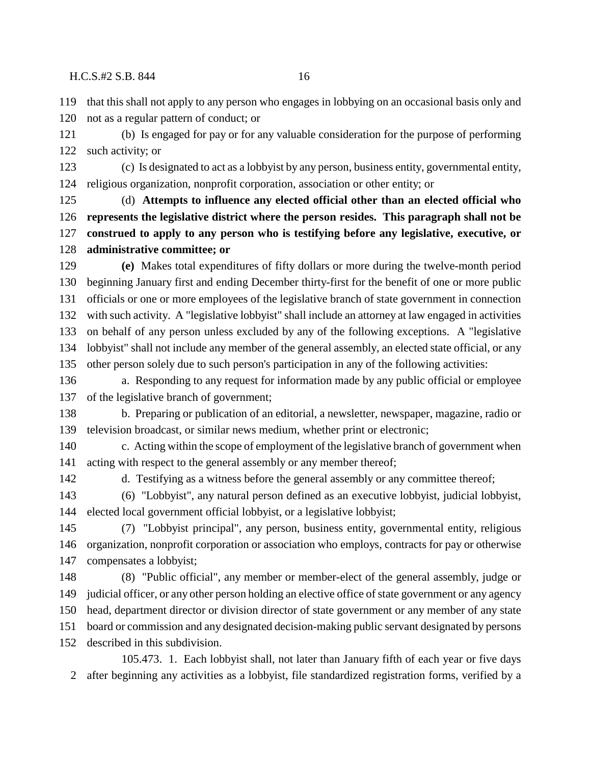that this shall not apply to any person who engages in lobbying on an occasional basis only and

not as a regular pattern of conduct; or

 (b) Is engaged for pay or for any valuable consideration for the purpose of performing such activity; or

 (c) Is designated to act as a lobbyist by any person, business entity, governmental entity, religious organization, nonprofit corporation, association or other entity; or

 (d) **Attempts to influence any elected official other than an elected official who represents the legislative district where the person resides. This paragraph shall not be construed to apply to any person who is testifying before any legislative, executive, or administrative committee; or**

 **(e)** Makes total expenditures of fifty dollars or more during the twelve-month period beginning January first and ending December thirty-first for the benefit of one or more public officials or one or more employees of the legislative branch of state government in connection with such activity. A "legislative lobbyist" shall include an attorney at law engaged in activities on behalf of any person unless excluded by any of the following exceptions. A "legislative lobbyist" shall not include any member of the general assembly, an elected state official, or any other person solely due to such person's participation in any of the following activities:

 a. Responding to any request for information made by any public official or employee of the legislative branch of government;

 b. Preparing or publication of an editorial, a newsletter, newspaper, magazine, radio or television broadcast, or similar news medium, whether print or electronic;

 c. Acting within the scope of employment of the legislative branch of government when acting with respect to the general assembly or any member thereof;

d. Testifying as a witness before the general assembly or any committee thereof;

 (6) "Lobbyist", any natural person defined as an executive lobbyist, judicial lobbyist, elected local government official lobbyist, or a legislative lobbyist;

 (7) "Lobbyist principal", any person, business entity, governmental entity, religious organization, nonprofit corporation or association who employs, contracts for pay or otherwise compensates a lobbyist;

 (8) "Public official", any member or member-elect of the general assembly, judge or judicial officer, or any other person holding an elective office of state government or any agency head, department director or division director of state government or any member of any state board or commission and any designated decision-making public servant designated by persons described in this subdivision.

105.473. 1. Each lobbyist shall, not later than January fifth of each year or five days after beginning any activities as a lobbyist, file standardized registration forms, verified by a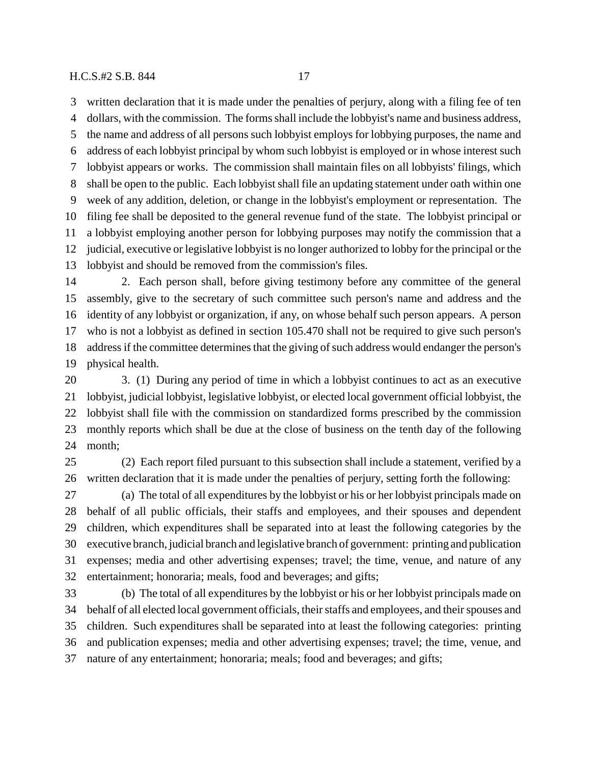written declaration that it is made under the penalties of perjury, along with a filing fee of ten dollars, with the commission. The forms shall include the lobbyist's name and business address, the name and address of all persons such lobbyist employs for lobbying purposes, the name and address of each lobbyist principal by whom such lobbyist is employed or in whose interest such lobbyist appears or works. The commission shall maintain files on all lobbyists' filings, which shall be open to the public. Each lobbyist shall file an updating statement under oath within one week of any addition, deletion, or change in the lobbyist's employment or representation. The filing fee shall be deposited to the general revenue fund of the state. The lobbyist principal or a lobbyist employing another person for lobbying purposes may notify the commission that a judicial, executive or legislative lobbyist is no longer authorized to lobby for the principal or the

lobbyist and should be removed from the commission's files.

 2. Each person shall, before giving testimony before any committee of the general assembly, give to the secretary of such committee such person's name and address and the identity of any lobbyist or organization, if any, on whose behalf such person appears. A person who is not a lobbyist as defined in section 105.470 shall not be required to give such person's address if the committee determines that the giving of such address would endanger the person's physical health.

 3. (1) During any period of time in which a lobbyist continues to act as an executive lobbyist, judicial lobbyist, legislative lobbyist, or elected local government official lobbyist, the lobbyist shall file with the commission on standardized forms prescribed by the commission monthly reports which shall be due at the close of business on the tenth day of the following month;

 (2) Each report filed pursuant to this subsection shall include a statement, verified by a written declaration that it is made under the penalties of perjury, setting forth the following:

 (a) The total of all expenditures by the lobbyist or his or her lobbyist principals made on behalf of all public officials, their staffs and employees, and their spouses and dependent children, which expenditures shall be separated into at least the following categories by the executive branch, judicial branch and legislative branch of government: printing and publication expenses; media and other advertising expenses; travel; the time, venue, and nature of any entertainment; honoraria; meals, food and beverages; and gifts;

 (b) The total of all expenditures by the lobbyist or his or her lobbyist principals made on behalf of all elected local government officials, their staffs and employees, and their spouses and children. Such expenditures shall be separated into at least the following categories: printing and publication expenses; media and other advertising expenses; travel; the time, venue, and nature of any entertainment; honoraria; meals; food and beverages; and gifts;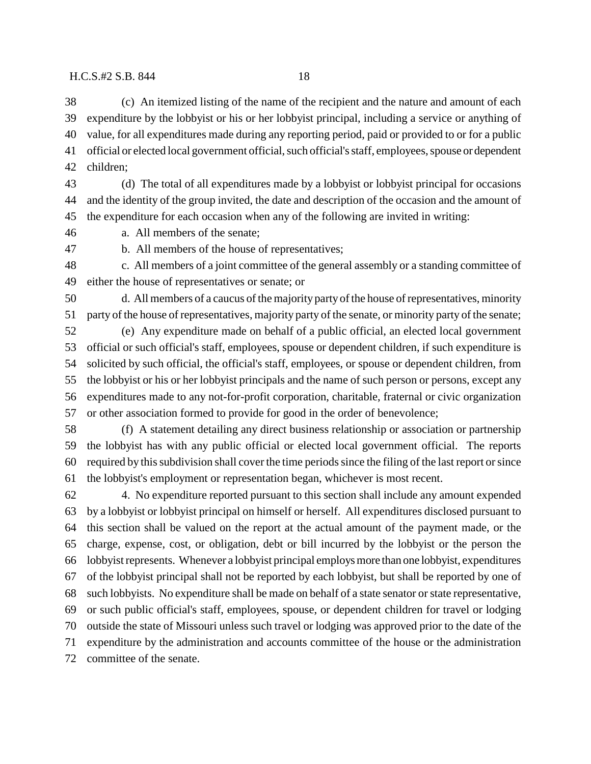(c) An itemized listing of the name of the recipient and the nature and amount of each expenditure by the lobbyist or his or her lobbyist principal, including a service or anything of value, for all expenditures made during any reporting period, paid or provided to or for a public official or elected local government official, such official's staff, employees, spouse or dependent children;

 (d) The total of all expenditures made by a lobbyist or lobbyist principal for occasions and the identity of the group invited, the date and description of the occasion and the amount of the expenditure for each occasion when any of the following are invited in writing:

a. All members of the senate;

b. All members of the house of representatives;

 c. All members of a joint committee of the general assembly or a standing committee of either the house of representatives or senate; or

 d. All members of a caucus of the majority party of the house of representatives, minority party of the house of representatives, majority party of the senate, or minority party of the senate;

 (e) Any expenditure made on behalf of a public official, an elected local government official or such official's staff, employees, spouse or dependent children, if such expenditure is solicited by such official, the official's staff, employees, or spouse or dependent children, from the lobbyist or his or her lobbyist principals and the name of such person or persons, except any expenditures made to any not-for-profit corporation, charitable, fraternal or civic organization or other association formed to provide for good in the order of benevolence;

 (f) A statement detailing any direct business relationship or association or partnership the lobbyist has with any public official or elected local government official. The reports required by this subdivision shall cover the time periods since the filing of the last report or since the lobbyist's employment or representation began, whichever is most recent.

 4. No expenditure reported pursuant to this section shall include any amount expended by a lobbyist or lobbyist principal on himself or herself. All expenditures disclosed pursuant to this section shall be valued on the report at the actual amount of the payment made, or the charge, expense, cost, or obligation, debt or bill incurred by the lobbyist or the person the lobbyist represents. Whenever a lobbyist principal employs more than one lobbyist, expenditures of the lobbyist principal shall not be reported by each lobbyist, but shall be reported by one of such lobbyists. No expenditure shall be made on behalf of a state senator or state representative, or such public official's staff, employees, spouse, or dependent children for travel or lodging outside the state of Missouri unless such travel or lodging was approved prior to the date of the expenditure by the administration and accounts committee of the house or the administration committee of the senate.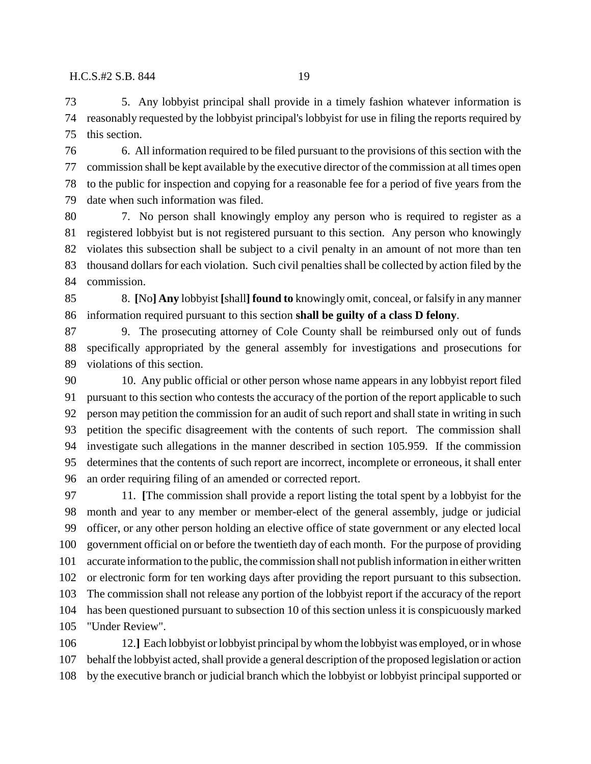5. Any lobbyist principal shall provide in a timely fashion whatever information is reasonably requested by the lobbyist principal's lobbyist for use in filing the reports required by this section.

 6. All information required to be filed pursuant to the provisions of this section with the commission shall be kept available by the executive director of the commission at all times open to the public for inspection and copying for a reasonable fee for a period of five years from the date when such information was filed.

 7. No person shall knowingly employ any person who is required to register as a registered lobbyist but is not registered pursuant to this section. Any person who knowingly violates this subsection shall be subject to a civil penalty in an amount of not more than ten thousand dollars for each violation. Such civil penalties shall be collected by action filed by the commission.

 8. **[**No**] Any** lobbyist **[**shall**] found to** knowingly omit, conceal, or falsify in any manner information required pursuant to this section **shall be guilty of a class D felony**.

 9. The prosecuting attorney of Cole County shall be reimbursed only out of funds specifically appropriated by the general assembly for investigations and prosecutions for violations of this section.

 10. Any public official or other person whose name appears in any lobbyist report filed pursuant to this section who contests the accuracy of the portion of the report applicable to such person may petition the commission for an audit of such report and shall state in writing in such petition the specific disagreement with the contents of such report. The commission shall investigate such allegations in the manner described in section 105.959. If the commission determines that the contents of such report are incorrect, incomplete or erroneous, it shall enter an order requiring filing of an amended or corrected report.

 11. **[**The commission shall provide a report listing the total spent by a lobbyist for the month and year to any member or member-elect of the general assembly, judge or judicial officer, or any other person holding an elective office of state government or any elected local government official on or before the twentieth day of each month. For the purpose of providing accurate information to the public, the commission shall not publish information in either written or electronic form for ten working days after providing the report pursuant to this subsection. The commission shall not release any portion of the lobbyist report if the accuracy of the report has been questioned pursuant to subsection 10 of this section unless it is conspicuously marked "Under Review".

 12.**]** Each lobbyist or lobbyist principal by whom the lobbyist was employed, or in whose behalf the lobbyist acted, shall provide a general description of the proposed legislation or action by the executive branch or judicial branch which the lobbyist or lobbyist principal supported or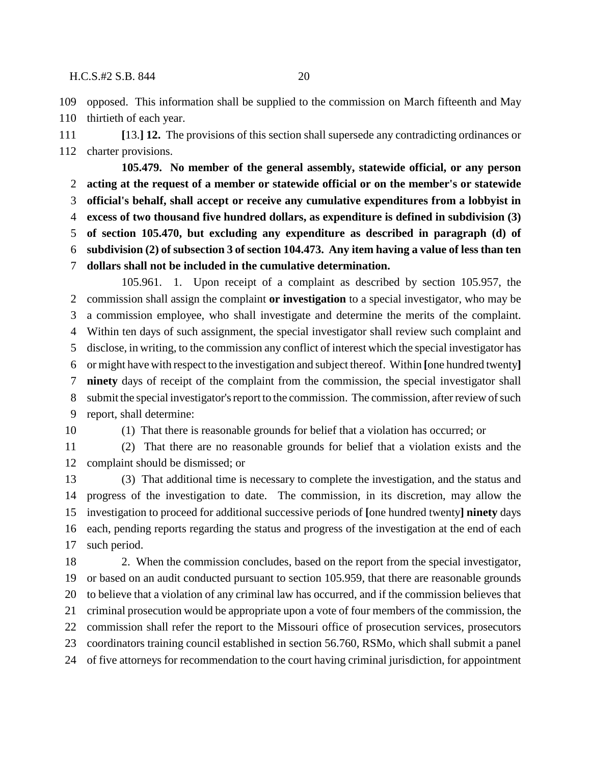opposed. This information shall be supplied to the commission on March fifteenth and May thirtieth of each year.

 **[**13.**] 12.** The provisions of this section shall supersede any contradicting ordinances or charter provisions.

**105.479. No member of the general assembly, statewide official, or any person acting at the request of a member or statewide official or on the member's or statewide official's behalf, shall accept or receive any cumulative expenditures from a lobbyist in excess of two thousand five hundred dollars, as expenditure is defined in subdivision (3) of section 105.470, but excluding any expenditure as described in paragraph (d) of subdivision (2) of subsection 3 of section 104.473. Any item having a value of less than ten dollars shall not be included in the cumulative determination.**

105.961. 1. Upon receipt of a complaint as described by section 105.957, the commission shall assign the complaint **or investigation** to a special investigator, who may be a commission employee, who shall investigate and determine the merits of the complaint. Within ten days of such assignment, the special investigator shall review such complaint and disclose, in writing, to the commission any conflict of interest which the special investigator has or might have with respect to the investigation and subject thereof. Within **[**one hundred twenty**] ninety** days of receipt of the complaint from the commission, the special investigator shall submit the special investigator's report to the commission. The commission, after review of such report, shall determine:

(1) That there is reasonable grounds for belief that a violation has occurred; or

 (2) That there are no reasonable grounds for belief that a violation exists and the complaint should be dismissed; or

 (3) That additional time is necessary to complete the investigation, and the status and progress of the investigation to date. The commission, in its discretion, may allow the investigation to proceed for additional successive periods of **[**one hundred twenty**] ninety** days each, pending reports regarding the status and progress of the investigation at the end of each such period.

 2. When the commission concludes, based on the report from the special investigator, or based on an audit conducted pursuant to section 105.959, that there are reasonable grounds to believe that a violation of any criminal law has occurred, and if the commission believes that criminal prosecution would be appropriate upon a vote of four members of the commission, the commission shall refer the report to the Missouri office of prosecution services, prosecutors coordinators training council established in section 56.760, RSMo, which shall submit a panel of five attorneys for recommendation to the court having criminal jurisdiction, for appointment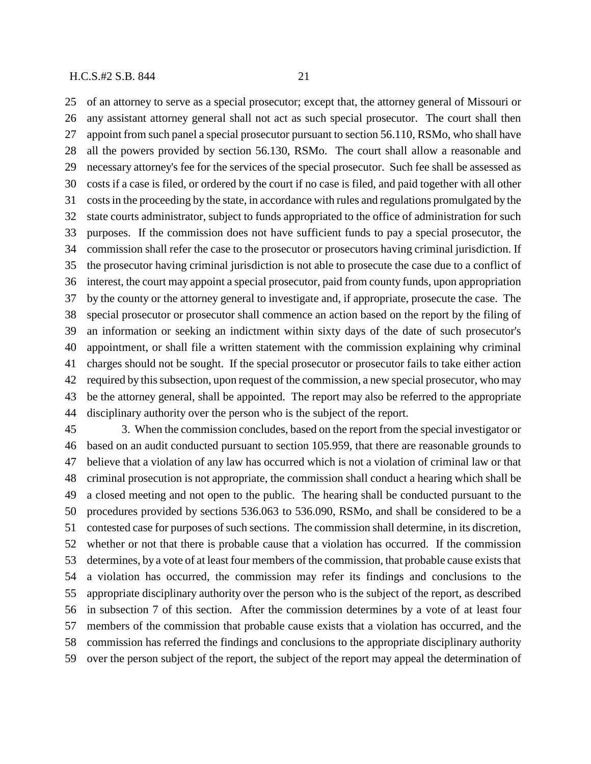of an attorney to serve as a special prosecutor; except that, the attorney general of Missouri or any assistant attorney general shall not act as such special prosecutor. The court shall then appoint from such panel a special prosecutor pursuant to section 56.110, RSMo, who shall have all the powers provided by section 56.130, RSMo. The court shall allow a reasonable and necessary attorney's fee for the services of the special prosecutor. Such fee shall be assessed as costs if a case is filed, or ordered by the court if no case is filed, and paid together with all other costs in the proceeding by the state, in accordance with rules and regulations promulgated by the state courts administrator, subject to funds appropriated to the office of administration for such purposes. If the commission does not have sufficient funds to pay a special prosecutor, the commission shall refer the case to the prosecutor or prosecutors having criminal jurisdiction. If the prosecutor having criminal jurisdiction is not able to prosecute the case due to a conflict of interest, the court may appoint a special prosecutor, paid from county funds, upon appropriation by the county or the attorney general to investigate and, if appropriate, prosecute the case. The special prosecutor or prosecutor shall commence an action based on the report by the filing of an information or seeking an indictment within sixty days of the date of such prosecutor's appointment, or shall file a written statement with the commission explaining why criminal charges should not be sought. If the special prosecutor or prosecutor fails to take either action required by this subsection, upon request of the commission, a new special prosecutor, who may be the attorney general, shall be appointed. The report may also be referred to the appropriate disciplinary authority over the person who is the subject of the report.

 3. When the commission concludes, based on the report from the special investigator or based on an audit conducted pursuant to section 105.959, that there are reasonable grounds to believe that a violation of any law has occurred which is not a violation of criminal law or that criminal prosecution is not appropriate, the commission shall conduct a hearing which shall be a closed meeting and not open to the public. The hearing shall be conducted pursuant to the procedures provided by sections 536.063 to 536.090, RSMo, and shall be considered to be a contested case for purposes of such sections. The commission shall determine, in its discretion, whether or not that there is probable cause that a violation has occurred. If the commission determines, by a vote of at least four members of the commission, that probable cause exists that a violation has occurred, the commission may refer its findings and conclusions to the appropriate disciplinary authority over the person who is the subject of the report, as described in subsection 7 of this section. After the commission determines by a vote of at least four members of the commission that probable cause exists that a violation has occurred, and the commission has referred the findings and conclusions to the appropriate disciplinary authority over the person subject of the report, the subject of the report may appeal the determination of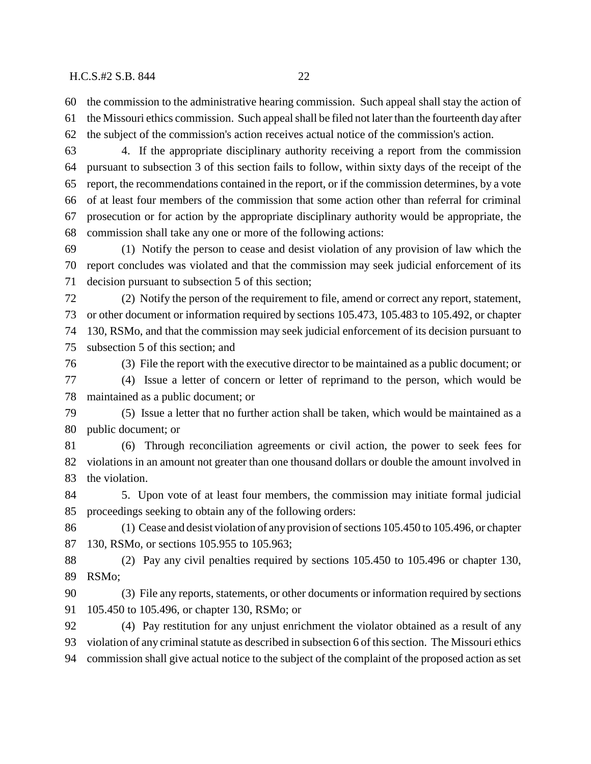the commission to the administrative hearing commission. Such appeal shall stay the action of

the Missouri ethics commission. Such appeal shall be filed not later than the fourteenth day after

the subject of the commission's action receives actual notice of the commission's action.

 4. If the appropriate disciplinary authority receiving a report from the commission pursuant to subsection 3 of this section fails to follow, within sixty days of the receipt of the report, the recommendations contained in the report, or if the commission determines, by a vote of at least four members of the commission that some action other than referral for criminal prosecution or for action by the appropriate disciplinary authority would be appropriate, the commission shall take any one or more of the following actions:

 (1) Notify the person to cease and desist violation of any provision of law which the report concludes was violated and that the commission may seek judicial enforcement of its decision pursuant to subsection 5 of this section;

 (2) Notify the person of the requirement to file, amend or correct any report, statement, or other document or information required by sections 105.473, 105.483 to 105.492, or chapter 130, RSMo, and that the commission may seek judicial enforcement of its decision pursuant to subsection 5 of this section; and

(3) File the report with the executive director to be maintained as a public document; or

 (4) Issue a letter of concern or letter of reprimand to the person, which would be maintained as a public document; or

 (5) Issue a letter that no further action shall be taken, which would be maintained as a public document; or

 (6) Through reconciliation agreements or civil action, the power to seek fees for violations in an amount not greater than one thousand dollars or double the amount involved in the violation.

 5. Upon vote of at least four members, the commission may initiate formal judicial proceedings seeking to obtain any of the following orders:

 (1) Cease and desist violation of any provision of sections 105.450 to 105.496, or chapter 130, RSMo, or sections 105.955 to 105.963;

 (2) Pay any civil penalties required by sections 105.450 to 105.496 or chapter 130, RSMo;

 (3) File any reports, statements, or other documents or information required by sections 105.450 to 105.496, or chapter 130, RSMo; or

 (4) Pay restitution for any unjust enrichment the violator obtained as a result of any violation of any criminal statute as described in subsection 6 of this section. The Missouri ethics commission shall give actual notice to the subject of the complaint of the proposed action as set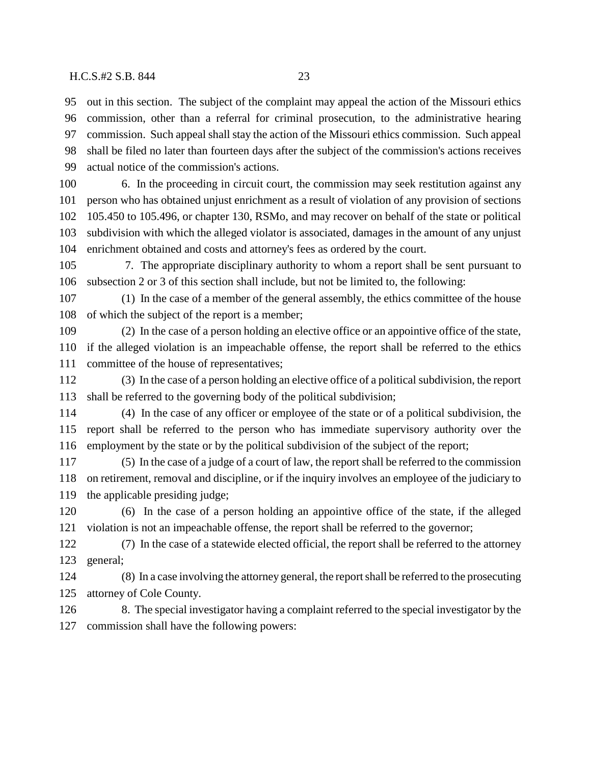out in this section. The subject of the complaint may appeal the action of the Missouri ethics commission, other than a referral for criminal prosecution, to the administrative hearing commission. Such appeal shall stay the action of the Missouri ethics commission. Such appeal shall be filed no later than fourteen days after the subject of the commission's actions receives actual notice of the commission's actions.

 6. In the proceeding in circuit court, the commission may seek restitution against any person who has obtained unjust enrichment as a result of violation of any provision of sections 105.450 to 105.496, or chapter 130, RSMo, and may recover on behalf of the state or political subdivision with which the alleged violator is associated, damages in the amount of any unjust enrichment obtained and costs and attorney's fees as ordered by the court.

105 7. The appropriate disciplinary authority to whom a report shall be sent pursuant to subsection 2 or 3 of this section shall include, but not be limited to, the following:

 (1) In the case of a member of the general assembly, the ethics committee of the house of which the subject of the report is a member;

 (2) In the case of a person holding an elective office or an appointive office of the state, if the alleged violation is an impeachable offense, the report shall be referred to the ethics committee of the house of representatives;

 (3) In the case of a person holding an elective office of a political subdivision, the report shall be referred to the governing body of the political subdivision;

 (4) In the case of any officer or employee of the state or of a political subdivision, the report shall be referred to the person who has immediate supervisory authority over the employment by the state or by the political subdivision of the subject of the report;

 (5) In the case of a judge of a court of law, the report shall be referred to the commission on retirement, removal and discipline, or if the inquiry involves an employee of the judiciary to the applicable presiding judge;

 (6) In the case of a person holding an appointive office of the state, if the alleged violation is not an impeachable offense, the report shall be referred to the governor;

 (7) In the case of a statewide elected official, the report shall be referred to the attorney general;

 (8) In a case involving the attorney general, the report shall be referred to the prosecuting attorney of Cole County.

126 8. The special investigator having a complaint referred to the special investigator by the commission shall have the following powers: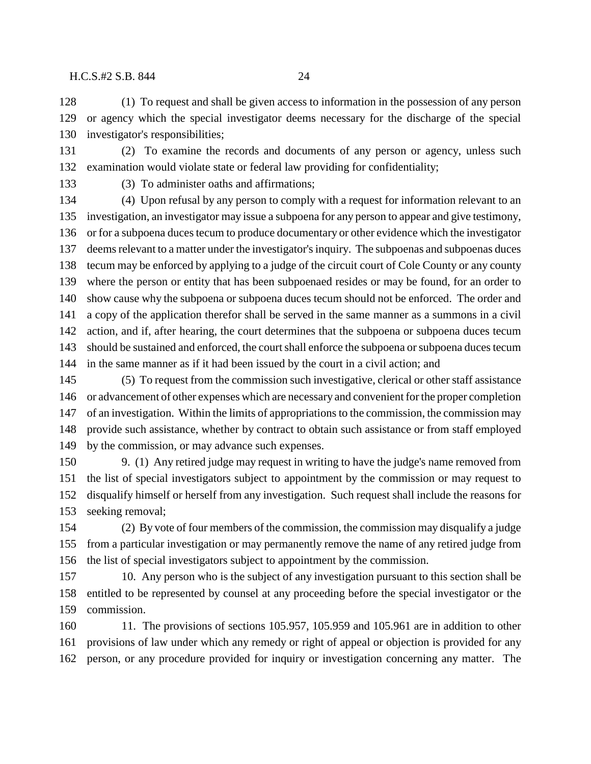(1) To request and shall be given access to information in the possession of any person or agency which the special investigator deems necessary for the discharge of the special investigator's responsibilities;

 (2) To examine the records and documents of any person or agency, unless such examination would violate state or federal law providing for confidentiality;

(3) To administer oaths and affirmations;

 (4) Upon refusal by any person to comply with a request for information relevant to an investigation, an investigator may issue a subpoena for any person to appear and give testimony, or for a subpoena duces tecum to produce documentary or other evidence which the investigator deems relevant to a matter under the investigator's inquiry. The subpoenas and subpoenas duces tecum may be enforced by applying to a judge of the circuit court of Cole County or any county where the person or entity that has been subpoenaed resides or may be found, for an order to show cause why the subpoena or subpoena duces tecum should not be enforced. The order and a copy of the application therefor shall be served in the same manner as a summons in a civil action, and if, after hearing, the court determines that the subpoena or subpoena duces tecum should be sustained and enforced, the court shall enforce the subpoena or subpoena duces tecum in the same manner as if it had been issued by the court in a civil action; and

 (5) To request from the commission such investigative, clerical or other staff assistance or advancement of other expenses which are necessary and convenient for the proper completion of an investigation. Within the limits of appropriations to the commission, the commission may provide such assistance, whether by contract to obtain such assistance or from staff employed by the commission, or may advance such expenses.

 9. (1) Any retired judge may request in writing to have the judge's name removed from the list of special investigators subject to appointment by the commission or may request to disqualify himself or herself from any investigation. Such request shall include the reasons for seeking removal;

 (2) By vote of four members of the commission, the commission may disqualify a judge from a particular investigation or may permanently remove the name of any retired judge from the list of special investigators subject to appointment by the commission.

 10. Any person who is the subject of any investigation pursuant to this section shall be entitled to be represented by counsel at any proceeding before the special investigator or the commission.

 11. The provisions of sections 105.957, 105.959 and 105.961 are in addition to other provisions of law under which any remedy or right of appeal or objection is provided for any person, or any procedure provided for inquiry or investigation concerning any matter. The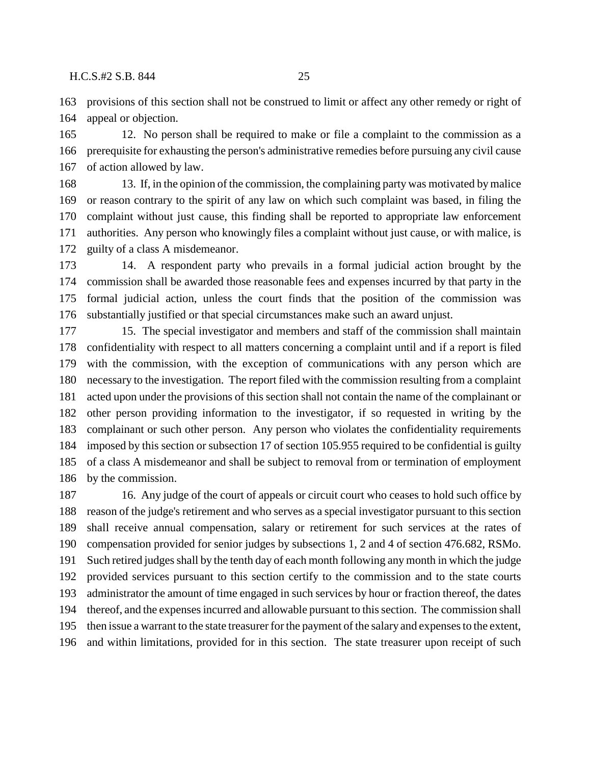provisions of this section shall not be construed to limit or affect any other remedy or right of appeal or objection.

 12. No person shall be required to make or file a complaint to the commission as a prerequisite for exhausting the person's administrative remedies before pursuing any civil cause of action allowed by law.

 13. If, in the opinion of the commission, the complaining party was motivated by malice or reason contrary to the spirit of any law on which such complaint was based, in filing the complaint without just cause, this finding shall be reported to appropriate law enforcement authorities. Any person who knowingly files a complaint without just cause, or with malice, is guilty of a class A misdemeanor.

 14. A respondent party who prevails in a formal judicial action brought by the commission shall be awarded those reasonable fees and expenses incurred by that party in the formal judicial action, unless the court finds that the position of the commission was substantially justified or that special circumstances make such an award unjust.

 15. The special investigator and members and staff of the commission shall maintain confidentiality with respect to all matters concerning a complaint until and if a report is filed with the commission, with the exception of communications with any person which are necessary to the investigation. The report filed with the commission resulting from a complaint acted upon under the provisions of this section shall not contain the name of the complainant or other person providing information to the investigator, if so requested in writing by the complainant or such other person. Any person who violates the confidentiality requirements imposed by this section or subsection 17 of section 105.955 required to be confidential is guilty of a class A misdemeanor and shall be subject to removal from or termination of employment by the commission.

 16. Any judge of the court of appeals or circuit court who ceases to hold such office by reason of the judge's retirement and who serves as a special investigator pursuant to this section shall receive annual compensation, salary or retirement for such services at the rates of compensation provided for senior judges by subsections 1, 2 and 4 of section 476.682, RSMo. Such retired judges shall by the tenth day of each month following any month in which the judge provided services pursuant to this section certify to the commission and to the state courts administrator the amount of time engaged in such services by hour or fraction thereof, the dates thereof, and the expenses incurred and allowable pursuant to this section. The commission shall then issue a warrant to the state treasurer for the payment of the salary and expenses to the extent, and within limitations, provided for in this section. The state treasurer upon receipt of such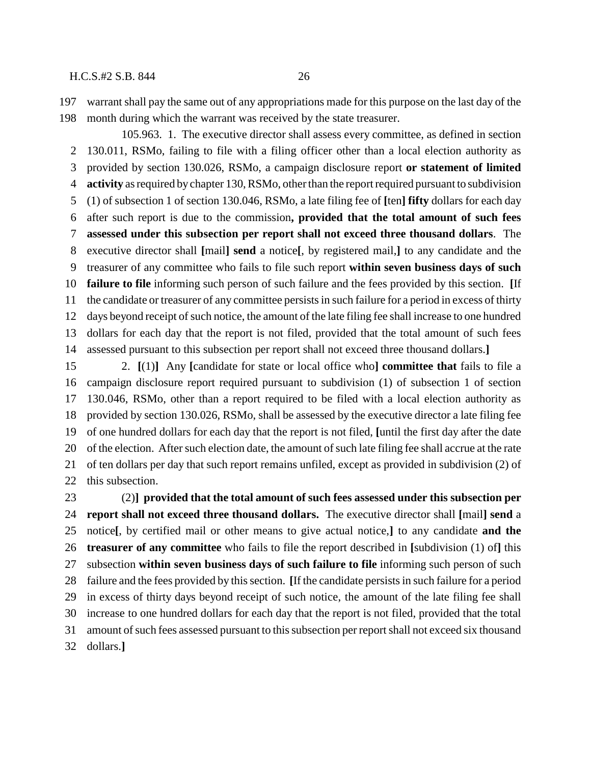warrant shall pay the same out of any appropriations made for this purpose on the last day of the month during which the warrant was received by the state treasurer.

105.963. 1. The executive director shall assess every committee, as defined in section 130.011, RSMo, failing to file with a filing officer other than a local election authority as provided by section 130.026, RSMo, a campaign disclosure report **or statement of limited activity** as required by chapter 130, RSMo, other than the report required pursuant to subdivision (1) of subsection 1 of section 130.046, RSMo, a late filing fee of **[**ten**] fifty** dollars for each day after such report is due to the commission**, provided that the total amount of such fees assessed under this subsection per report shall not exceed three thousand dollars**. The executive director shall **[**mail**] send** a notice**[**, by registered mail,**]** to any candidate and the treasurer of any committee who fails to file such report **within seven business days of such failure to file** informing such person of such failure and the fees provided by this section. **[**If the candidate or treasurer of any committee persists in such failure for a period in excess of thirty days beyond receipt of such notice, the amount of the late filing fee shall increase to one hundred dollars for each day that the report is not filed, provided that the total amount of such fees assessed pursuant to this subsection per report shall not exceed three thousand dollars.**]**

 2. **[**(1)**]** Any **[**candidate for state or local office who**] committee that** fails to file a campaign disclosure report required pursuant to subdivision (1) of subsection 1 of section 130.046, RSMo, other than a report required to be filed with a local election authority as provided by section 130.026, RSMo, shall be assessed by the executive director a late filing fee of one hundred dollars for each day that the report is not filed, **[**until the first day after the date of the election. After such election date, the amount of such late filing fee shall accrue at the rate of ten dollars per day that such report remains unfiled, except as provided in subdivision (2) of this subsection.

 (2)**] provided that the total amount of such fees assessed under this subsection per report shall not exceed three thousand dollars.** The executive director shall **[**mail**] send** a notice**[**, by certified mail or other means to give actual notice,**]** to any candidate **and the treasurer of any committee** who fails to file the report described in **[**subdivision (1) of**]** this subsection **within seven business days of such failure to file** informing such person of such failure and the fees provided by this section. **[**If the candidate persists in such failure for a period in excess of thirty days beyond receipt of such notice, the amount of the late filing fee shall increase to one hundred dollars for each day that the report is not filed, provided that the total amount of such fees assessed pursuant to this subsection per report shall not exceed six thousand dollars.**]**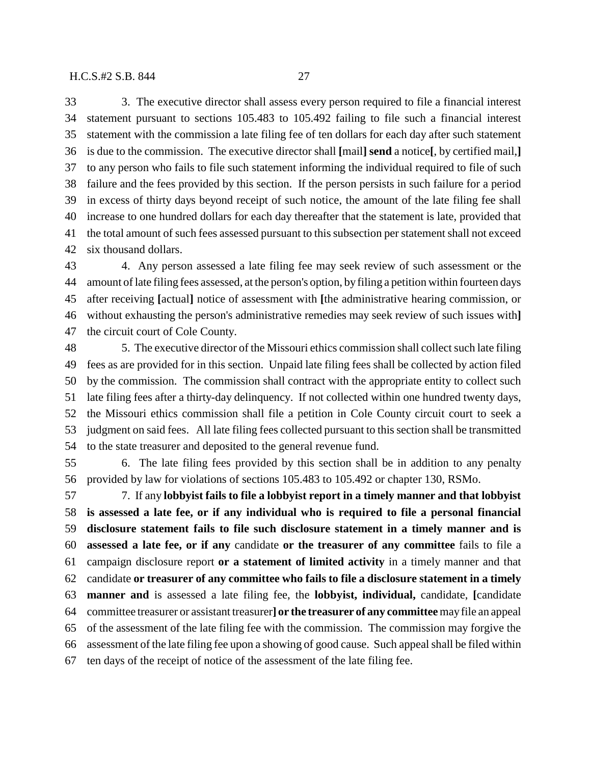3. The executive director shall assess every person required to file a financial interest statement pursuant to sections 105.483 to 105.492 failing to file such a financial interest statement with the commission a late filing fee of ten dollars for each day after such statement is due to the commission. The executive director shall **[**mail**] send** a notice**[**, by certified mail,**]** to any person who fails to file such statement informing the individual required to file of such failure and the fees provided by this section. If the person persists in such failure for a period in excess of thirty days beyond receipt of such notice, the amount of the late filing fee shall increase to one hundred dollars for each day thereafter that the statement is late, provided that the total amount of such fees assessed pursuant to this subsection per statement shall not exceed six thousand dollars.

 4. Any person assessed a late filing fee may seek review of such assessment or the amount of late filing fees assessed, at the person's option, by filing a petition within fourteen days after receiving **[**actual**]** notice of assessment with **[**the administrative hearing commission, or without exhausting the person's administrative remedies may seek review of such issues with**]** the circuit court of Cole County.

 5. The executive director of the Missouri ethics commission shall collect such late filing fees as are provided for in this section. Unpaid late filing fees shall be collected by action filed by the commission. The commission shall contract with the appropriate entity to collect such late filing fees after a thirty-day delinquency. If not collected within one hundred twenty days, the Missouri ethics commission shall file a petition in Cole County circuit court to seek a judgment on said fees. All late filing fees collected pursuant to this section shall be transmitted to the state treasurer and deposited to the general revenue fund.

 6. The late filing fees provided by this section shall be in addition to any penalty provided by law for violations of sections 105.483 to 105.492 or chapter 130, RSMo.

 7. If any **lobbyist fails to file a lobbyist report in a timely manner and that lobbyist is assessed a late fee, or if any individual who is required to file a personal financial disclosure statement fails to file such disclosure statement in a timely manner and is assessed a late fee, or if any** candidate **or the treasurer of any committee** fails to file a campaign disclosure report **or a statement of limited activity** in a timely manner and that candidate **or treasurer of any committee who fails to file a disclosure statement in a timely manner and** is assessed a late filing fee, the **lobbyist, individual,** candidate, **[**candidate committee treasurer or assistant treasurer**] or the treasurer of any committee** may file an appeal of the assessment of the late filing fee with the commission. The commission may forgive the assessment of the late filing fee upon a showing of good cause. Such appeal shall be filed within ten days of the receipt of notice of the assessment of the late filing fee.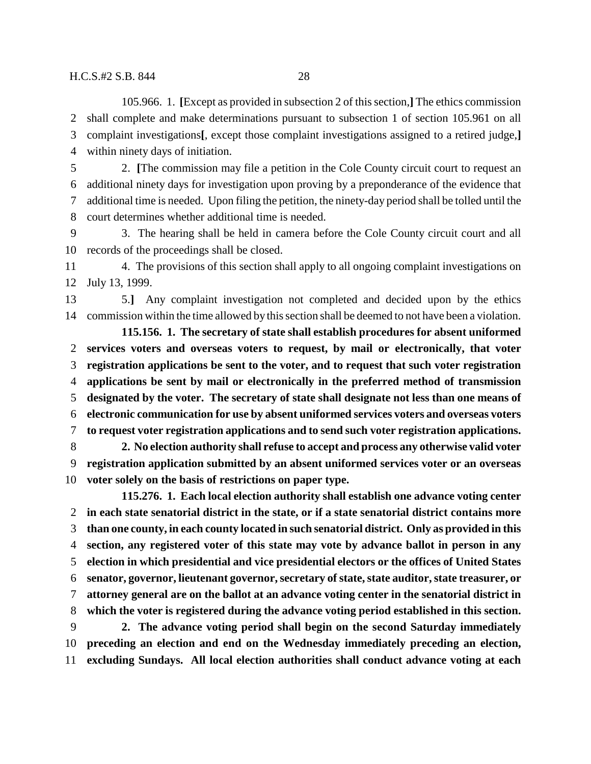105.966. 1. **[**Except as provided in subsection 2 of this section,**]** The ethics commission shall complete and make determinations pursuant to subsection 1 of section 105.961 on all complaint investigations**[**, except those complaint investigations assigned to a retired judge,**]** within ninety days of initiation.

 2. **[**The commission may file a petition in the Cole County circuit court to request an additional ninety days for investigation upon proving by a preponderance of the evidence that additional time is needed. Upon filing the petition, the ninety-day period shall be tolled until the court determines whether additional time is needed.

 3. The hearing shall be held in camera before the Cole County circuit court and all records of the proceedings shall be closed.

 4. The provisions of this section shall apply to all ongoing complaint investigations on July 13, 1999.

 5.**]** Any complaint investigation not completed and decided upon by the ethics commission within the time allowed by this section shall be deemed to not have been a violation.

**115.156. 1. The secretary of state shall establish procedures for absent uniformed services voters and overseas voters to request, by mail or electronically, that voter registration applications be sent to the voter, and to request that such voter registration applications be sent by mail or electronically in the preferred method of transmission designated by the voter. The secretary of state shall designate not less than one means of electronic communication for use by absent uniformed services voters and overseas voters to request voter registration applications and to send such voter registration applications. 2. No election authority shall refuse to accept and process any otherwise valid voter registration application submitted by an absent uniformed services voter or an overseas**

**voter solely on the basis of restrictions on paper type.**

**115.276. 1. Each local election authority shall establish one advance voting center in each state senatorial district in the state, or if a state senatorial district contains more than one county, in each county located in such senatorial district. Only as provided in this section, any registered voter of this state may vote by advance ballot in person in any election in which presidential and vice presidential electors or the offices of United States senator, governor, lieutenant governor, secretary of state, state auditor, state treasurer, or attorney general are on the ballot at an advance voting center in the senatorial district in which the voter is registered during the advance voting period established in this section. 2. The advance voting period shall begin on the second Saturday immediately preceding an election and end on the Wednesday immediately preceding an election, excluding Sundays. All local election authorities shall conduct advance voting at each**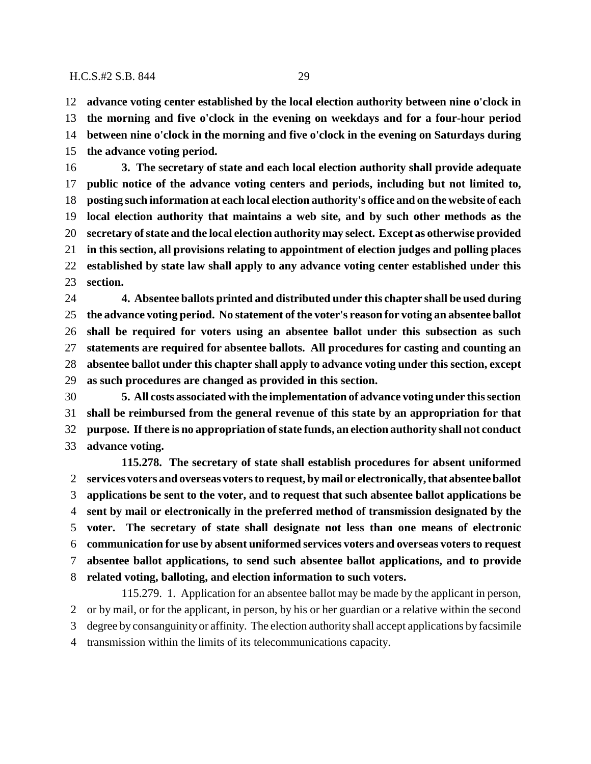**advance voting center established by the local election authority between nine o'clock in**

**the morning and five o'clock in the evening on weekdays and for a four-hour period**

 **between nine o'clock in the morning and five o'clock in the evening on Saturdays during the advance voting period.**

 **3. The secretary of state and each local election authority shall provide adequate public notice of the advance voting centers and periods, including but not limited to, posting such information at each local election authority's office and on the website of each local election authority that maintains a web site, and by such other methods as the secretary of state and the local election authority may select. Except as otherwise provided in this section, all provisions relating to appointment of election judges and polling places established by state law shall apply to any advance voting center established under this section.**

 **4. Absentee ballots printed and distributed under this chapter shall be used during the advance voting period. No statement of the voter's reason for voting an absentee ballot shall be required for voters using an absentee ballot under this subsection as such statements are required for absentee ballots. All procedures for casting and counting an absentee ballot under this chapter shall apply to advance voting under this section, except as such procedures are changed as provided in this section.**

 **5. All costs associated with the implementation of advance voting under this section shall be reimbursed from the general revenue of this state by an appropriation for that purpose. If there is no appropriation of state funds, an election authority shall not conduct advance voting.**

**115.278. The secretary of state shall establish procedures for absent uniformed services voters and overseas voters to request, by mail or electronically, that absentee ballot applications be sent to the voter, and to request that such absentee ballot applications be sent by mail or electronically in the preferred method of transmission designated by the voter. The secretary of state shall designate not less than one means of electronic communication for use by absent uniformed services voters and overseas voters to request absentee ballot applications, to send such absentee ballot applications, and to provide related voting, balloting, and election information to such voters.**

115.279. 1. Application for an absentee ballot may be made by the applicant in person, or by mail, or for the applicant, in person, by his or her guardian or a relative within the second degree by consanguinity or affinity. The election authority shall accept applications by facsimile

transmission within the limits of its telecommunications capacity.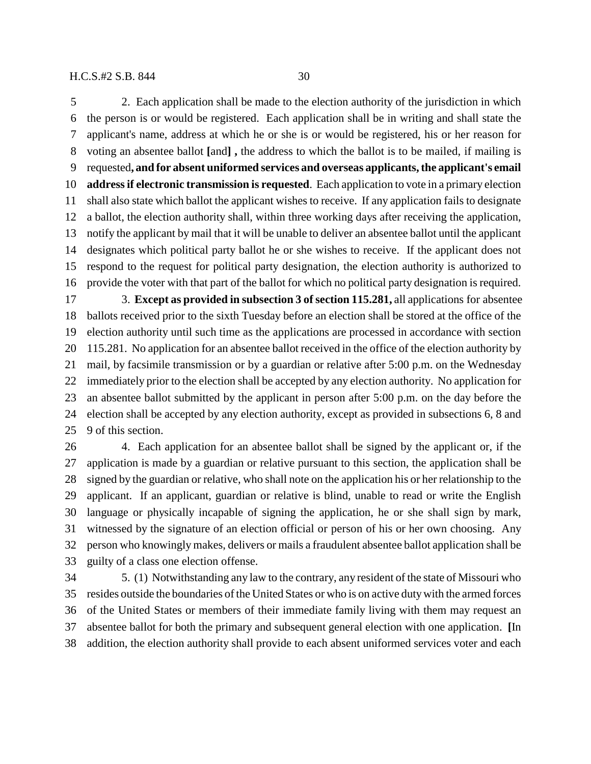2. Each application shall be made to the election authority of the jurisdiction in which the person is or would be registered. Each application shall be in writing and shall state the applicant's name, address at which he or she is or would be registered, his or her reason for voting an absentee ballot **[**and**] ,** the address to which the ballot is to be mailed, if mailing is requested**, and for absent uniformed services and overseas applicants, the applicant's email address if electronic transmission is requested**. Each application to vote in a primary election shall also state which ballot the applicant wishes to receive. If any application fails to designate a ballot, the election authority shall, within three working days after receiving the application, notify the applicant by mail that it will be unable to deliver an absentee ballot until the applicant designates which political party ballot he or she wishes to receive. If the applicant does not respond to the request for political party designation, the election authority is authorized to provide the voter with that part of the ballot for which no political party designation is required.

17 3. **Except as provided in subsection 3 of section 115.281,** all applications for absentee ballots received prior to the sixth Tuesday before an election shall be stored at the office of the election authority until such time as the applications are processed in accordance with section 115.281. No application for an absentee ballot received in the office of the election authority by mail, by facsimile transmission or by a guardian or relative after 5:00 p.m. on the Wednesday immediately prior to the election shall be accepted by any election authority. No application for an absentee ballot submitted by the applicant in person after 5:00 p.m. on the day before the election shall be accepted by any election authority, except as provided in subsections 6, 8 and 9 of this section.

 4. Each application for an absentee ballot shall be signed by the applicant or, if the application is made by a guardian or relative pursuant to this section, the application shall be signed by the guardian or relative, who shall note on the application his or her relationship to the applicant. If an applicant, guardian or relative is blind, unable to read or write the English language or physically incapable of signing the application, he or she shall sign by mark, witnessed by the signature of an election official or person of his or her own choosing. Any person who knowingly makes, delivers or mails a fraudulent absentee ballot application shall be guilty of a class one election offense.

 5. (1) Notwithstanding any law to the contrary, any resident of the state of Missouri who resides outside the boundaries of the United States or who is on active duty with the armed forces of the United States or members of their immediate family living with them may request an absentee ballot for both the primary and subsequent general election with one application. **[**In addition, the election authority shall provide to each absent uniformed services voter and each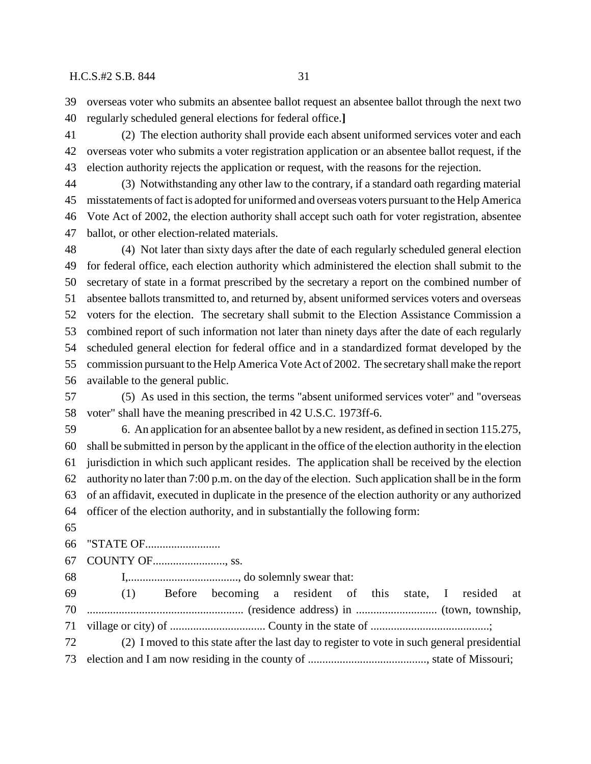overseas voter who submits an absentee ballot request an absentee ballot through the next two regularly scheduled general elections for federal office.**]**

 (2) The election authority shall provide each absent uniformed services voter and each overseas voter who submits a voter registration application or an absentee ballot request, if the election authority rejects the application or request, with the reasons for the rejection.

- (3) Notwithstanding any other law to the contrary, if a standard oath regarding material misstatements of fact is adopted for uniformed and overseas voters pursuant to the Help America Vote Act of 2002, the election authority shall accept such oath for voter registration, absentee ballot, or other election-related materials.
- (4) Not later than sixty days after the date of each regularly scheduled general election for federal office, each election authority which administered the election shall submit to the secretary of state in a format prescribed by the secretary a report on the combined number of absentee ballots transmitted to, and returned by, absent uniformed services voters and overseas voters for the election. The secretary shall submit to the Election Assistance Commission a combined report of such information not later than ninety days after the date of each regularly scheduled general election for federal office and in a standardized format developed by the commission pursuant to the Help America Vote Act of 2002. The secretary shall make the report available to the general public.
- (5) As used in this section, the terms "absent uniformed services voter" and "overseas voter" shall have the meaning prescribed in 42 U.S.C. 1973ff-6.
- 6. An application for an absentee ballot by a new resident, as defined in section 115.275, shall be submitted in person by the applicant in the office of the election authority in the election jurisdiction in which such applicant resides. The application shall be received by the election authority no later than 7:00 p.m. on the day of the election. Such application shall be in the form of an affidavit, executed in duplicate in the presence of the election authority or any authorized officer of the election authority, and in substantially the following form:
- 

"STATE OF..........................

COUNTY OF........................., ss.

I,......................................, do solemnly swear that:

- (1) Before becoming a resident of this state, I resided at ...................................................... (residence address) in ............................ (town, township,
- village or city) of ................................. County in the state of .........................................;
- (2) I moved to this state after the last day to register to vote in such general presidential
- election and I am now residing in the county of ........................................., state of Missouri;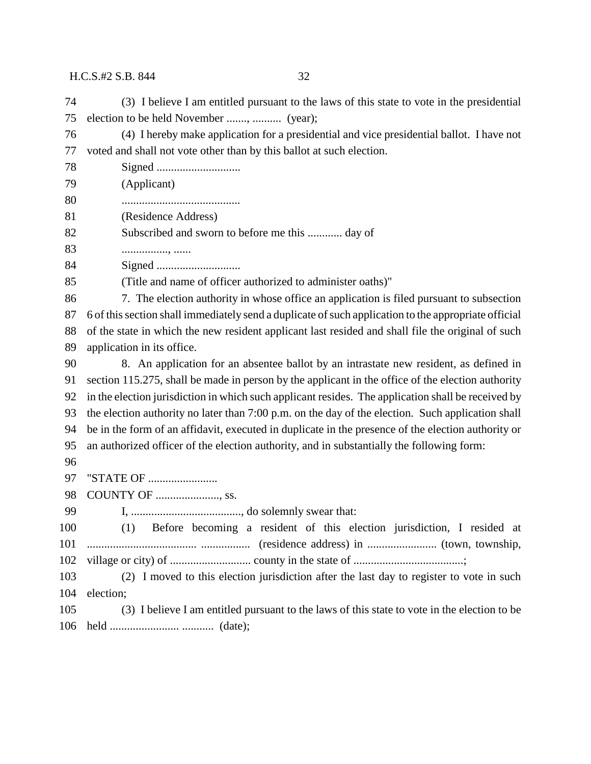(3) I believe I am entitled pursuant to the laws of this state to vote in the presidential election to be held November ......., .......... (year); (4) I hereby make application for a presidential and vice presidential ballot. I have not voted and shall not vote other than by this ballot at such election. Signed ............................. (Applicant) ......................................... (Residence Address) Subscribed and sworn to before me this ............ day of ................, ...... **Signed ...........................**  (Title and name of officer authorized to administer oaths)" 7. The election authority in whose office an application is filed pursuant to subsection 6 of this section shall immediately send a duplicate of such application to the appropriate official of the state in which the new resident applicant last resided and shall file the original of such application in its office. 8. An application for an absentee ballot by an intrastate new resident, as defined in section 115.275, shall be made in person by the applicant in the office of the election authority in the election jurisdiction in which such applicant resides. The application shall be received by the election authority no later than 7:00 p.m. on the day of the election. Such application shall be in the form of an affidavit, executed in duplicate in the presence of the election authority or an authorized officer of the election authority, and in substantially the following form: 97 "STATE OF ........................... COUNTY OF ......................, ss. I, ......................................, do solemnly swear that: (1) Before becoming a resident of this election jurisdiction, I resided at ...................................... ................. (residence address) in ........................ (town, township, village or city) of ............................ county in the state of ......................................; (2) I moved to this election jurisdiction after the last day to register to vote in such election; (3) I believe I am entitled pursuant to the laws of this state to vote in the election to be held ........................ ........... (date);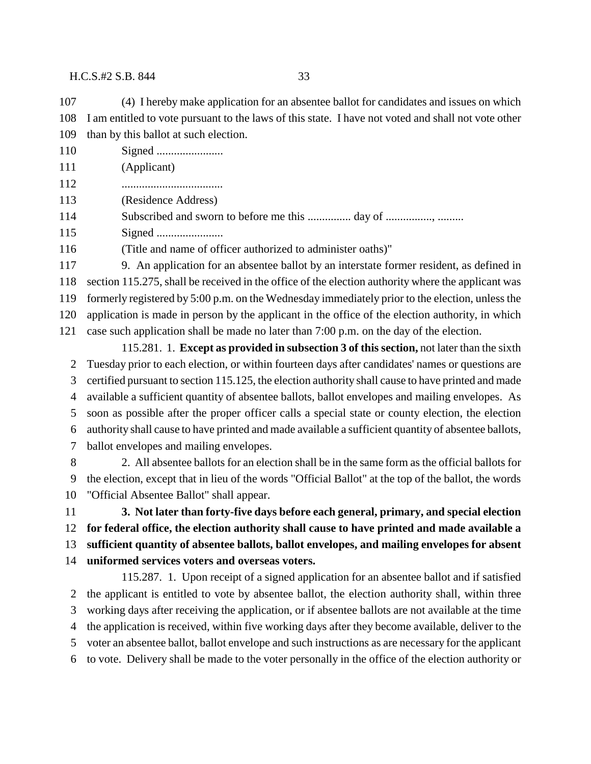(4) I hereby make application for an absentee ballot for candidates and issues on which I am entitled to vote pursuant to the laws of this state. I have not voted and shall not vote other than by this ballot at such election.

 Signed ....................... (Applicant) ................................... (Residence Address) Subscribed and sworn to before me this ............... day of ................, ......... Signed ....................... (Title and name of officer authorized to administer oaths)" 9. An application for an absentee ballot by an interstate former resident, as defined in section 115.275, shall be received in the office of the election authority where the applicant was formerly registered by 5:00 p.m. on the Wednesday immediately prior to the election, unless the application is made in person by the applicant in the office of the election authority, in which case such application shall be made no later than 7:00 p.m. on the day of the election. 115.281. 1. **Except as provided in subsection 3 of this section,** not later than the sixth Tuesday prior to each election, or within fourteen days after candidates' names or questions are certified pursuant to section 115.125, the election authority shall cause to have printed and made available a sufficient quantity of absentee ballots, ballot envelopes and mailing envelopes. As soon as possible after the proper officer calls a special state or county election, the election authority shall cause to have printed and made available a sufficient quantity of absentee ballots, ballot envelopes and mailing envelopes. 2. All absentee ballots for an election shall be in the same form as the official ballots for the election, except that in lieu of the words "Official Ballot" at the top of the ballot, the words

"Official Absentee Ballot" shall appear.

 **3. Not later than forty-five days before each general, primary, and special election for federal office, the election authority shall cause to have printed and made available a sufficient quantity of absentee ballots, ballot envelopes, and mailing envelopes for absent uniformed services voters and overseas voters.**

115.287. 1. Upon receipt of a signed application for an absentee ballot and if satisfied the applicant is entitled to vote by absentee ballot, the election authority shall, within three working days after receiving the application, or if absentee ballots are not available at the time the application is received, within five working days after they become available, deliver to the voter an absentee ballot, ballot envelope and such instructions as are necessary for the applicant to vote. Delivery shall be made to the voter personally in the office of the election authority or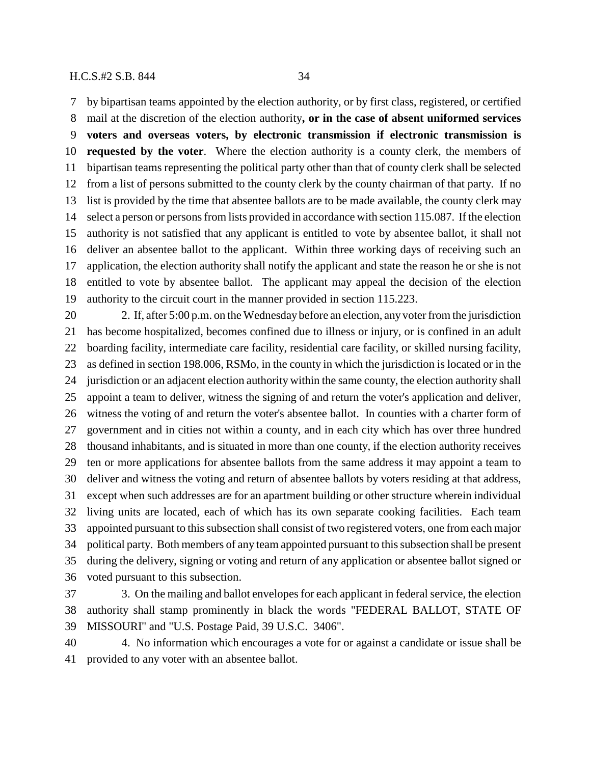by bipartisan teams appointed by the election authority, or by first class, registered, or certified

 mail at the discretion of the election authority**, or in the case of absent uniformed services voters and overseas voters, by electronic transmission if electronic transmission is requested by the voter**. Where the election authority is a county clerk, the members of bipartisan teams representing the political party other than that of county clerk shall be selected from a list of persons submitted to the county clerk by the county chairman of that party. If no list is provided by the time that absentee ballots are to be made available, the county clerk may select a person or persons from lists provided in accordance with section 115.087. If the election authority is not satisfied that any applicant is entitled to vote by absentee ballot, it shall not deliver an absentee ballot to the applicant. Within three working days of receiving such an application, the election authority shall notify the applicant and state the reason he or she is not entitled to vote by absentee ballot. The applicant may appeal the decision of the election authority to the circuit court in the manner provided in section 115.223.

 2. If, after 5:00 p.m. on the Wednesday before an election, any voter from the jurisdiction has become hospitalized, becomes confined due to illness or injury, or is confined in an adult boarding facility, intermediate care facility, residential care facility, or skilled nursing facility, as defined in section 198.006, RSMo, in the county in which the jurisdiction is located or in the jurisdiction or an adjacent election authority within the same county, the election authority shall appoint a team to deliver, witness the signing of and return the voter's application and deliver, witness the voting of and return the voter's absentee ballot. In counties with a charter form of government and in cities not within a county, and in each city which has over three hundred thousand inhabitants, and is situated in more than one county, if the election authority receives ten or more applications for absentee ballots from the same address it may appoint a team to deliver and witness the voting and return of absentee ballots by voters residing at that address, except when such addresses are for an apartment building or other structure wherein individual living units are located, each of which has its own separate cooking facilities. Each team appointed pursuant to this subsection shall consist of two registered voters, one from each major political party. Both members of any team appointed pursuant to this subsection shall be present during the delivery, signing or voting and return of any application or absentee ballot signed or voted pursuant to this subsection.

 3. On the mailing and ballot envelopes for each applicant in federal service, the election authority shall stamp prominently in black the words "FEDERAL BALLOT, STATE OF MISSOURI" and "U.S. Postage Paid, 39 U.S.C. 3406".

 4. No information which encourages a vote for or against a candidate or issue shall be provided to any voter with an absentee ballot.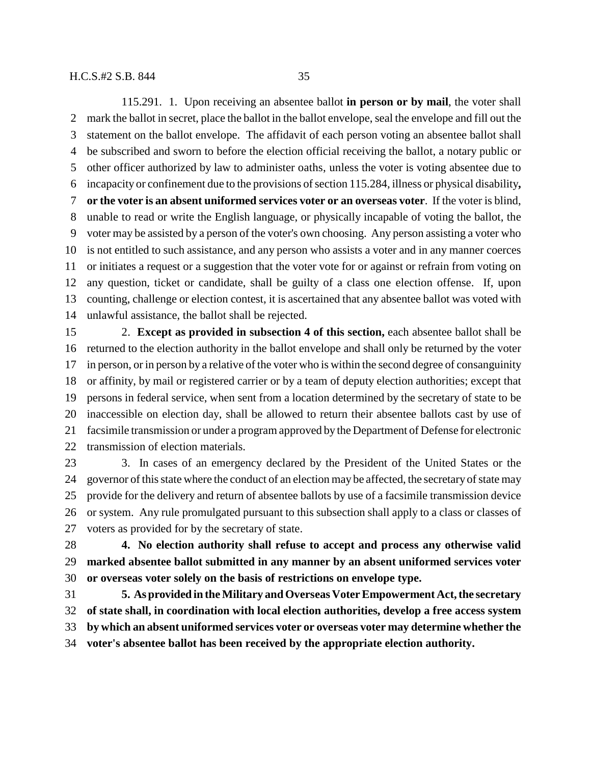115.291. 1. Upon receiving an absentee ballot **in person or by mail**, the voter shall mark the ballot in secret, place the ballot in the ballot envelope, seal the envelope and fill out the statement on the ballot envelope. The affidavit of each person voting an absentee ballot shall be subscribed and sworn to before the election official receiving the ballot, a notary public or other officer authorized by law to administer oaths, unless the voter is voting absentee due to incapacity or confinement due to the provisions of section 115.284, illness or physical disability**, or the voter is an absent uniformed services voter or an overseas voter**. If the voter is blind, unable to read or write the English language, or physically incapable of voting the ballot, the voter may be assisted by a person of the voter's own choosing. Any person assisting a voter who is not entitled to such assistance, and any person who assists a voter and in any manner coerces or initiates a request or a suggestion that the voter vote for or against or refrain from voting on any question, ticket or candidate, shall be guilty of a class one election offense. If, upon counting, challenge or election contest, it is ascertained that any absentee ballot was voted with unlawful assistance, the ballot shall be rejected.

 2. **Except as provided in subsection 4 of this section,** each absentee ballot shall be returned to the election authority in the ballot envelope and shall only be returned by the voter in person, or in person by a relative of the voter who is within the second degree of consanguinity or affinity, by mail or registered carrier or by a team of deputy election authorities; except that persons in federal service, when sent from a location determined by the secretary of state to be inaccessible on election day, shall be allowed to return their absentee ballots cast by use of facsimile transmission or under a program approved by the Department of Defense for electronic transmission of election materials.

 3. In cases of an emergency declared by the President of the United States or the governor of this state where the conduct of an election may be affected, the secretary of state may provide for the delivery and return of absentee ballots by use of a facsimile transmission device or system. Any rule promulgated pursuant to this subsection shall apply to a class or classes of voters as provided for by the secretary of state.

 **4. No election authority shall refuse to accept and process any otherwise valid marked absentee ballot submitted in any manner by an absent uniformed services voter or overseas voter solely on the basis of restrictions on envelope type.**

 **5. As provided in the Military and Overseas Voter Empowerment Act, the secretary of state shall, in coordination with local election authorities, develop a free access system by which an absent uniformed services voter or overseas voter may determine whether the voter's absentee ballot has been received by the appropriate election authority.**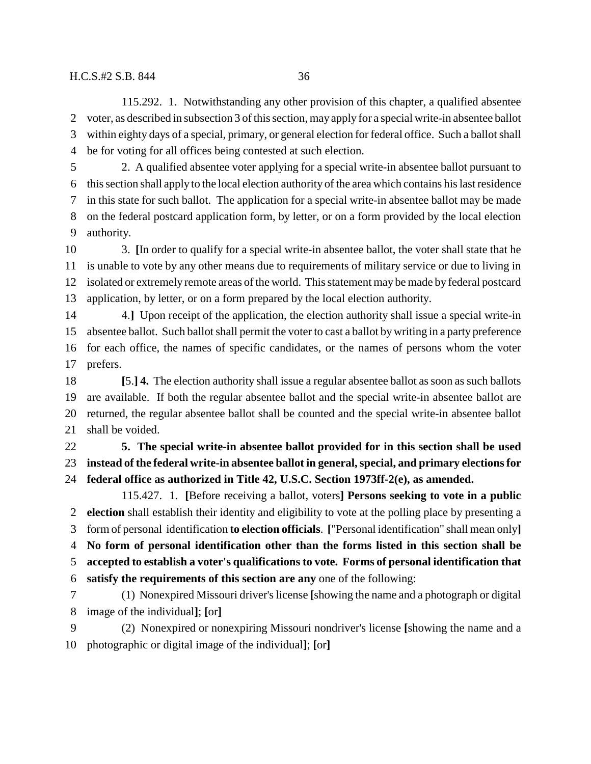115.292. 1. Notwithstanding any other provision of this chapter, a qualified absentee voter, as described in subsection 3 of this section, may apply for a special write-in absentee ballot within eighty days of a special, primary, or general election for federal office. Such a ballot shall be for voting for all offices being contested at such election.

 2. A qualified absentee voter applying for a special write-in absentee ballot pursuant to this section shall apply to the local election authority of the area which contains his last residence in this state for such ballot. The application for a special write-in absentee ballot may be made on the federal postcard application form, by letter, or on a form provided by the local election authority.

 3. **[**In order to qualify for a special write-in absentee ballot, the voter shall state that he is unable to vote by any other means due to requirements of military service or due to living in isolated or extremely remote areas of the world. This statement may be made by federal postcard application, by letter, or on a form prepared by the local election authority.

 4.**]** Upon receipt of the application, the election authority shall issue a special write-in absentee ballot. Such ballot shall permit the voter to cast a ballot by writing in a party preference for each office, the names of specific candidates, or the names of persons whom the voter prefers.

 **[**5.**] 4.** The election authority shall issue a regular absentee ballot as soon as such ballots are available. If both the regular absentee ballot and the special write-in absentee ballot are returned, the regular absentee ballot shall be counted and the special write-in absentee ballot shall be voided.

 **5. The special write-in absentee ballot provided for in this section shall be used instead of the federal write-in absentee ballot in general, special, and primary elections for federal office as authorized in Title 42, U.S.C. Section 1973ff-2(e), as amended.**

115.427. 1. **[**Before receiving a ballot, voters**] Persons seeking to vote in a public election** shall establish their identity and eligibility to vote at the polling place by presenting a form of personal identification **to election officials**. **[**"Personal identification" shall mean only**] No form of personal identification other than the forms listed in this section shall be accepted to establish a voter's qualifications to vote. Forms of personal identification that satisfy the requirements of this section are any** one of the following:

 (1) Nonexpired Missouri driver's license **[**showing the name and a photograph or digital image of the individual**]**; **[**or**]**

 (2) Nonexpired or nonexpiring Missouri nondriver's license **[**showing the name and a photographic or digital image of the individual**]**; **[**or**]**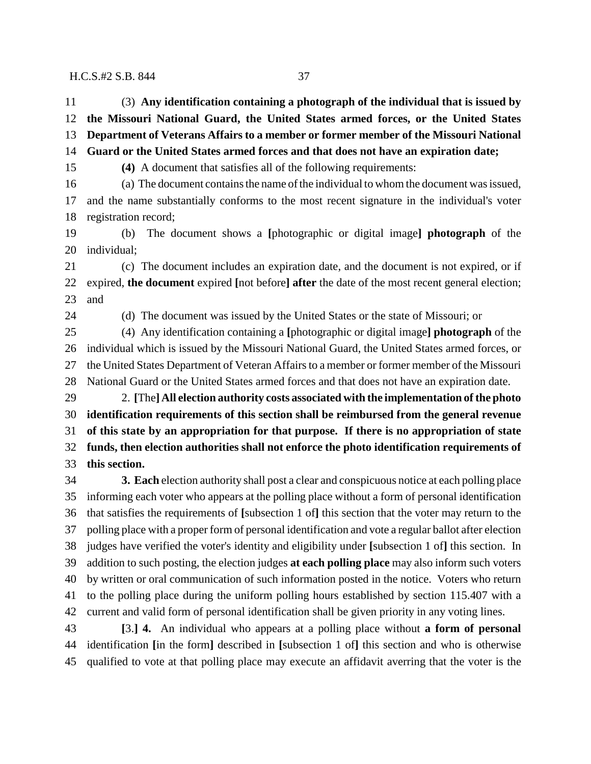(3) **Any identification containing a photograph of the individual that is issued by the Missouri National Guard, the United States armed forces, or the United States Department of Veterans Affairs to a member or former member of the Missouri National Guard or the United States armed forces and that does not have an expiration date;**

**(4)** A document that satisfies all of the following requirements:

 (a) The document contains the name of the individual to whom the document was issued, and the name substantially conforms to the most recent signature in the individual's voter registration record;

 (b) The document shows a **[**photographic or digital image**] photograph** of the individual;

 (c) The document includes an expiration date, and the document is not expired, or if expired, **the document** expired **[**not before**] after** the date of the most recent general election; and

(d) The document was issued by the United States or the state of Missouri; or

 (4) Any identification containing a **[**photographic or digital image**] photograph** of the individual which is issued by the Missouri National Guard, the United States armed forces, or the United States Department of Veteran Affairs to a member or former member of the Missouri National Guard or the United States armed forces and that does not have an expiration date.

 2. **[**The**] All election authority costs associated with the implementation of the photo identification requirements of this section shall be reimbursed from the general revenue of this state by an appropriation for that purpose. If there is no appropriation of state funds, then election authorities shall not enforce the photo identification requirements of this section.**

 **3. Each** election authority shall post a clear and conspicuous notice at each polling place informing each voter who appears at the polling place without a form of personal identification that satisfies the requirements of **[**subsection 1 of**]** this section that the voter may return to the polling place with a proper form of personal identification and vote a regular ballot after election judges have verified the voter's identity and eligibility under **[**subsection 1 of**]** this section. In addition to such posting, the election judges **at each polling place** may also inform such voters by written or oral communication of such information posted in the notice. Voters who return to the polling place during the uniform polling hours established by section 115.407 with a current and valid form of personal identification shall be given priority in any voting lines.

 **[**3.**] 4.** An individual who appears at a polling place without **a form of personal** identification **[**in the form**]** described in **[**subsection 1 of**]** this section and who is otherwise qualified to vote at that polling place may execute an affidavit averring that the voter is the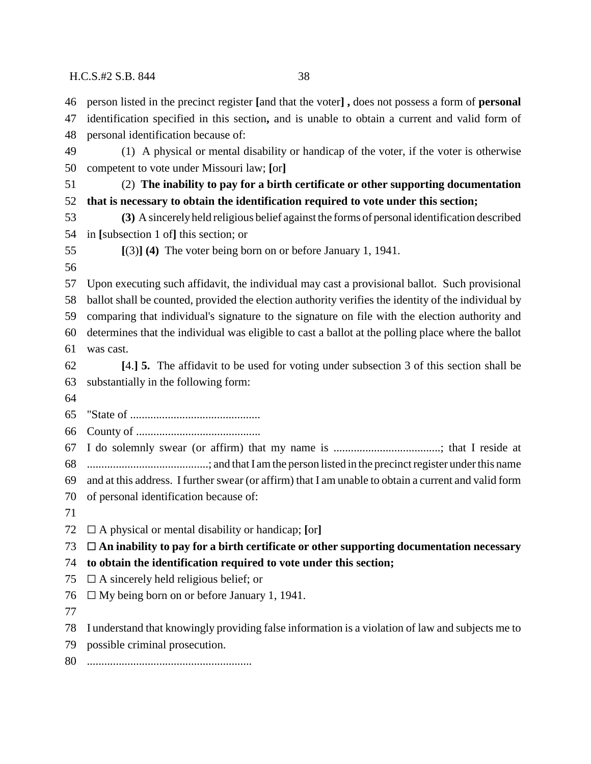| 46 | person listed in the precinct register [and that the voter], does not possess a form of <b>personal</b> |
|----|---------------------------------------------------------------------------------------------------------|
| 47 | identification specified in this section, and is unable to obtain a current and valid form of           |
| 48 | personal identification because of:                                                                     |
| 49 | (1) A physical or mental disability or handicap of the voter, if the voter is otherwise                 |
| 50 | competent to vote under Missouri law; [or]                                                              |
| 51 | (2) The inability to pay for a birth certificate or other supporting documentation                      |
| 52 | that is necessary to obtain the identification required to vote under this section;                     |
| 53 | (3) A sincerely held religious belief against the forms of personal identification described            |
| 54 | in [subsection 1 of] this section; or                                                                   |
| 55 | $[(3)]$ (4) The voter being born on or before January 1, 1941.                                          |
| 56 |                                                                                                         |
| 57 | Upon executing such affidavit, the individual may cast a provisional ballot. Such provisional           |
| 58 | ballot shall be counted, provided the election authority verifies the identity of the individual by     |
| 59 | comparing that individual's signature to the signature on file with the election authority and          |
| 60 | determines that the individual was eligible to cast a ballot at the polling place where the ballot      |
| 61 | was cast.                                                                                               |
| 62 | [4.] <b>5.</b> The affidavit to be used for voting under subsection 3 of this section shall be          |
| 63 | substantially in the following form:                                                                    |
| 64 |                                                                                                         |
| 65 |                                                                                                         |
| 66 |                                                                                                         |
| 67 | I do solemnly swear (or affirm) that my name is ; that I reside at                                      |
| 68 |                                                                                                         |
| 69 | and at this address. I further swear (or affirm) that I am unable to obtain a current and valid form    |
| 70 | of personal identification because of:                                                                  |
| 71 |                                                                                                         |
|    | 72 $\Box$ A physical or mental disability or handicap; [or]                                             |
| 73 | $\Box$ An inability to pay for a birth certificate or other supporting documentation necessary          |
| 74 | to obtain the identification required to vote under this section;                                       |
| 75 | $\Box$ A sincerely held religious belief; or                                                            |
| 76 | $\Box$ My being born on or before January 1, 1941.                                                      |
| 77 |                                                                                                         |
| 78 | I understand that knowingly providing false information is a violation of law and subjects me to        |
| 79 | possible criminal prosecution.                                                                          |
| 80 |                                                                                                         |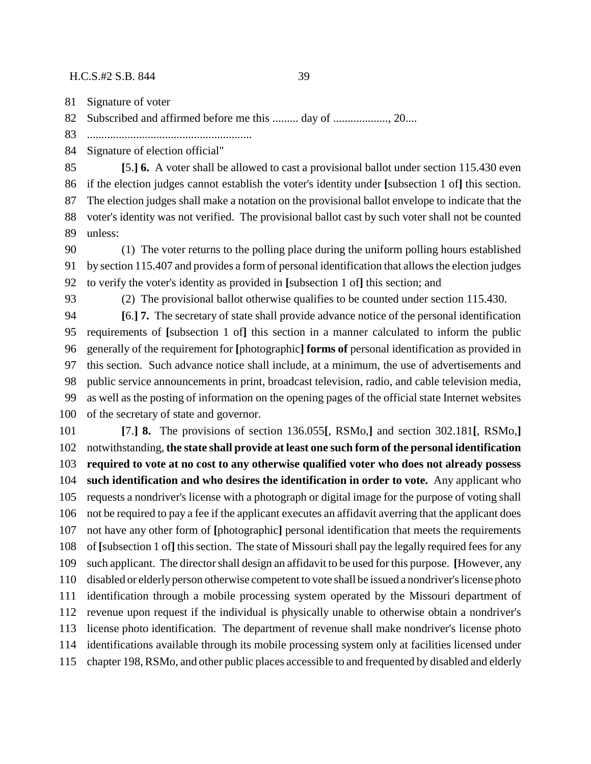- Signature of voter
- Subscribed and affirmed before me this ......... day of ..................., 20....
- .........................................................
- Signature of election official"

 **[**5.**] 6.** A voter shall be allowed to cast a provisional ballot under section 115.430 even if the election judges cannot establish the voter's identity under **[**subsection 1 of**]** this section. The election judges shall make a notation on the provisional ballot envelope to indicate that the voter's identity was not verified. The provisional ballot cast by such voter shall not be counted unless:

 (1) The voter returns to the polling place during the uniform polling hours established by section 115.407 and provides a form of personal identification that allows the election judges to verify the voter's identity as provided in **[**subsection 1 of**]** this section; and

(2) The provisional ballot otherwise qualifies to be counted under section 115.430.

 **[**6.**] 7.** The secretary of state shall provide advance notice of the personal identification requirements of **[**subsection 1 of**]** this section in a manner calculated to inform the public generally of the requirement for **[**photographic**] forms of** personal identification as provided in this section. Such advance notice shall include, at a minimum, the use of advertisements and public service announcements in print, broadcast television, radio, and cable television media, as well as the posting of information on the opening pages of the official state Internet websites of the secretary of state and governor.

 **[**7.**] 8.** The provisions of section 136.055**[**, RSMo,**]** and section 302.181**[**, RSMo,**]** notwithstanding, **the state shall provide at least one such form of the personal identification required to vote at no cost to any otherwise qualified voter who does not already possess such identification and who desires the identification in order to vote.** Any applicant who requests a nondriver's license with a photograph or digital image for the purpose of voting shall not be required to pay a fee if the applicant executes an affidavit averring that the applicant does not have any other form of **[**photographic**]** personal identification that meets the requirements of **[**subsection 1 of**]** this section. The state of Missouri shall pay the legally required fees for any such applicant. The director shall design an affidavit to be used for this purpose. **[**However, any disabled or elderly person otherwise competent to vote shall be issued a nondriver's license photo identification through a mobile processing system operated by the Missouri department of revenue upon request if the individual is physically unable to otherwise obtain a nondriver's license photo identification. The department of revenue shall make nondriver's license photo identifications available through its mobile processing system only at facilities licensed under chapter 198, RSMo, and other public places accessible to and frequented by disabled and elderly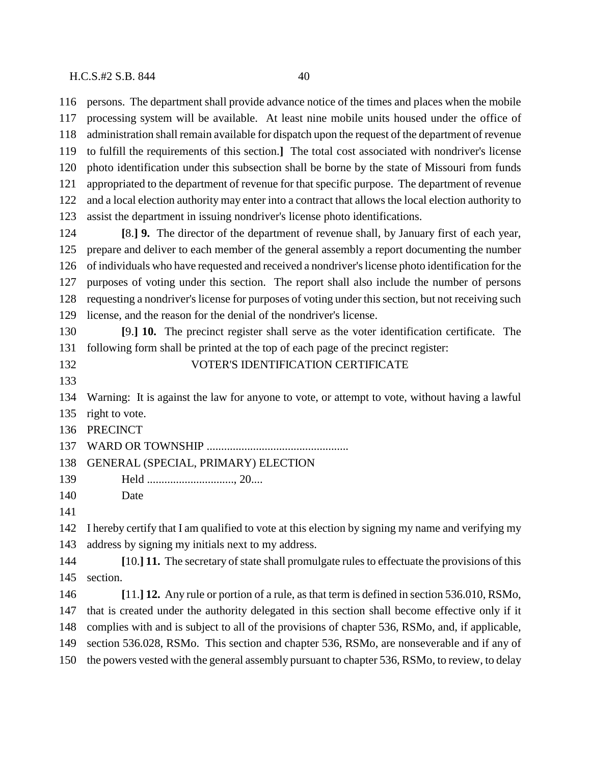persons. The department shall provide advance notice of the times and places when the mobile processing system will be available. At least nine mobile units housed under the office of administration shall remain available for dispatch upon the request of the department of revenue to fulfill the requirements of this section.**]** The total cost associated with nondriver's license photo identification under this subsection shall be borne by the state of Missouri from funds appropriated to the department of revenue for that specific purpose. The department of revenue and a local election authority may enter into a contract that allows the local election authority to assist the department in issuing nondriver's license photo identifications. **[**8.**] 9.** The director of the department of revenue shall, by January first of each year, prepare and deliver to each member of the general assembly a report documenting the number of individuals who have requested and received a nondriver's license photo identification for the purposes of voting under this section. The report shall also include the number of persons requesting a nondriver's license for purposes of voting under this section, but not receiving such license, and the reason for the denial of the nondriver's license. **[**9.**] 10.** The precinct register shall serve as the voter identification certificate. The following form shall be printed at the top of each page of the precinct register: VOTER'S IDENTIFICATION CERTIFICATE Warning: It is against the law for anyone to vote, or attempt to vote, without having a lawful right to vote. PRECINCT WARD OR TOWNSHIP ................................................. GENERAL (SPECIAL, PRIMARY) ELECTION Held .............................., 20.... Date I hereby certify that I am qualified to vote at this election by signing my name and verifying my address by signing my initials next to my address. **[**10.**] 11.** The secretary of state shall promulgate rules to effectuate the provisions of this section. **[**11.**] 12.** Any rule or portion of a rule, as that term is defined in section 536.010, RSMo, that is created under the authority delegated in this section shall become effective only if it complies with and is subject to all of the provisions of chapter 536, RSMo, and, if applicable, section 536.028, RSMo. This section and chapter 536, RSMo, are nonseverable and if any of the powers vested with the general assembly pursuant to chapter 536, RSMo, to review, to delay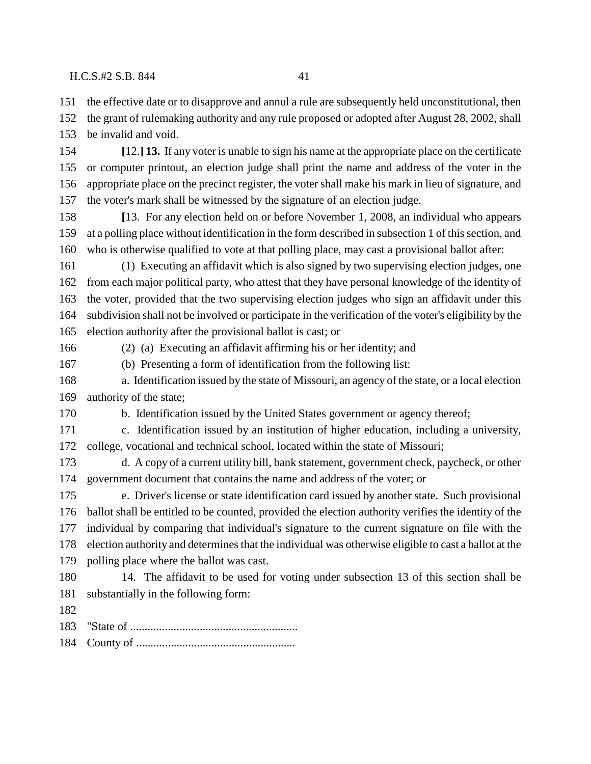the effective date or to disapprove and annul a rule are subsequently held unconstitutional, then

 the grant of rulemaking authority and any rule proposed or adopted after August 28, 2002, shall be invalid and void.

 **[**12.**] 13.** If any voter is unable to sign his name at the appropriate place on the certificate or computer printout, an election judge shall print the name and address of the voter in the appropriate place on the precinct register, the voter shall make his mark in lieu of signature, and the voter's mark shall be witnessed by the signature of an election judge.

 **[**13. For any election held on or before November 1, 2008, an individual who appears at a polling place without identification in the form described in subsection 1 of this section, and who is otherwise qualified to vote at that polling place, may cast a provisional ballot after:

 (1) Executing an affidavit which is also signed by two supervising election judges, one from each major political party, who attest that they have personal knowledge of the identity of the voter, provided that the two supervising election judges who sign an affidavit under this subdivision shall not be involved or participate in the verification of the voter's eligibility by the election authority after the provisional ballot is cast; or

(2) (a) Executing an affidavit affirming his or her identity; and

(b) Presenting a form of identification from the following list:

 a. Identification issued by the state of Missouri, an agency of the state, or a local election authority of the state;

b. Identification issued by the United States government or agency thereof;

 c. Identification issued by an institution of higher education, including a university, college, vocational and technical school, located within the state of Missouri;

 d. A copy of a current utility bill, bank statement, government check, paycheck, or other government document that contains the name and address of the voter; or

 e. Driver's license or state identification card issued by another state. Such provisional ballot shall be entitled to be counted, provided the election authority verifies the identity of the individual by comparing that individual's signature to the current signature on file with the election authority and determines that the individual was otherwise eligible to cast a ballot at the polling place where the ballot was cast.

 14. The affidavit to be used for voting under subsection 13 of this section shall be substantially in the following form:

"State of ..........................................................

County of .......................................................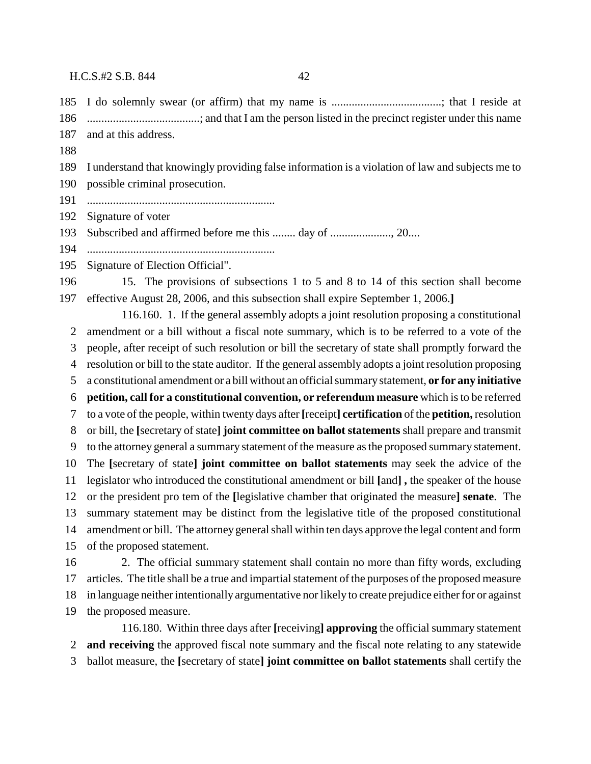I do solemnly swear (or affirm) that my name is ......................................; that I reside at .......................................; and that I am the person listed in the precinct register under this name and at this address.

I understand that knowingly providing false information is a violation of law and subjects me to

- possible criminal prosecution.
- .................................................................

Signature of voter

Subscribed and affirmed before me this ........ day of ....................., 20....

.................................................................

Signature of Election Official".

 15. The provisions of subsections 1 to 5 and 8 to 14 of this section shall become effective August 28, 2006, and this subsection shall expire September 1, 2006.**]**

116.160. 1. If the general assembly adopts a joint resolution proposing a constitutional amendment or a bill without a fiscal note summary, which is to be referred to a vote of the people, after receipt of such resolution or bill the secretary of state shall promptly forward the resolution or bill to the state auditor. If the general assembly adopts a joint resolution proposing a constitutional amendment or a bill without an official summary statement, **or for any initiative petition, call for a constitutional convention, or referendum measure** which is to be referred to a vote of the people, within twenty days after **[**receipt**] certification** of the **petition,** resolution or bill, the **[**secretary of state**] joint committee on ballot statements** shall prepare and transmit to the attorney general a summary statement of the measure as the proposed summary statement. The **[**secretary of state**] joint committee on ballot statements** may seek the advice of the legislator who introduced the constitutional amendment or bill **[**and**] ,** the speaker of the house or the president pro tem of the **[**legislative chamber that originated the measure**] senate**. The summary statement may be distinct from the legislative title of the proposed constitutional amendment or bill. The attorney general shall within ten days approve the legal content and form of the proposed statement. 2. The official summary statement shall contain no more than fifty words, excluding

articles. The title shall be a true and impartial statement of the purposes of the proposed measure

in language neither intentionally argumentative nor likely to create prejudice either for or against

the proposed measure.

116.180. Within three days after **[**receiving**] approving** the official summary statement **and receiving** the approved fiscal note summary and the fiscal note relating to any statewide ballot measure, the **[**secretary of state**] joint committee on ballot statements** shall certify the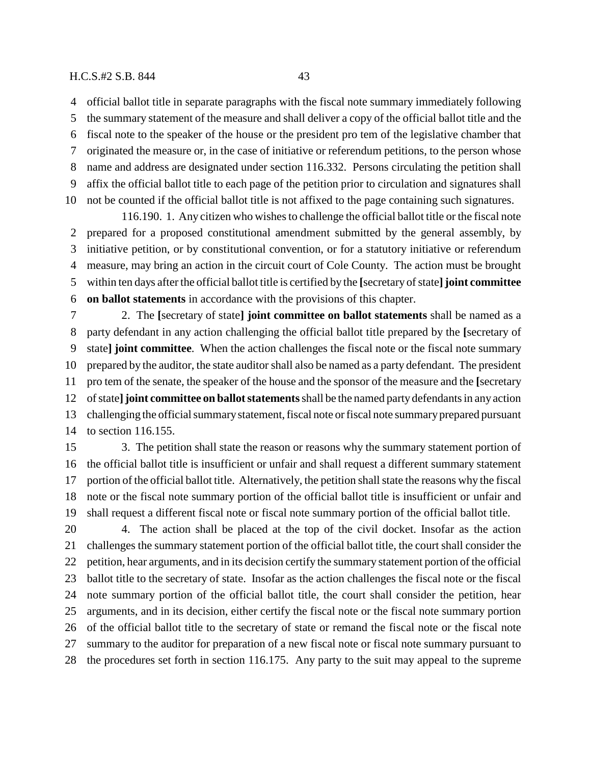official ballot title in separate paragraphs with the fiscal note summary immediately following the summary statement of the measure and shall deliver a copy of the official ballot title and the fiscal note to the speaker of the house or the president pro tem of the legislative chamber that originated the measure or, in the case of initiative or referendum petitions, to the person whose

name and address are designated under section 116.332. Persons circulating the petition shall

 affix the official ballot title to each page of the petition prior to circulation and signatures shall not be counted if the official ballot title is not affixed to the page containing such signatures.

116.190. 1. Any citizen who wishes to challenge the official ballot title or the fiscal note prepared for a proposed constitutional amendment submitted by the general assembly, by initiative petition, or by constitutional convention, or for a statutory initiative or referendum measure, may bring an action in the circuit court of Cole County. The action must be brought within ten days after the official ballot title is certified by the **[**secretary of state**] joint committee on ballot statements** in accordance with the provisions of this chapter.

 2. The **[**secretary of state**] joint committee on ballot statements** shall be named as a party defendant in any action challenging the official ballot title prepared by the **[**secretary of state**] joint committee**. When the action challenges the fiscal note or the fiscal note summary prepared by the auditor, the state auditor shall also be named as a party defendant. The president pro tem of the senate, the speaker of the house and the sponsor of the measure and the **[**secretary of state**]joint committee on ballot statements** shall be the named party defendants in any action challenging the official summary statement, fiscal note or fiscal note summary prepared pursuant to section 116.155.

 3. The petition shall state the reason or reasons why the summary statement portion of the official ballot title is insufficient or unfair and shall request a different summary statement portion of the official ballot title. Alternatively, the petition shall state the reasons why the fiscal note or the fiscal note summary portion of the official ballot title is insufficient or unfair and shall request a different fiscal note or fiscal note summary portion of the official ballot title.

 4. The action shall be placed at the top of the civil docket. Insofar as the action challenges the summary statement portion of the official ballot title, the court shall consider the petition, hear arguments, and in its decision certify the summary statement portion of the official ballot title to the secretary of state. Insofar as the action challenges the fiscal note or the fiscal note summary portion of the official ballot title, the court shall consider the petition, hear arguments, and in its decision, either certify the fiscal note or the fiscal note summary portion of the official ballot title to the secretary of state or remand the fiscal note or the fiscal note summary to the auditor for preparation of a new fiscal note or fiscal note summary pursuant to the procedures set forth in section 116.175. Any party to the suit may appeal to the supreme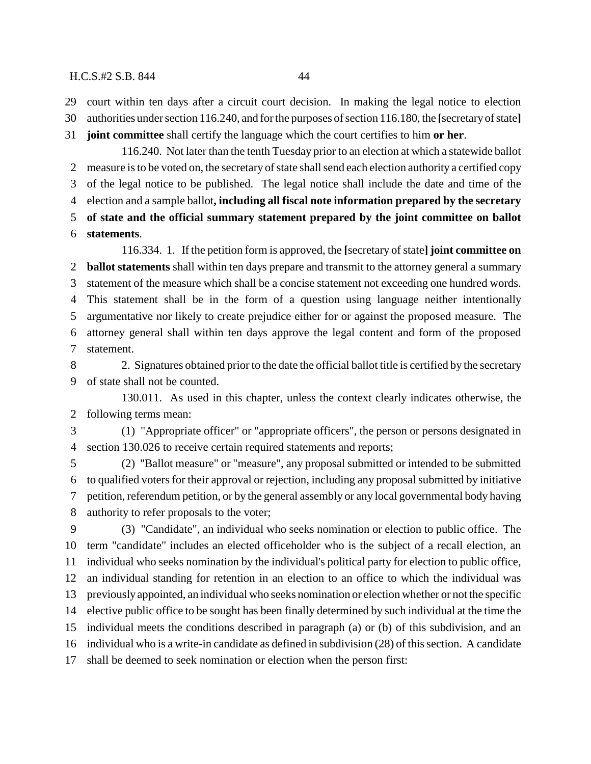court within ten days after a circuit court decision. In making the legal notice to election authorities under section 116.240, and for the purposes of section 116.180, the **[**secretary of state**] joint committee** shall certify the language which the court certifies to him **or her**.

116.240. Not later than the tenth Tuesday prior to an election at which a statewide ballot measure is to be voted on, the secretary of state shall send each election authority a certified copy of the legal notice to be published. The legal notice shall include the date and time of the election and a sample ballot**, including all fiscal note information prepared by the secretary of state and the official summary statement prepared by the joint committee on ballot statements**.

116.334. 1. If the petition form is approved, the **[**secretary of state**] joint committee on ballot statements** shall within ten days prepare and transmit to the attorney general a summary statement of the measure which shall be a concise statement not exceeding one hundred words. This statement shall be in the form of a question using language neither intentionally argumentative nor likely to create prejudice either for or against the proposed measure. The attorney general shall within ten days approve the legal content and form of the proposed statement.

 2. Signatures obtained prior to the date the official ballot title is certified by the secretary of state shall not be counted.

130.011. As used in this chapter, unless the context clearly indicates otherwise, the following terms mean:

 (1) "Appropriate officer" or "appropriate officers", the person or persons designated in section 130.026 to receive certain required statements and reports;

 (2) "Ballot measure" or "measure", any proposal submitted or intended to be submitted to qualified voters for their approval or rejection, including any proposal submitted by initiative petition, referendum petition, or by the general assembly or any local governmental body having authority to refer proposals to the voter;

 (3) "Candidate", an individual who seeks nomination or election to public office. The term "candidate" includes an elected officeholder who is the subject of a recall election, an individual who seeks nomination by the individual's political party for election to public office, an individual standing for retention in an election to an office to which the individual was previously appointed, an individual who seeks nomination or election whether or not the specific elective public office to be sought has been finally determined by such individual at the time the individual meets the conditions described in paragraph (a) or (b) of this subdivision, and an individual who is a write-in candidate as defined in subdivision (28) of this section. A candidate shall be deemed to seek nomination or election when the person first: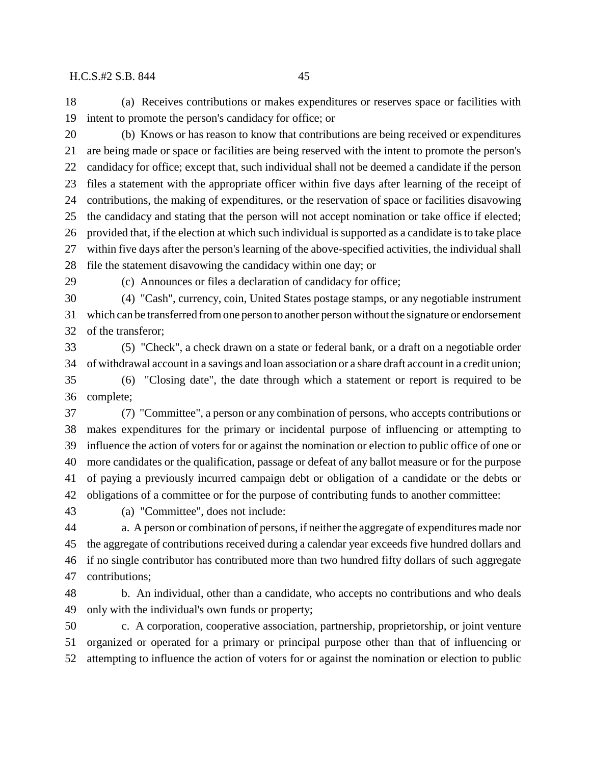(a) Receives contributions or makes expenditures or reserves space or facilities with intent to promote the person's candidacy for office; or

 (b) Knows or has reason to know that contributions are being received or expenditures are being made or space or facilities are being reserved with the intent to promote the person's candidacy for office; except that, such individual shall not be deemed a candidate if the person files a statement with the appropriate officer within five days after learning of the receipt of contributions, the making of expenditures, or the reservation of space or facilities disavowing the candidacy and stating that the person will not accept nomination or take office if elected; provided that, if the election at which such individual is supported as a candidate is to take place within five days after the person's learning of the above-specified activities, the individual shall file the statement disavowing the candidacy within one day; or

(c) Announces or files a declaration of candidacy for office;

 (4) "Cash", currency, coin, United States postage stamps, or any negotiable instrument which can be transferred from one person to another person without the signature or endorsement of the transferor;

 (5) "Check", a check drawn on a state or federal bank, or a draft on a negotiable order of withdrawal account in a savings and loan association or a share draft account in a credit union; (6) "Closing date", the date through which a statement or report is required to be complete;

 (7) "Committee", a person or any combination of persons, who accepts contributions or makes expenditures for the primary or incidental purpose of influencing or attempting to influence the action of voters for or against the nomination or election to public office of one or more candidates or the qualification, passage or defeat of any ballot measure or for the purpose of paying a previously incurred campaign debt or obligation of a candidate or the debts or obligations of a committee or for the purpose of contributing funds to another committee:

(a) "Committee", does not include:

 a. A person or combination of persons, if neither the aggregate of expenditures made nor the aggregate of contributions received during a calendar year exceeds five hundred dollars and if no single contributor has contributed more than two hundred fifty dollars of such aggregate contributions;

 b. An individual, other than a candidate, who accepts no contributions and who deals only with the individual's own funds or property;

 c. A corporation, cooperative association, partnership, proprietorship, or joint venture organized or operated for a primary or principal purpose other than that of influencing or attempting to influence the action of voters for or against the nomination or election to public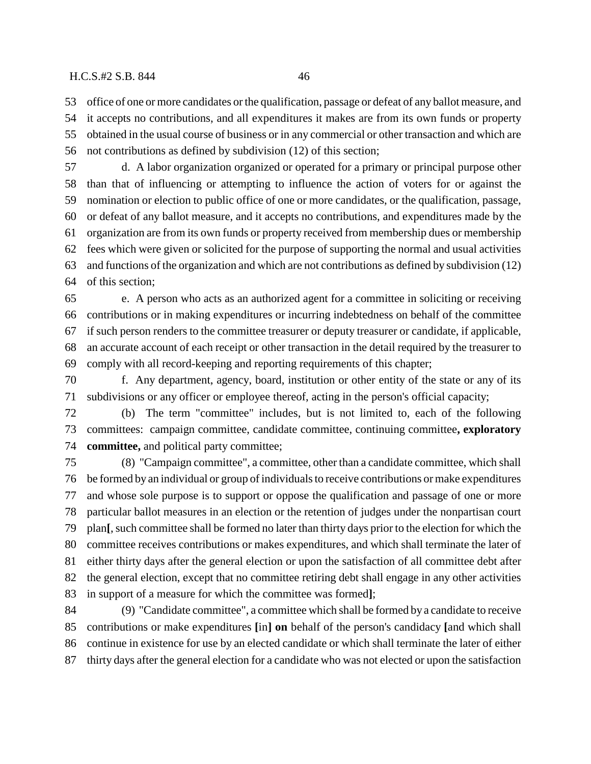office of one or more candidates or the qualification, passage or defeat of any ballot measure, and

 it accepts no contributions, and all expenditures it makes are from its own funds or property obtained in the usual course of business or in any commercial or other transaction and which are not contributions as defined by subdivision (12) of this section;

 d. A labor organization organized or operated for a primary or principal purpose other than that of influencing or attempting to influence the action of voters for or against the nomination or election to public office of one or more candidates, or the qualification, passage, or defeat of any ballot measure, and it accepts no contributions, and expenditures made by the organization are from its own funds or property received from membership dues or membership fees which were given or solicited for the purpose of supporting the normal and usual activities and functions of the organization and which are not contributions as defined by subdivision (12) of this section;

 e. A person who acts as an authorized agent for a committee in soliciting or receiving contributions or in making expenditures or incurring indebtedness on behalf of the committee if such person renders to the committee treasurer or deputy treasurer or candidate, if applicable, an accurate account of each receipt or other transaction in the detail required by the treasurer to comply with all record-keeping and reporting requirements of this chapter;

 f. Any department, agency, board, institution or other entity of the state or any of its subdivisions or any officer or employee thereof, acting in the person's official capacity;

 (b) The term "committee" includes, but is not limited to, each of the following committees: campaign committee, candidate committee, continuing committee**, exploratory committee,** and political party committee;

 (8) "Campaign committee", a committee, other than a candidate committee, which shall be formed by an individual or group of individuals to receive contributions or make expenditures and whose sole purpose is to support or oppose the qualification and passage of one or more particular ballot measures in an election or the retention of judges under the nonpartisan court plan**[**, such committee shall be formed no later than thirty days prior to the election for which the committee receives contributions or makes expenditures, and which shall terminate the later of either thirty days after the general election or upon the satisfaction of all committee debt after the general election, except that no committee retiring debt shall engage in any other activities in support of a measure for which the committee was formed**]**;

 (9) "Candidate committee", a committee which shall be formed by a candidate to receive contributions or make expenditures **[**in**] on** behalf of the person's candidacy **[**and which shall continue in existence for use by an elected candidate or which shall terminate the later of either thirty days after the general election for a candidate who was not elected or upon the satisfaction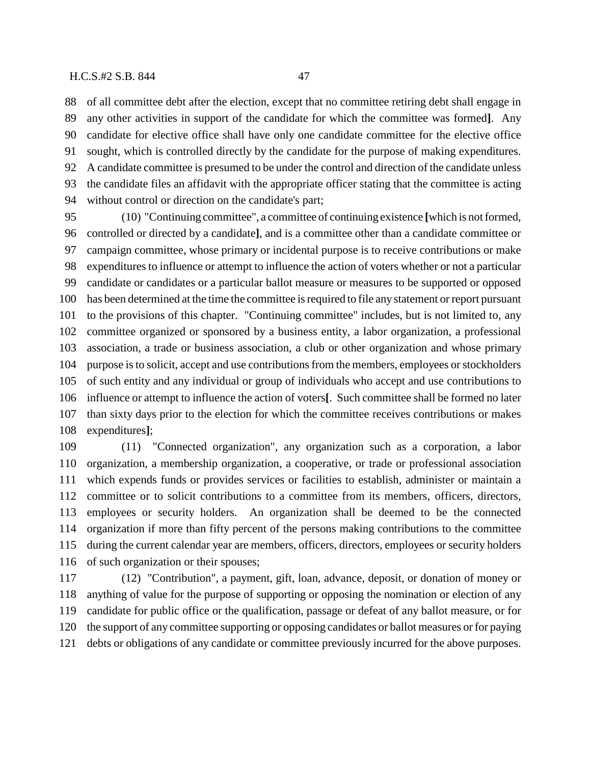of all committee debt after the election, except that no committee retiring debt shall engage in any other activities in support of the candidate for which the committee was formed**]**. Any candidate for elective office shall have only one candidate committee for the elective office sought, which is controlled directly by the candidate for the purpose of making expenditures. A candidate committee is presumed to be under the control and direction of the candidate unless the candidate files an affidavit with the appropriate officer stating that the committee is acting without control or direction on the candidate's part;

 (10) "Continuing committee", a committee of continuing existence **[**which is not formed, controlled or directed by a candidate**]**, and is a committee other than a candidate committee or campaign committee, whose primary or incidental purpose is to receive contributions or make expenditures to influence or attempt to influence the action of voters whether or not a particular candidate or candidates or a particular ballot measure or measures to be supported or opposed has been determined at the time the committee is required to file any statement or report pursuant to the provisions of this chapter. "Continuing committee" includes, but is not limited to, any committee organized or sponsored by a business entity, a labor organization, a professional association, a trade or business association, a club or other organization and whose primary purpose is to solicit, accept and use contributions from the members, employees or stockholders of such entity and any individual or group of individuals who accept and use contributions to influence or attempt to influence the action of voters**[**. Such committee shall be formed no later than sixty days prior to the election for which the committee receives contributions or makes expenditures**]**;

 (11) "Connected organization", any organization such as a corporation, a labor organization, a membership organization, a cooperative, or trade or professional association which expends funds or provides services or facilities to establish, administer or maintain a committee or to solicit contributions to a committee from its members, officers, directors, employees or security holders. An organization shall be deemed to be the connected organization if more than fifty percent of the persons making contributions to the committee during the current calendar year are members, officers, directors, employees or security holders of such organization or their spouses;

 (12) "Contribution", a payment, gift, loan, advance, deposit, or donation of money or anything of value for the purpose of supporting or opposing the nomination or election of any candidate for public office or the qualification, passage or defeat of any ballot measure, or for the support of any committee supporting or opposing candidates or ballot measures or for paying debts or obligations of any candidate or committee previously incurred for the above purposes.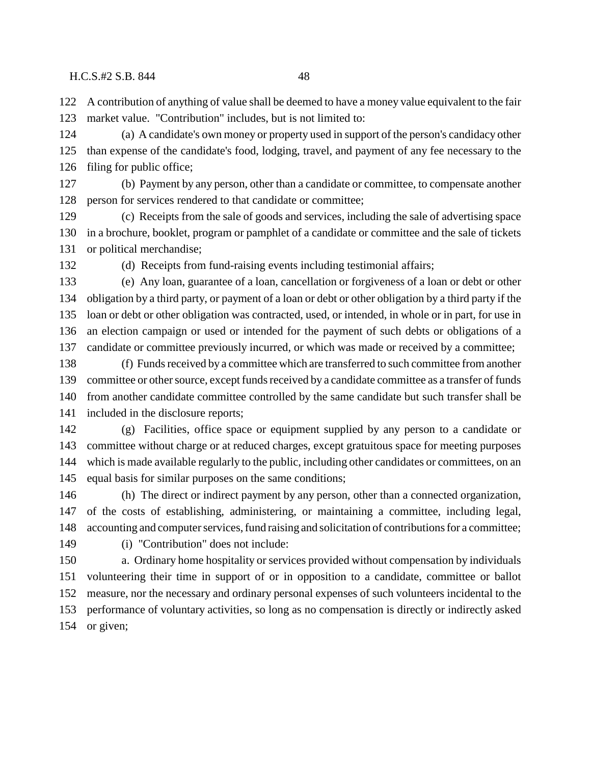A contribution of anything of value shall be deemed to have a money value equivalent to the fair market value. "Contribution" includes, but is not limited to:

 (a) A candidate's own money or property used in support of the person's candidacy other than expense of the candidate's food, lodging, travel, and payment of any fee necessary to the filing for public office;

 (b) Payment by any person, other than a candidate or committee, to compensate another person for services rendered to that candidate or committee;

 (c) Receipts from the sale of goods and services, including the sale of advertising space in a brochure, booklet, program or pamphlet of a candidate or committee and the sale of tickets or political merchandise;

(d) Receipts from fund-raising events including testimonial affairs;

 (e) Any loan, guarantee of a loan, cancellation or forgiveness of a loan or debt or other obligation by a third party, or payment of a loan or debt or other obligation by a third party if the loan or debt or other obligation was contracted, used, or intended, in whole or in part, for use in an election campaign or used or intended for the payment of such debts or obligations of a candidate or committee previously incurred, or which was made or received by a committee;

 (f) Funds received by a committee which are transferred to such committee from another committee or other source, except funds received by a candidate committee as a transfer of funds from another candidate committee controlled by the same candidate but such transfer shall be included in the disclosure reports;

 (g) Facilities, office space or equipment supplied by any person to a candidate or committee without charge or at reduced charges, except gratuitous space for meeting purposes which is made available regularly to the public, including other candidates or committees, on an equal basis for similar purposes on the same conditions;

 (h) The direct or indirect payment by any person, other than a connected organization, of the costs of establishing, administering, or maintaining a committee, including legal, accounting and computer services, fund raising and solicitation of contributions for a committee;

(i) "Contribution" does not include:

 a. Ordinary home hospitality or services provided without compensation by individuals volunteering their time in support of or in opposition to a candidate, committee or ballot measure, nor the necessary and ordinary personal expenses of such volunteers incidental to the performance of voluntary activities, so long as no compensation is directly or indirectly asked or given;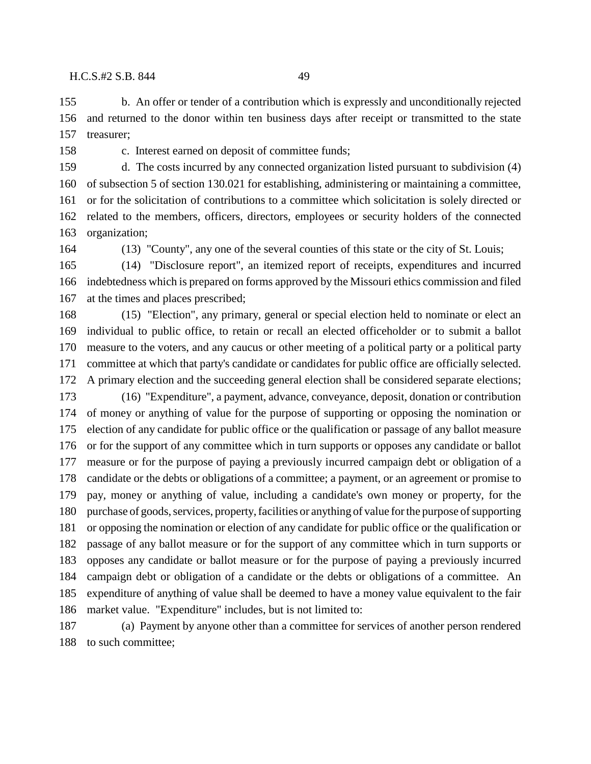b. An offer or tender of a contribution which is expressly and unconditionally rejected and returned to the donor within ten business days after receipt or transmitted to the state treasurer;

c. Interest earned on deposit of committee funds;

 d. The costs incurred by any connected organization listed pursuant to subdivision (4) of subsection 5 of section 130.021 for establishing, administering or maintaining a committee, or for the solicitation of contributions to a committee which solicitation is solely directed or related to the members, officers, directors, employees or security holders of the connected organization;

(13) "County", any one of the several counties of this state or the city of St. Louis;

 (14) "Disclosure report", an itemized report of receipts, expenditures and incurred indebtedness which is prepared on forms approved by the Missouri ethics commission and filed at the times and places prescribed;

 (15) "Election", any primary, general or special election held to nominate or elect an individual to public office, to retain or recall an elected officeholder or to submit a ballot measure to the voters, and any caucus or other meeting of a political party or a political party committee at which that party's candidate or candidates for public office are officially selected. A primary election and the succeeding general election shall be considered separate elections; (16) "Expenditure", a payment, advance, conveyance, deposit, donation or contribution of money or anything of value for the purpose of supporting or opposing the nomination or election of any candidate for public office or the qualification or passage of any ballot measure or for the support of any committee which in turn supports or opposes any candidate or ballot

 candidate or the debts or obligations of a committee; a payment, or an agreement or promise to pay, money or anything of value, including a candidate's own money or property, for the purchase of goods, services, property, facilities or anything of value for the purpose of supporting or opposing the nomination or election of any candidate for public office or the qualification or passage of any ballot measure or for the support of any committee which in turn supports or opposes any candidate or ballot measure or for the purpose of paying a previously incurred campaign debt or obligation of a candidate or the debts or obligations of a committee. An expenditure of anything of value shall be deemed to have a money value equivalent to the fair market value. "Expenditure" includes, but is not limited to:

measure or for the purpose of paying a previously incurred campaign debt or obligation of a

 (a) Payment by anyone other than a committee for services of another person rendered to such committee;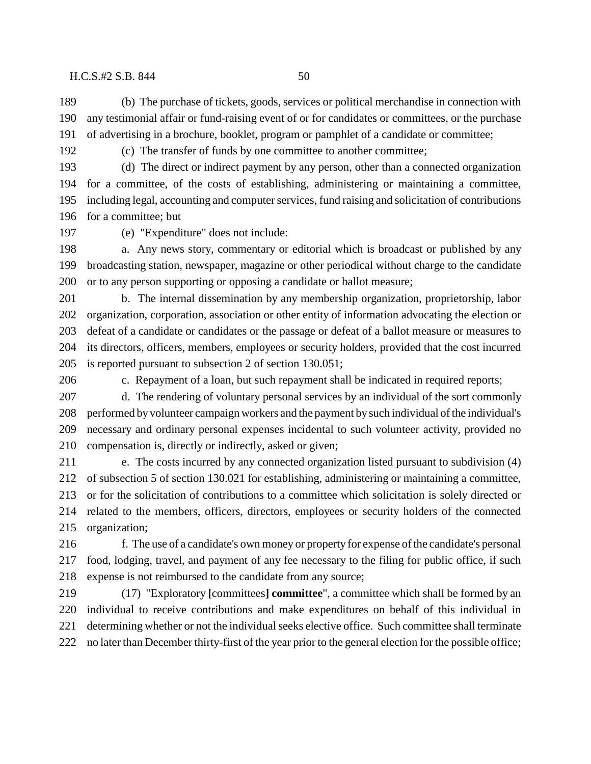(b) The purchase of tickets, goods, services or political merchandise in connection with any testimonial affair or fund-raising event of or for candidates or committees, or the purchase of advertising in a brochure, booklet, program or pamphlet of a candidate or committee;

(c) The transfer of funds by one committee to another committee;

 (d) The direct or indirect payment by any person, other than a connected organization for a committee, of the costs of establishing, administering or maintaining a committee, including legal, accounting and computer services, fund raising and solicitation of contributions for a committee; but

(e) "Expenditure" does not include:

 a. Any news story, commentary or editorial which is broadcast or published by any broadcasting station, newspaper, magazine or other periodical without charge to the candidate or to any person supporting or opposing a candidate or ballot measure;

 b. The internal dissemination by any membership organization, proprietorship, labor organization, corporation, association or other entity of information advocating the election or defeat of a candidate or candidates or the passage or defeat of a ballot measure or measures to its directors, officers, members, employees or security holders, provided that the cost incurred is reported pursuant to subsection 2 of section 130.051;

c. Repayment of a loan, but such repayment shall be indicated in required reports;

 d. The rendering of voluntary personal services by an individual of the sort commonly performed by volunteer campaign workers and the payment by such individual of the individual's necessary and ordinary personal expenses incidental to such volunteer activity, provided no compensation is, directly or indirectly, asked or given;

 e. The costs incurred by any connected organization listed pursuant to subdivision (4) of subsection 5 of section 130.021 for establishing, administering or maintaining a committee, or for the solicitation of contributions to a committee which solicitation is solely directed or related to the members, officers, directors, employees or security holders of the connected organization;

 f. The use of a candidate's own money or property for expense of the candidate's personal food, lodging, travel, and payment of any fee necessary to the filing for public office, if such expense is not reimbursed to the candidate from any source;

 (17) "Exploratory **[**committees**] committee**", a committee which shall be formed by an individual to receive contributions and make expenditures on behalf of this individual in determining whether or not the individual seeks elective office. Such committee shall terminate no later than December thirty-first of the year prior to the general election for the possible office;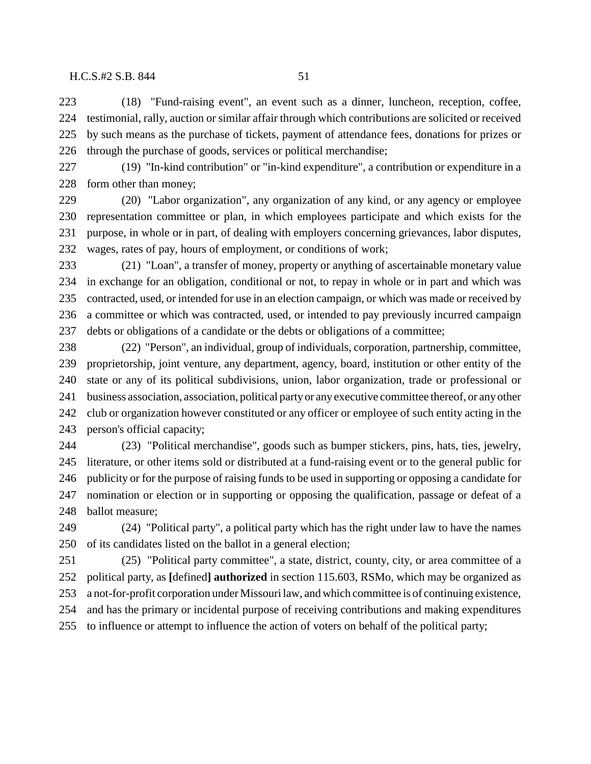(18) "Fund-raising event", an event such as a dinner, luncheon, reception, coffee, testimonial, rally, auction or similar affair through which contributions are solicited or received by such means as the purchase of tickets, payment of attendance fees, donations for prizes or through the purchase of goods, services or political merchandise;

 (19) "In-kind contribution" or "in-kind expenditure", a contribution or expenditure in a form other than money;

 (20) "Labor organization", any organization of any kind, or any agency or employee representation committee or plan, in which employees participate and which exists for the purpose, in whole or in part, of dealing with employers concerning grievances, labor disputes, wages, rates of pay, hours of employment, or conditions of work;

 (21) "Loan", a transfer of money, property or anything of ascertainable monetary value in exchange for an obligation, conditional or not, to repay in whole or in part and which was contracted, used, or intended for use in an election campaign, or which was made or received by a committee or which was contracted, used, or intended to pay previously incurred campaign debts or obligations of a candidate or the debts or obligations of a committee;

 (22) "Person", an individual, group of individuals, corporation, partnership, committee, proprietorship, joint venture, any department, agency, board, institution or other entity of the state or any of its political subdivisions, union, labor organization, trade or professional or business association, association, political party or any executive committee thereof, or any other club or organization however constituted or any officer or employee of such entity acting in the person's official capacity;

 (23) "Political merchandise", goods such as bumper stickers, pins, hats, ties, jewelry, literature, or other items sold or distributed at a fund-raising event or to the general public for publicity or for the purpose of raising funds to be used in supporting or opposing a candidate for nomination or election or in supporting or opposing the qualification, passage or defeat of a ballot measure;

 (24) "Political party", a political party which has the right under law to have the names of its candidates listed on the ballot in a general election;

 (25) "Political party committee", a state, district, county, city, or area committee of a political party, as **[**defined**] authorized** in section 115.603, RSMo, which may be organized as a not-for-profit corporation under Missouri law, and which committee is of continuing existence, and has the primary or incidental purpose of receiving contributions and making expenditures to influence or attempt to influence the action of voters on behalf of the political party;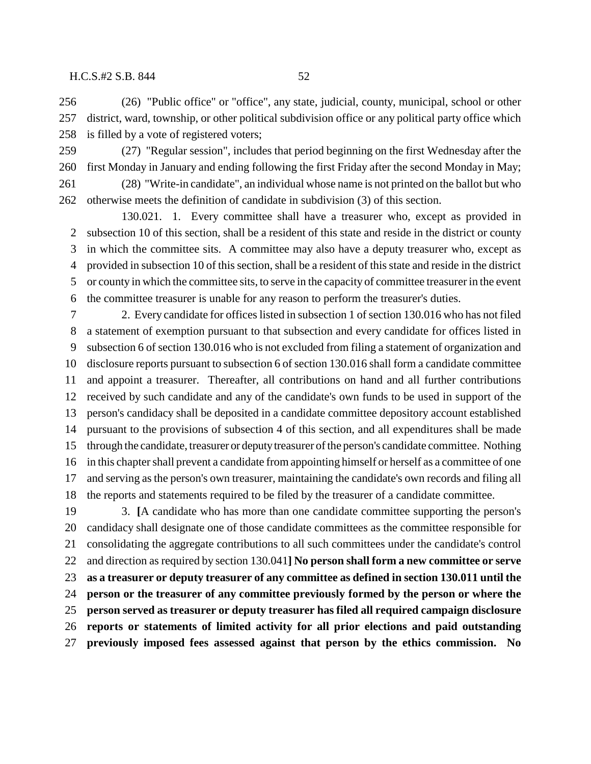(26) "Public office" or "office", any state, judicial, county, municipal, school or other district, ward, township, or other political subdivision office or any political party office which is filled by a vote of registered voters;

 (27) "Regular session", includes that period beginning on the first Wednesday after the first Monday in January and ending following the first Friday after the second Monday in May;

 (28) "Write-in candidate", an individual whose name is not printed on the ballot but who otherwise meets the definition of candidate in subdivision (3) of this section.

130.021. 1. Every committee shall have a treasurer who, except as provided in subsection 10 of this section, shall be a resident of this state and reside in the district or county in which the committee sits. A committee may also have a deputy treasurer who, except as provided in subsection 10 of this section, shall be a resident of this state and reside in the district or county in which the committee sits, to serve in the capacity of committee treasurer in the event the committee treasurer is unable for any reason to perform the treasurer's duties.

 2. Every candidate for offices listed in subsection 1 of section 130.016 who has not filed a statement of exemption pursuant to that subsection and every candidate for offices listed in subsection 6 of section 130.016 who is not excluded from filing a statement of organization and disclosure reports pursuant to subsection 6 of section 130.016 shall form a candidate committee and appoint a treasurer. Thereafter, all contributions on hand and all further contributions received by such candidate and any of the candidate's own funds to be used in support of the person's candidacy shall be deposited in a candidate committee depository account established pursuant to the provisions of subsection 4 of this section, and all expenditures shall be made through the candidate, treasurer or deputy treasurer of the person's candidate committee. Nothing in this chapter shall prevent a candidate from appointing himself or herself as a committee of one and serving as the person's own treasurer, maintaining the candidate's own records and filing all the reports and statements required to be filed by the treasurer of a candidate committee.

 3. **[**A candidate who has more than one candidate committee supporting the person's candidacy shall designate one of those candidate committees as the committee responsible for consolidating the aggregate contributions to all such committees under the candidate's control and direction as required by section 130.041**] No person shall form a new committee or serve as a treasurer or deputy treasurer of any committee as defined in section 130.011 until the person or the treasurer of any committee previously formed by the person or where the person served as treasurer or deputy treasurer has filed all required campaign disclosure reports or statements of limited activity for all prior elections and paid outstanding previously imposed fees assessed against that person by the ethics commission. No**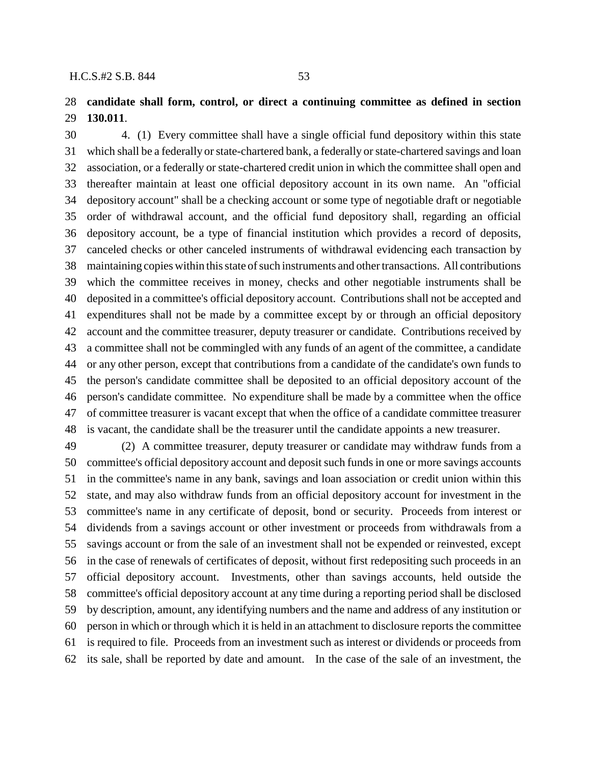#### **candidate shall form, control, or direct a continuing committee as defined in section 130.011**.

 4. (1) Every committee shall have a single official fund depository within this state which shall be a federally or state-chartered bank, a federally or state-chartered savings and loan association, or a federally or state-chartered credit union in which the committee shall open and thereafter maintain at least one official depository account in its own name. An "official depository account" shall be a checking account or some type of negotiable draft or negotiable order of withdrawal account, and the official fund depository shall, regarding an official depository account, be a type of financial institution which provides a record of deposits, canceled checks or other canceled instruments of withdrawal evidencing each transaction by maintaining copies within this state of such instruments and other transactions. All contributions which the committee receives in money, checks and other negotiable instruments shall be deposited in a committee's official depository account. Contributions shall not be accepted and expenditures shall not be made by a committee except by or through an official depository account and the committee treasurer, deputy treasurer or candidate. Contributions received by a committee shall not be commingled with any funds of an agent of the committee, a candidate or any other person, except that contributions from a candidate of the candidate's own funds to the person's candidate committee shall be deposited to an official depository account of the person's candidate committee. No expenditure shall be made by a committee when the office of committee treasurer is vacant except that when the office of a candidate committee treasurer is vacant, the candidate shall be the treasurer until the candidate appoints a new treasurer.

 (2) A committee treasurer, deputy treasurer or candidate may withdraw funds from a committee's official depository account and deposit such funds in one or more savings accounts in the committee's name in any bank, savings and loan association or credit union within this state, and may also withdraw funds from an official depository account for investment in the committee's name in any certificate of deposit, bond or security. Proceeds from interest or dividends from a savings account or other investment or proceeds from withdrawals from a savings account or from the sale of an investment shall not be expended or reinvested, except in the case of renewals of certificates of deposit, without first redepositing such proceeds in an official depository account. Investments, other than savings accounts, held outside the committee's official depository account at any time during a reporting period shall be disclosed by description, amount, any identifying numbers and the name and address of any institution or person in which or through which it is held in an attachment to disclosure reports the committee is required to file. Proceeds from an investment such as interest or dividends or proceeds from its sale, shall be reported by date and amount. In the case of the sale of an investment, the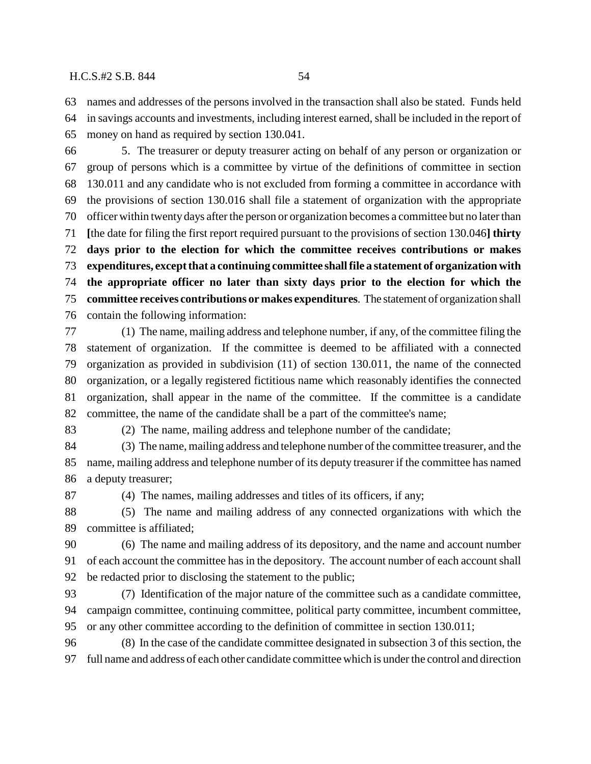names and addresses of the persons involved in the transaction shall also be stated. Funds held

 in savings accounts and investments, including interest earned, shall be included in the report of money on hand as required by section 130.041.

 5. The treasurer or deputy treasurer acting on behalf of any person or organization or group of persons which is a committee by virtue of the definitions of committee in section 130.011 and any candidate who is not excluded from forming a committee in accordance with the provisions of section 130.016 shall file a statement of organization with the appropriate officer within twenty days after the person or organization becomes a committee but no later than **[**the date for filing the first report required pursuant to the provisions of section 130.046**] thirty days prior to the election for which the committee receives contributions or makes expenditures, except that a continuing committee shall file a statement of organization with the appropriate officer no later than sixty days prior to the election for which the committee receives contributions or makes expenditures**. The statement of organization shall contain the following information:

 (1) The name, mailing address and telephone number, if any, of the committee filing the statement of organization. If the committee is deemed to be affiliated with a connected organization as provided in subdivision (11) of section 130.011, the name of the connected organization, or a legally registered fictitious name which reasonably identifies the connected organization, shall appear in the name of the committee. If the committee is a candidate committee, the name of the candidate shall be a part of the committee's name;

(2) The name, mailing address and telephone number of the candidate;

 (3) The name, mailing address and telephone number of the committee treasurer, and the name, mailing address and telephone number of its deputy treasurer if the committee has named a deputy treasurer;

(4) The names, mailing addresses and titles of its officers, if any;

 (5) The name and mailing address of any connected organizations with which the committee is affiliated;

 (6) The name and mailing address of its depository, and the name and account number of each account the committee has in the depository. The account number of each account shall be redacted prior to disclosing the statement to the public;

 (7) Identification of the major nature of the committee such as a candidate committee, campaign committee, continuing committee, political party committee, incumbent committee, or any other committee according to the definition of committee in section 130.011;

 (8) In the case of the candidate committee designated in subsection 3 of this section, the full name and address of each other candidate committee which is under the control and direction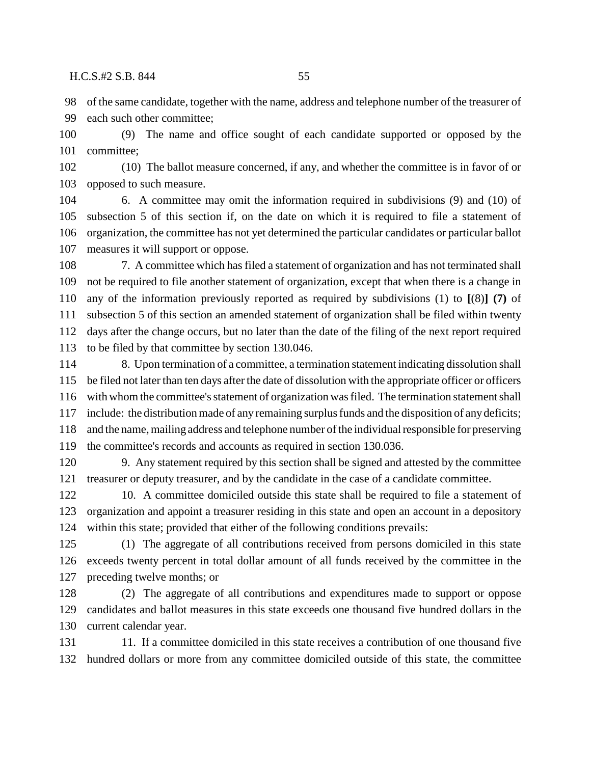of the same candidate, together with the name, address and telephone number of the treasurer of

each such other committee;

 (9) The name and office sought of each candidate supported or opposed by the committee;

 (10) The ballot measure concerned, if any, and whether the committee is in favor of or opposed to such measure.

 6. A committee may omit the information required in subdivisions (9) and (10) of subsection 5 of this section if, on the date on which it is required to file a statement of organization, the committee has not yet determined the particular candidates or particular ballot measures it will support or oppose.

 7. A committee which has filed a statement of organization and has not terminated shall not be required to file another statement of organization, except that when there is a change in any of the information previously reported as required by subdivisions (1) to **[**(8)**] (7)** of subsection 5 of this section an amended statement of organization shall be filed within twenty days after the change occurs, but no later than the date of the filing of the next report required to be filed by that committee by section 130.046.

114 8. Upon termination of a committee, a termination statement indicating dissolution shall be filed not later than ten days after the date of dissolution with the appropriate officer or officers with whom the committee's statement of organization was filed. The termination statement shall include: the distribution made of any remaining surplus funds and the disposition of any deficits; and the name, mailing address and telephone number of the individual responsible for preserving the committee's records and accounts as required in section 130.036.

 9. Any statement required by this section shall be signed and attested by the committee treasurer or deputy treasurer, and by the candidate in the case of a candidate committee.

 10. A committee domiciled outside this state shall be required to file a statement of organization and appoint a treasurer residing in this state and open an account in a depository within this state; provided that either of the following conditions prevails:

 (1) The aggregate of all contributions received from persons domiciled in this state exceeds twenty percent in total dollar amount of all funds received by the committee in the preceding twelve months; or

 (2) The aggregate of all contributions and expenditures made to support or oppose candidates and ballot measures in this state exceeds one thousand five hundred dollars in the current calendar year.

131 11. If a committee domiciled in this state receives a contribution of one thousand five hundred dollars or more from any committee domiciled outside of this state, the committee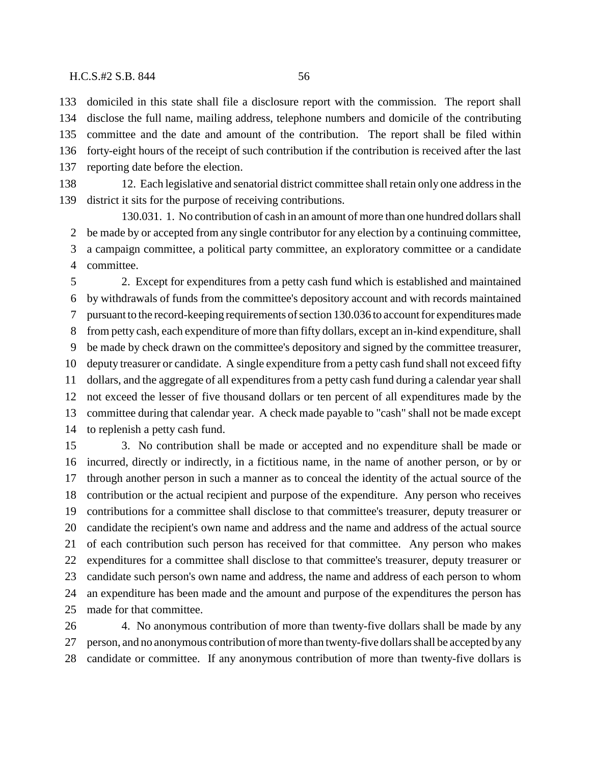domiciled in this state shall file a disclosure report with the commission. The report shall disclose the full name, mailing address, telephone numbers and domicile of the contributing committee and the date and amount of the contribution. The report shall be filed within forty-eight hours of the receipt of such contribution if the contribution is received after the last reporting date before the election.

 12. Each legislative and senatorial district committee shall retain only one address in the district it sits for the purpose of receiving contributions.

130.031. 1. No contribution of cash in an amount of more than one hundred dollars shall be made by or accepted from any single contributor for any election by a continuing committee, a campaign committee, a political party committee, an exploratory committee or a candidate committee.

 2. Except for expenditures from a petty cash fund which is established and maintained by withdrawals of funds from the committee's depository account and with records maintained pursuant to the record-keeping requirements of section 130.036 to account for expenditures made from petty cash, each expenditure of more than fifty dollars, except an in-kind expenditure, shall be made by check drawn on the committee's depository and signed by the committee treasurer, deputy treasurer or candidate. A single expenditure from a petty cash fund shall not exceed fifty dollars, and the aggregate of all expenditures from a petty cash fund during a calendar year shall not exceed the lesser of five thousand dollars or ten percent of all expenditures made by the committee during that calendar year. A check made payable to "cash" shall not be made except to replenish a petty cash fund.

 3. No contribution shall be made or accepted and no expenditure shall be made or incurred, directly or indirectly, in a fictitious name, in the name of another person, or by or through another person in such a manner as to conceal the identity of the actual source of the contribution or the actual recipient and purpose of the expenditure. Any person who receives contributions for a committee shall disclose to that committee's treasurer, deputy treasurer or candidate the recipient's own name and address and the name and address of the actual source of each contribution such person has received for that committee. Any person who makes expenditures for a committee shall disclose to that committee's treasurer, deputy treasurer or candidate such person's own name and address, the name and address of each person to whom an expenditure has been made and the amount and purpose of the expenditures the person has made for that committee.

 4. No anonymous contribution of more than twenty-five dollars shall be made by any person, and no anonymous contribution of more than twenty-five dollars shall be accepted by any candidate or committee. If any anonymous contribution of more than twenty-five dollars is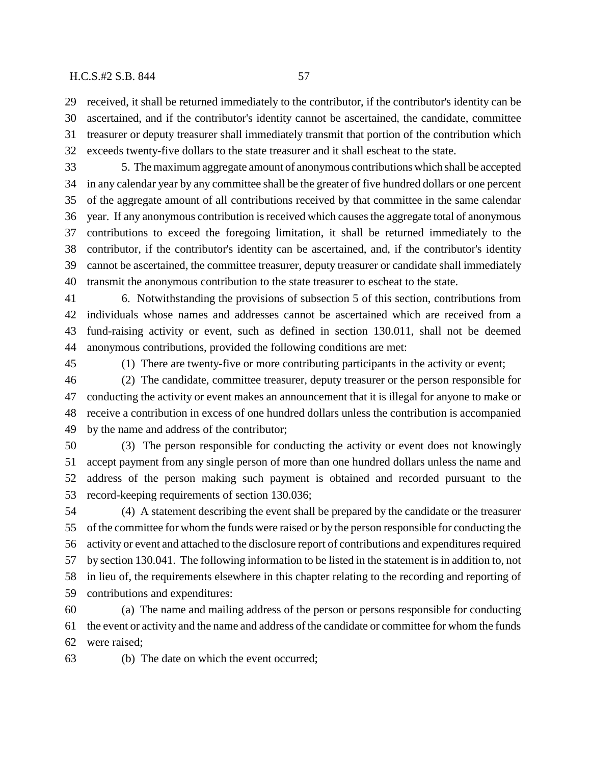received, it shall be returned immediately to the contributor, if the contributor's identity can be ascertained, and if the contributor's identity cannot be ascertained, the candidate, committee treasurer or deputy treasurer shall immediately transmit that portion of the contribution which exceeds twenty-five dollars to the state treasurer and it shall escheat to the state.

 5. The maximum aggregate amount of anonymous contributions which shall be accepted in any calendar year by any committee shall be the greater of five hundred dollars or one percent of the aggregate amount of all contributions received by that committee in the same calendar year. If any anonymous contribution is received which causes the aggregate total of anonymous contributions to exceed the foregoing limitation, it shall be returned immediately to the contributor, if the contributor's identity can be ascertained, and, if the contributor's identity cannot be ascertained, the committee treasurer, deputy treasurer or candidate shall immediately transmit the anonymous contribution to the state treasurer to escheat to the state.

 6. Notwithstanding the provisions of subsection 5 of this section, contributions from individuals whose names and addresses cannot be ascertained which are received from a fund-raising activity or event, such as defined in section 130.011, shall not be deemed anonymous contributions, provided the following conditions are met:

(1) There are twenty-five or more contributing participants in the activity or event;

 (2) The candidate, committee treasurer, deputy treasurer or the person responsible for conducting the activity or event makes an announcement that it is illegal for anyone to make or receive a contribution in excess of one hundred dollars unless the contribution is accompanied by the name and address of the contributor;

 (3) The person responsible for conducting the activity or event does not knowingly accept payment from any single person of more than one hundred dollars unless the name and address of the person making such payment is obtained and recorded pursuant to the record-keeping requirements of section 130.036;

 (4) A statement describing the event shall be prepared by the candidate or the treasurer of the committee for whom the funds were raised or by the person responsible for conducting the activity or event and attached to the disclosure report of contributions and expenditures required by section 130.041. The following information to be listed in the statement is in addition to, not in lieu of, the requirements elsewhere in this chapter relating to the recording and reporting of contributions and expenditures:

 (a) The name and mailing address of the person or persons responsible for conducting the event or activity and the name and address of the candidate or committee for whom the funds were raised;

(b) The date on which the event occurred;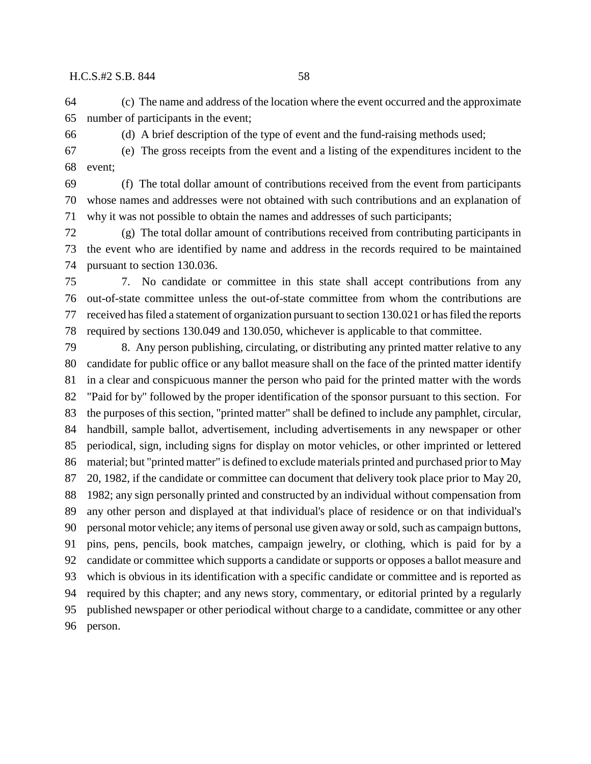(c) The name and address of the location where the event occurred and the approximate number of participants in the event;

(d) A brief description of the type of event and the fund-raising methods used;

 (e) The gross receipts from the event and a listing of the expenditures incident to the event;

 (f) The total dollar amount of contributions received from the event from participants whose names and addresses were not obtained with such contributions and an explanation of why it was not possible to obtain the names and addresses of such participants;

 (g) The total dollar amount of contributions received from contributing participants in the event who are identified by name and address in the records required to be maintained pursuant to section 130.036.

 7. No candidate or committee in this state shall accept contributions from any out-of-state committee unless the out-of-state committee from whom the contributions are received has filed a statement of organization pursuant to section 130.021 or has filed the reports required by sections 130.049 and 130.050, whichever is applicable to that committee.

 8. Any person publishing, circulating, or distributing any printed matter relative to any candidate for public office or any ballot measure shall on the face of the printed matter identify in a clear and conspicuous manner the person who paid for the printed matter with the words "Paid for by" followed by the proper identification of the sponsor pursuant to this section. For the purposes of this section, "printed matter" shall be defined to include any pamphlet, circular, handbill, sample ballot, advertisement, including advertisements in any newspaper or other periodical, sign, including signs for display on motor vehicles, or other imprinted or lettered material; but "printed matter" is defined to exclude materials printed and purchased prior to May 20, 1982, if the candidate or committee can document that delivery took place prior to May 20, 1982; any sign personally printed and constructed by an individual without compensation from any other person and displayed at that individual's place of residence or on that individual's personal motor vehicle; any items of personal use given away or sold, such as campaign buttons, pins, pens, pencils, book matches, campaign jewelry, or clothing, which is paid for by a candidate or committee which supports a candidate or supports or opposes a ballot measure and which is obvious in its identification with a specific candidate or committee and is reported as required by this chapter; and any news story, commentary, or editorial printed by a regularly published newspaper or other periodical without charge to a candidate, committee or any other person.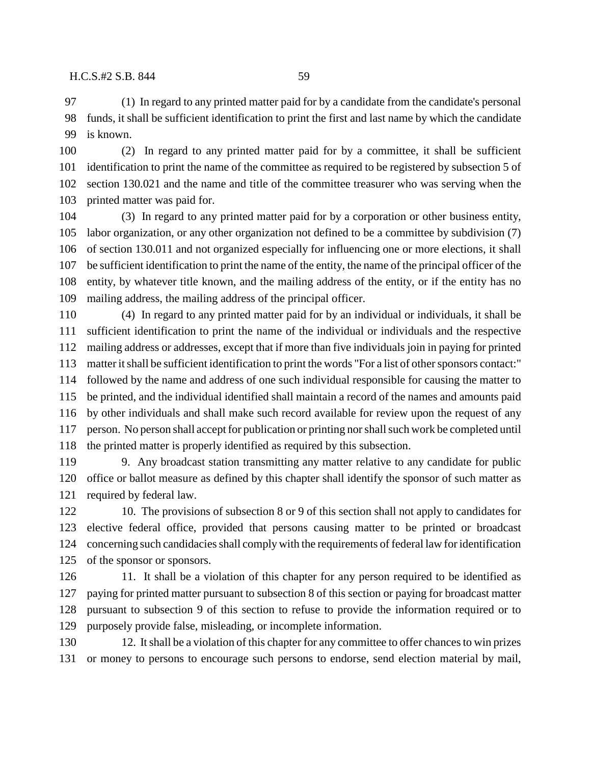(1) In regard to any printed matter paid for by a candidate from the candidate's personal funds, it shall be sufficient identification to print the first and last name by which the candidate is known.

 (2) In regard to any printed matter paid for by a committee, it shall be sufficient identification to print the name of the committee as required to be registered by subsection 5 of section 130.021 and the name and title of the committee treasurer who was serving when the printed matter was paid for.

 (3) In regard to any printed matter paid for by a corporation or other business entity, labor organization, or any other organization not defined to be a committee by subdivision (7) of section 130.011 and not organized especially for influencing one or more elections, it shall be sufficient identification to print the name of the entity, the name of the principal officer of the entity, by whatever title known, and the mailing address of the entity, or if the entity has no mailing address, the mailing address of the principal officer.

 (4) In regard to any printed matter paid for by an individual or individuals, it shall be sufficient identification to print the name of the individual or individuals and the respective mailing address or addresses, except that if more than five individuals join in paying for printed matter it shall be sufficient identification to print the words "For a list of other sponsors contact:" followed by the name and address of one such individual responsible for causing the matter to be printed, and the individual identified shall maintain a record of the names and amounts paid by other individuals and shall make such record available for review upon the request of any person. No person shall accept for publication or printing nor shall such work be completed until

the printed matter is properly identified as required by this subsection.

 9. Any broadcast station transmitting any matter relative to any candidate for public office or ballot measure as defined by this chapter shall identify the sponsor of such matter as required by federal law.

 10. The provisions of subsection 8 or 9 of this section shall not apply to candidates for elective federal office, provided that persons causing matter to be printed or broadcast concerning such candidacies shall comply with the requirements of federal law for identification of the sponsor or sponsors.

 11. It shall be a violation of this chapter for any person required to be identified as paying for printed matter pursuant to subsection 8 of this section or paying for broadcast matter pursuant to subsection 9 of this section to refuse to provide the information required or to purposely provide false, misleading, or incomplete information.

 12. It shall be a violation of this chapter for any committee to offer chances to win prizes or money to persons to encourage such persons to endorse, send election material by mail,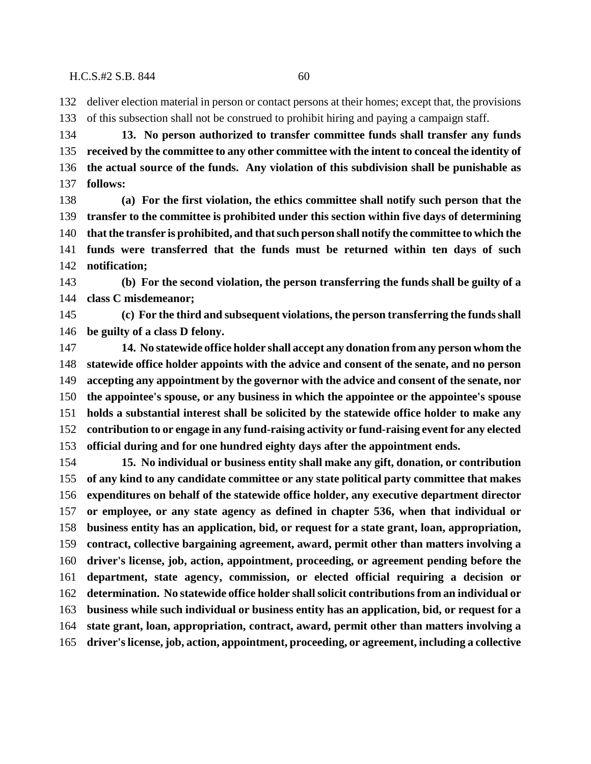deliver election material in person or contact persons at their homes; except that, the provisions

of this subsection shall not be construed to prohibit hiring and paying a campaign staff.

 **13. No person authorized to transfer committee funds shall transfer any funds received by the committee to any other committee with the intent to conceal the identity of the actual source of the funds. Any violation of this subdivision shall be punishable as follows:**

 **(a) For the first violation, the ethics committee shall notify such person that the transfer to the committee is prohibited under this section within five days of determining that the transfer is prohibited, and that such person shall notify the committee to which the funds were transferred that the funds must be returned within ten days of such notification;**

 **(b) For the second violation, the person transferring the funds shall be guilty of a class C misdemeanor;**

 **(c) For the third and subsequent violations, the person transferring the funds shall be guilty of a class D felony.**

 **14. No statewide office holder shall accept any donation from any person whom the statewide office holder appoints with the advice and consent of the senate, and no person accepting any appointment by the governor with the advice and consent of the senate, nor the appointee's spouse, or any business in which the appointee or the appointee's spouse holds a substantial interest shall be solicited by the statewide office holder to make any contribution to or engage in any fund-raising activity or fund-raising event for any elected official during and for one hundred eighty days after the appointment ends.**

 **15. No individual or business entity shall make any gift, donation, or contribution of any kind to any candidate committee or any state political party committee that makes expenditures on behalf of the statewide office holder, any executive department director or employee, or any state agency as defined in chapter 536, when that individual or business entity has an application, bid, or request for a state grant, loan, appropriation, contract, collective bargaining agreement, award, permit other than matters involving a driver's license, job, action, appointment, proceeding, or agreement pending before the department, state agency, commission, or elected official requiring a decision or determination. No statewide office holder shall solicit contributions from an individual or business while such individual or business entity has an application, bid, or request for a state grant, loan, appropriation, contract, award, permit other than matters involving a driver's license, job, action, appointment, proceeding, or agreement, including a collective**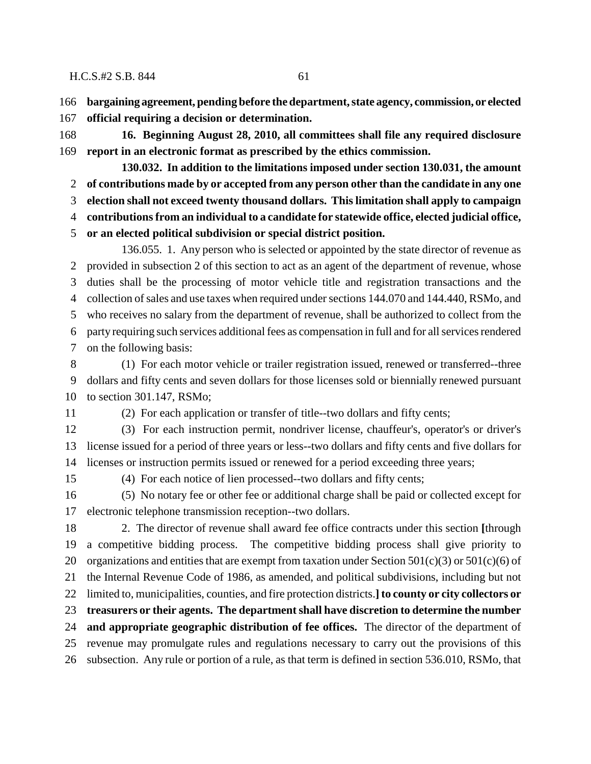**bargaining agreement, pending before the department, state agency, commission, or elected**

- **official requiring a decision or determination.**
- **16. Beginning August 28, 2010, all committees shall file any required disclosure report in an electronic format as prescribed by the ethics commission.**

**130.032. In addition to the limitations imposed under section 130.031, the amount of contributions made by or accepted from any person other than the candidate in any one**

**election shall not exceed twenty thousand dollars. This limitation shall apply to campaign**

**contributions from an individual to a candidate for statewide office, elected judicial office,**

**or an elected political subdivision or special district position.**

136.055. 1. Any person who is selected or appointed by the state director of revenue as provided in subsection 2 of this section to act as an agent of the department of revenue, whose duties shall be the processing of motor vehicle title and registration transactions and the collection of sales and use taxes when required under sections 144.070 and 144.440, RSMo, and who receives no salary from the department of revenue, shall be authorized to collect from the party requiring such services additional fees as compensation in full and for all services rendered on the following basis:

 (1) For each motor vehicle or trailer registration issued, renewed or transferred--three dollars and fifty cents and seven dollars for those licenses sold or biennially renewed pursuant to section 301.147, RSMo;

(2) For each application or transfer of title--two dollars and fifty cents;

 (3) For each instruction permit, nondriver license, chauffeur's, operator's or driver's license issued for a period of three years or less--two dollars and fifty cents and five dollars for licenses or instruction permits issued or renewed for a period exceeding three years;

(4) For each notice of lien processed--two dollars and fifty cents;

 (5) No notary fee or other fee or additional charge shall be paid or collected except for electronic telephone transmission reception--two dollars.

 2. The director of revenue shall award fee office contracts under this section **[**through a competitive bidding process. The competitive bidding process shall give priority to 20 organizations and entities that are exempt from taxation under Section  $501(c)(3)$  or  $501(c)(6)$  of the Internal Revenue Code of 1986, as amended, and political subdivisions, including but not limited to, municipalities, counties, and fire protection districts.**] to county or city collectors or treasurers or their agents. The department shall have discretion to determine the number and appropriate geographic distribution of fee offices.** The director of the department of revenue may promulgate rules and regulations necessary to carry out the provisions of this subsection. Any rule or portion of a rule, as that term is defined in section 536.010, RSMo, that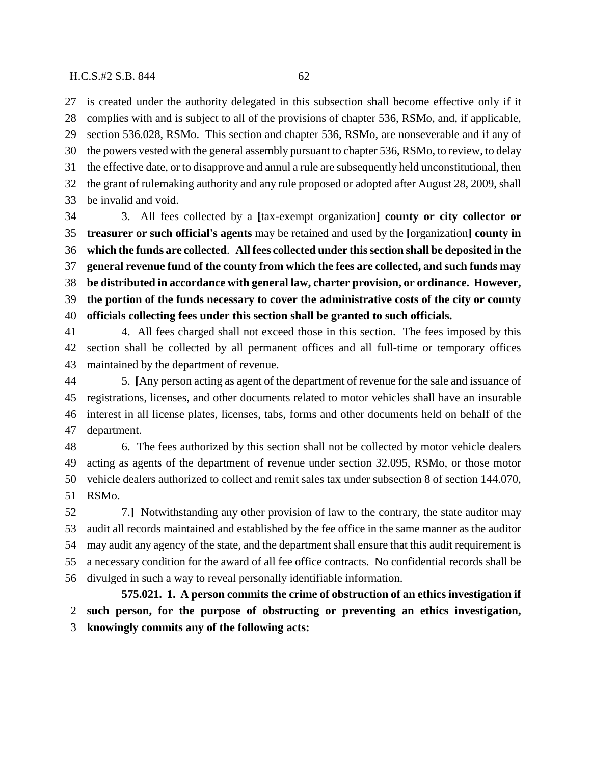is created under the authority delegated in this subsection shall become effective only if it complies with and is subject to all of the provisions of chapter 536, RSMo, and, if applicable, section 536.028, RSMo. This section and chapter 536, RSMo, are nonseverable and if any of the powers vested with the general assembly pursuant to chapter 536, RSMo, to review, to delay the effective date, or to disapprove and annul a rule are subsequently held unconstitutional, then the grant of rulemaking authority and any rule proposed or adopted after August 28, 2009, shall be invalid and void.

 3. All fees collected by a **[**tax-exempt organization**] county or city collector or treasurer or such official's agents** may be retained and used by the **[**organization**] county in which the funds are collected**. **All fees collected under this section shall be deposited in the general revenue fund of the county from which the fees are collected, and such funds may be distributed in accordance with general law, charter provision, or ordinance. However, the portion of the funds necessary to cover the administrative costs of the city or county officials collecting fees under this section shall be granted to such officials.**

 4. All fees charged shall not exceed those in this section. The fees imposed by this section shall be collected by all permanent offices and all full-time or temporary offices maintained by the department of revenue.

 5. **[**Any person acting as agent of the department of revenue for the sale and issuance of registrations, licenses, and other documents related to motor vehicles shall have an insurable interest in all license plates, licenses, tabs, forms and other documents held on behalf of the department.

 6. The fees authorized by this section shall not be collected by motor vehicle dealers acting as agents of the department of revenue under section 32.095, RSMo, or those motor vehicle dealers authorized to collect and remit sales tax under subsection 8 of section 144.070, RSMo.

 7.**]** Notwithstanding any other provision of law to the contrary, the state auditor may audit all records maintained and established by the fee office in the same manner as the auditor may audit any agency of the state, and the department shall ensure that this audit requirement is a necessary condition for the award of all fee office contracts. No confidential records shall be divulged in such a way to reveal personally identifiable information.

**575.021. 1. A person commits the crime of obstruction of an ethics investigation if such person, for the purpose of obstructing or preventing an ethics investigation, knowingly commits any of the following acts:**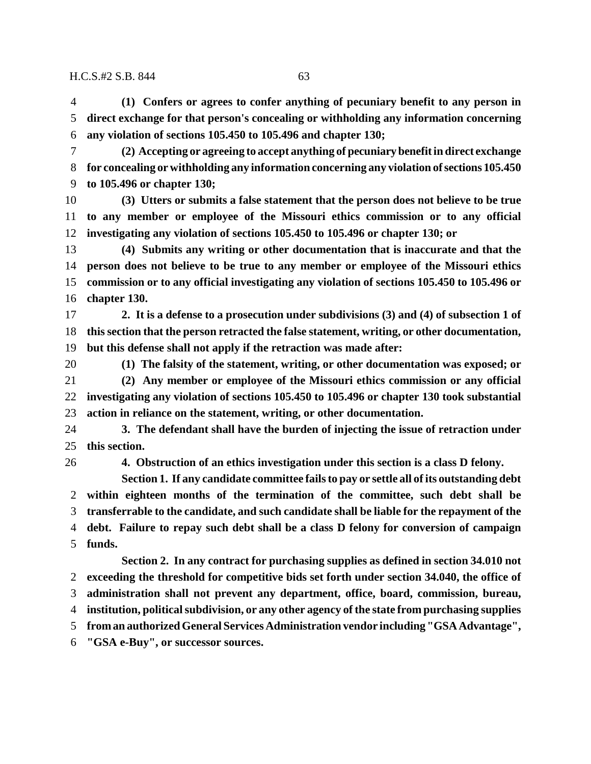**(1) Confers or agrees to confer anything of pecuniary benefit to any person in direct exchange for that person's concealing or withholding any information concerning any violation of sections 105.450 to 105.496 and chapter 130;**

 **(2) Accepting or agreeing to accept anything of pecuniary benefit in direct exchange for concealing or withholding any information concerning any violation of sections 105.450 to 105.496 or chapter 130;**

 **(3) Utters or submits a false statement that the person does not believe to be true to any member or employee of the Missouri ethics commission or to any official investigating any violation of sections 105.450 to 105.496 or chapter 130; or**

 **(4) Submits any writing or other documentation that is inaccurate and that the person does not believe to be true to any member or employee of the Missouri ethics commission or to any official investigating any violation of sections 105.450 to 105.496 or chapter 130.**

 **2. It is a defense to a prosecution under subdivisions (3) and (4) of subsection 1 of this section that the person retracted the false statement, writing, or other documentation, but this defense shall not apply if the retraction was made after:**

**(1) The falsity of the statement, writing, or other documentation was exposed; or**

 **(2) Any member or employee of the Missouri ethics commission or any official investigating any violation of sections 105.450 to 105.496 or chapter 130 took substantial action in reliance on the statement, writing, or other documentation.**

 **3. The defendant shall have the burden of injecting the issue of retraction under this section.**

**4. Obstruction of an ethics investigation under this section is a class D felony.**

**Section 1. If any candidate committee fails to pay or settle all of its outstanding debt within eighteen months of the termination of the committee, such debt shall be transferrable to the candidate, and such candidate shall be liable for the repayment of the debt. Failure to repay such debt shall be a class D felony for conversion of campaign funds.**

**Section 2. In any contract for purchasing supplies as defined in section 34.010 not exceeding the threshold for competitive bids set forth under section 34.040, the office of administration shall not prevent any department, office, board, commission, bureau, institution, political subdivision, or any other agency of the state from purchasing supplies from an authorized General Services Administration vendor including "GSA Advantage",**

**"GSA e-Buy", or successor sources.**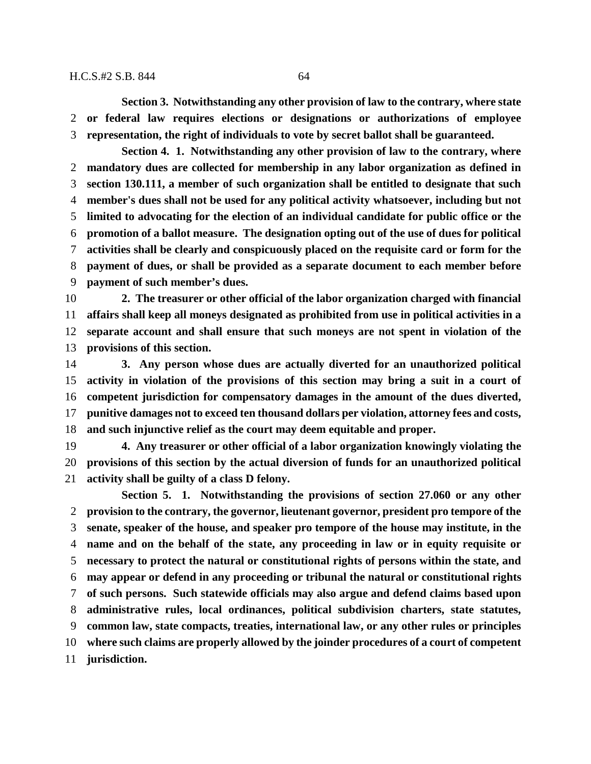**Section 3. Notwithstanding any other provision of law to the contrary, where state or federal law requires elections or designations or authorizations of employee representation, the right of individuals to vote by secret ballot shall be guaranteed.**

**Section 4. 1. Notwithstanding any other provision of law to the contrary, where mandatory dues are collected for membership in any labor organization as defined in section 130.111, a member of such organization shall be entitled to designate that such member's dues shall not be used for any political activity whatsoever, including but not limited to advocating for the election of an individual candidate for public office or the promotion of a ballot measure. The designation opting out of the use of dues for political activities shall be clearly and conspicuously placed on the requisite card or form for the payment of dues, or shall be provided as a separate document to each member before payment of such member's dues.**

 **2. The treasurer or other official of the labor organization charged with financial affairs shall keep all moneys designated as prohibited from use in political activities in a separate account and shall ensure that such moneys are not spent in violation of the provisions of this section.**

 **3. Any person whose dues are actually diverted for an unauthorized political activity in violation of the provisions of this section may bring a suit in a court of competent jurisdiction for compensatory damages in the amount of the dues diverted, punitive damages not to exceed ten thousand dollars per violation, attorney fees and costs, and such injunctive relief as the court may deem equitable and proper.**

 **4. Any treasurer or other official of a labor organization knowingly violating the provisions of this section by the actual diversion of funds for an unauthorized political activity shall be guilty of a class D felony.**

**Section 5. 1. Notwithstanding the provisions of section 27.060 or any other provision to the contrary, the governor, lieutenant governor, president pro tempore of the senate, speaker of the house, and speaker pro tempore of the house may institute, in the name and on the behalf of the state, any proceeding in law or in equity requisite or necessary to protect the natural or constitutional rights of persons within the state, and may appear or defend in any proceeding or tribunal the natural or constitutional rights of such persons. Such statewide officials may also argue and defend claims based upon administrative rules, local ordinances, political subdivision charters, state statutes, common law, state compacts, treaties, international law, or any other rules or principles where such claims are properly allowed by the joinder procedures of a court of competent jurisdiction.**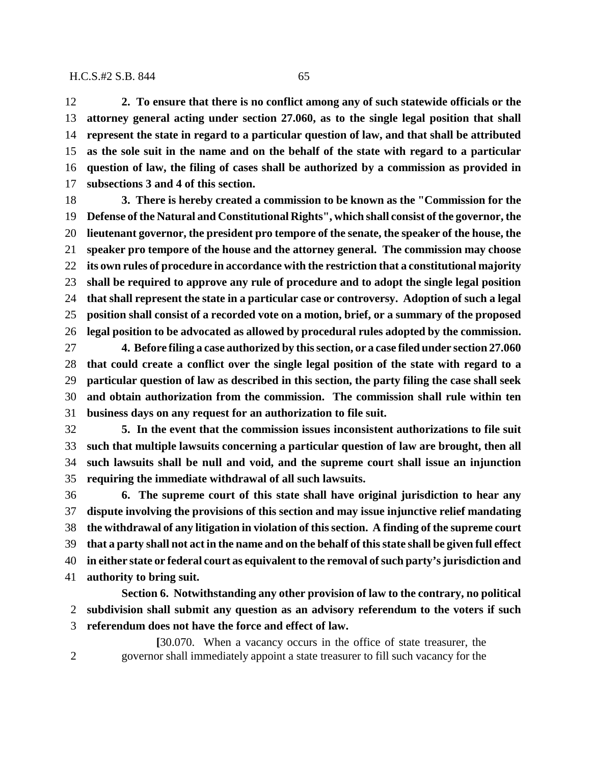**2. To ensure that there is no conflict among any of such statewide officials or the attorney general acting under section 27.060, as to the single legal position that shall represent the state in regard to a particular question of law, and that shall be attributed as the sole suit in the name and on the behalf of the state with regard to a particular question of law, the filing of cases shall be authorized by a commission as provided in subsections 3 and 4 of this section.**

 **3. There is hereby created a commission to be known as the "Commission for the Defense of the Natural and Constitutional Rights", which shall consist of the governor, the lieutenant governor, the president pro tempore of the senate, the speaker of the house, the speaker pro tempore of the house and the attorney general. The commission may choose its own rules of procedure in accordance with the restriction that a constitutional majority shall be required to approve any rule of procedure and to adopt the single legal position that shall represent the state in a particular case or controversy. Adoption of such a legal position shall consist of a recorded vote on a motion, brief, or a summary of the proposed legal position to be advocated as allowed by procedural rules adopted by the commission.**

 **4. Before filing a case authorized by this section, or a case filed under section 27.060 that could create a conflict over the single legal position of the state with regard to a particular question of law as described in this section, the party filing the case shall seek and obtain authorization from the commission. The commission shall rule within ten business days on any request for an authorization to file suit.**

 **5. In the event that the commission issues inconsistent authorizations to file suit such that multiple lawsuits concerning a particular question of law are brought, then all such lawsuits shall be null and void, and the supreme court shall issue an injunction requiring the immediate withdrawal of all such lawsuits.**

 **6. The supreme court of this state shall have original jurisdiction to hear any dispute involving the provisions of this section and may issue injunctive relief mandating the withdrawal of any litigation in violation of this section. A finding of the supreme court that a party shall not act in the name and on the behalf of this state shall be given full effect in either state or federal court as equivalent to the removal of such party's jurisdiction and authority to bring suit.**

**Section 6. Notwithstanding any other provision of law to the contrary, no political subdivision shall submit any question as an advisory referendum to the voters if such referendum does not have the force and effect of law.**

**[**30.070. When a vacancy occurs in the office of state treasurer, the governor shall immediately appoint a state treasurer to fill such vacancy for the